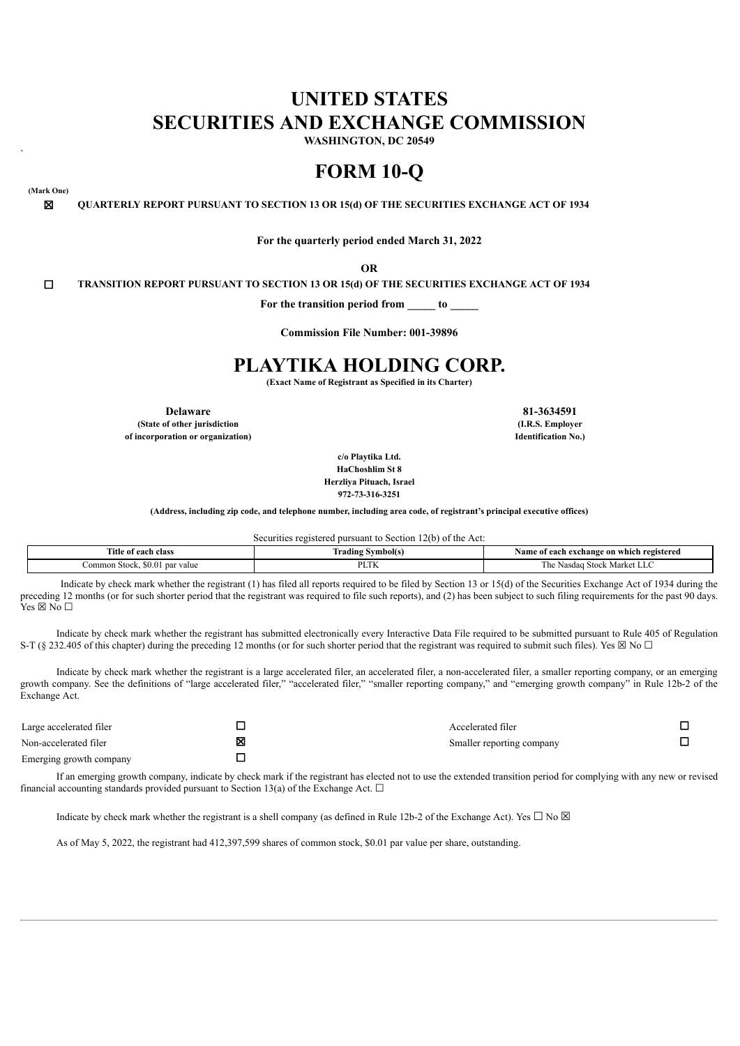# **UNITED STATES SECURITIES AND EXCHANGE COMMISSION**

**WASHINGTON, DC 20549**

# **FORM 10-Q**

**(Mark One)**

`

☒ **QUARTERLY REPORT PURSUANT TO SECTION 13 OR 15(d) OF THE SECURITIES EXCHANGE ACT OF 1934**

**For the quarterly period ended March 31, 2022**

**OR**

☐ **TRANSITION REPORT PURSUANT TO SECTION 13 OR 15(d) OF THE SECURITIES EXCHANGE ACT OF 1934**

**For the transition period from \_\_\_\_\_ to \_\_\_\_\_**

**Commission File Number: 001-39896**

# **PLAYTIKA HOLDING CORP.**

**(Exact Name of Registrant as Specified in its Charter)**

**of incorporation or organization) Identification No.)**

**Delaware 81-3634591 (State of other jurisdiction (I.R.S. Employer**

> **c/o Playtika Ltd. HaChoshlim St 8 Herzliya Pituach, Israel 972-73-316-3251**

**(Address, including zip code, and telephone number, including area code, of registrant's principal executive offices)**

Securities registered pursuant to Section 12(b) of the Act:

| Title<br>each class<br>™°01⊾           | Symbol(s)<br>radıng | which registered<br>.vame<br>t each exchange on :<br>: 0T |
|----------------------------------------|---------------------|-----------------------------------------------------------|
| SO O<br>value<br>:ommon<br>par<br>Stoc | DI TL<br>'LI N      | . пе-<br>NGL.<br>.<br>.                                   |

Indicate by check mark whether the registrant (1) has filed all reports required to be filed by Section 13 or 15(d) of the Securities Exchange Act of 1934 during the preceding 12 months (or for such shorter period that the registrant was required to file such reports), and (2) has been subject to such filing requirements for the past 90 days.  $Yes \boxtimes No \square$ 

Indicate by check mark whether the registrant has submitted electronically every Interactive Data File required to be submitted pursuant to Rule 405 of Regulation S-T (§ 232.405 of this chapter) during the preceding 12 months (or for such shorter period that the registrant was required to submit such files). Yes  $\boxtimes$  No  $\Box$ 

Indicate by check mark whether the registrant is a large accelerated filer, an accelerated filer, a non-accelerated filer, a smaller reporting company, or an emerging growth company. See the definitions of "large accelerated filer," "accelerated filer," "smaller reporting company," and "emerging growth company" in Rule 12b-2 of the Exchange Act.

| Large accelerated filer |   | Accelerated filer         |  |
|-------------------------|---|---------------------------|--|
| Non-accelerated filer   | × | Smaller reporting company |  |
| Emerging growth company |   |                           |  |

If an emerging growth company, indicate by check mark if the registrant has elected not to use the extended transition period for complying with any new or revised financial accounting standards provided pursuant to Section 13(a) of the Exchange Act.  $\Box$ 

Indicate by check mark whether the registrant is a shell company (as defined in Rule 12b-2 of the Exchange Act). Yes  $\Box$  No  $\boxtimes$ 

As of May 5, 2022, the registrant had 412,397,599 shares of common stock, \$0.01 par value per share, outstanding.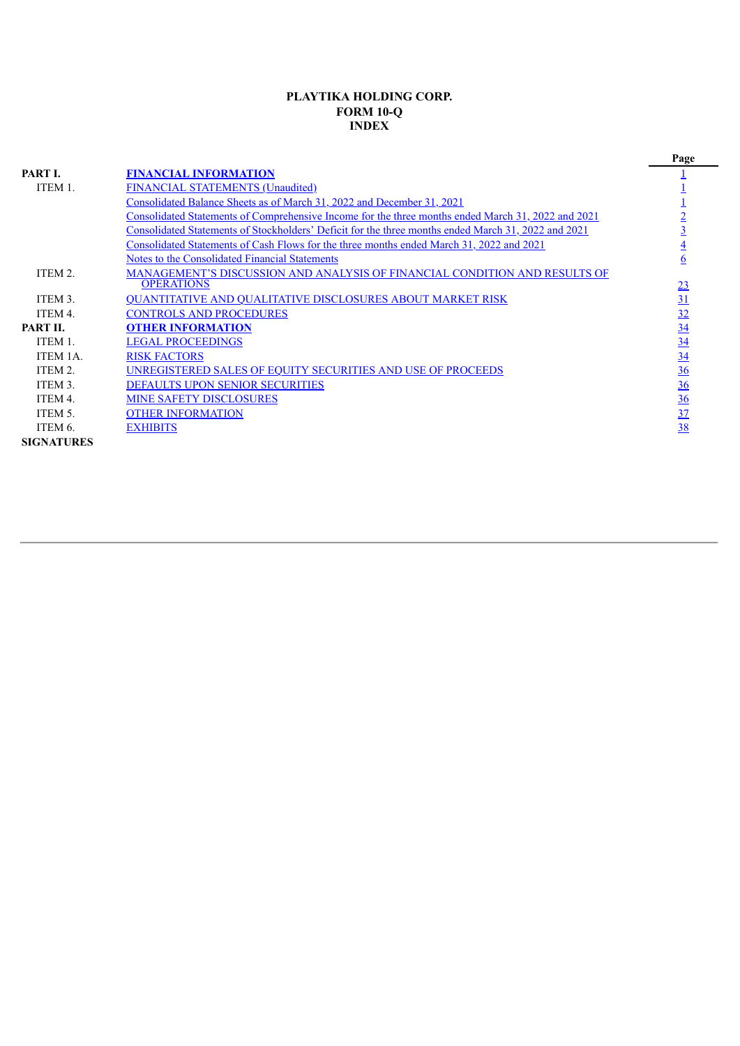# **PLAYTIKA HOLDING CORP. FORM 10-Q INDEX**

|                   |                                                                                                     | Page           |
|-------------------|-----------------------------------------------------------------------------------------------------|----------------|
| PART I.           | <b>FINANCIAL INFORMATION</b>                                                                        |                |
| ITEM 1.           | <b>FINANCIAL STATEMENTS (Unaudited)</b>                                                             |                |
|                   | Consolidated Balance Sheets as of March 31, 2022 and December 31, 2021                              |                |
|                   | Consolidated Statements of Comprehensive Income for the three months ended March 31, 2022 and 2021  |                |
|                   | Consolidated Statements of Stockholders' Deficit for the three months ended March 31, 2022 and 2021 |                |
|                   | Consolidated Statements of Cash Flows for the three months ended March 31, 2022 and 2021            | 4              |
|                   | Notes to the Consolidated Financial Statements                                                      | 6              |
| ITEM 2.           | MANAGEMENT'S DISCUSSION AND ANALYSIS OF FINANCIAL CONDITION AND RESULTS OF<br><b>OPERATIONS</b>     | 23             |
| ITEM 3.           | <b>QUANTITATIVE AND QUALITATIVE DISCLOSURES ABOUT MARKET RISK</b>                                   | 31             |
| ITEM 4.           | <b>CONTROLS AND PROCEDURES</b>                                                                      | 32             |
| PART II.          | <b>OTHER INFORMATION</b>                                                                            | $\frac{34}{5}$ |
| ITEM 1.           | <b>LEGAL PROCEEDINGS</b>                                                                            | 34             |
| ITEM 1A.          | <b>RISK FACTORS</b>                                                                                 | 34             |
| ITEM 2.           | UNREGISTERED SALES OF EOUITY SECURITIES AND USE OF PROCEEDS                                         | 36             |
| ITEM 3.           | <b>DEFAULTS UPON SENIOR SECURITIES</b>                                                              | $\frac{36}{5}$ |
| ITEM 4.           | <b>MINE SAFETY DISCLOSURES</b>                                                                      | 36             |
| ITEM 5.           | <b>OTHER INFORMATION</b>                                                                            | 37             |
| ITEM 6.           | <b>EXHIBITS</b>                                                                                     | <u>38</u>      |
| <b>SIGNATURES</b> |                                                                                                     |                |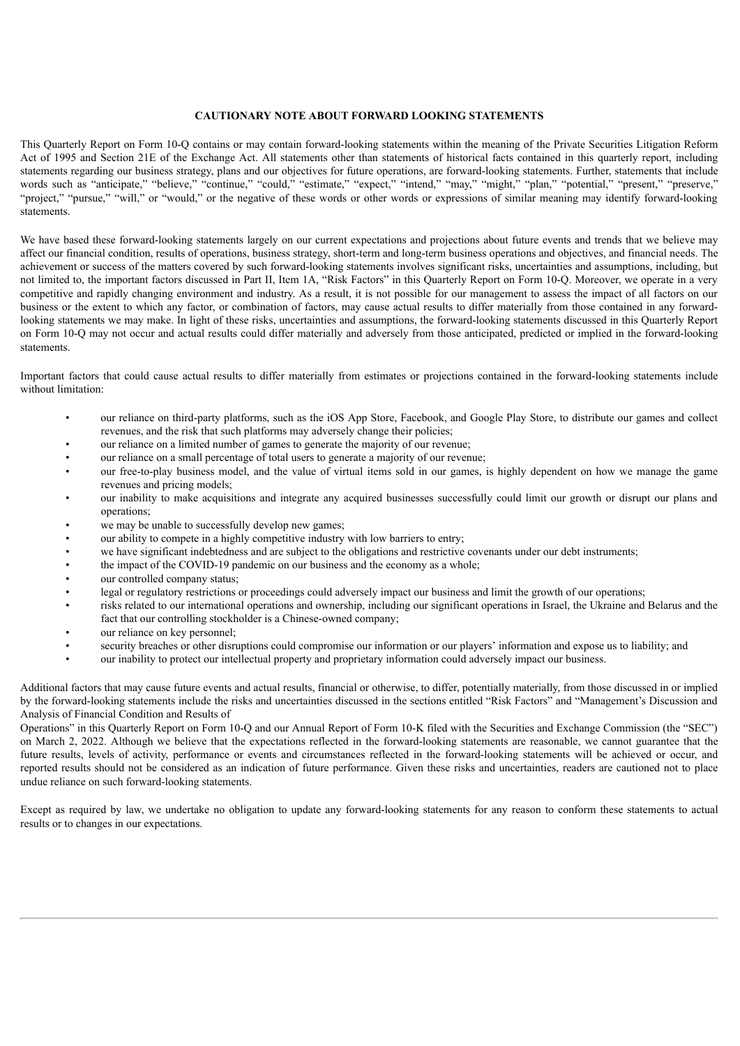## **CAUTIONARY NOTE ABOUT FORWARD LOOKING STATEMENTS**

This Quarterly Report on Form 10-Q contains or may contain forward-looking statements within the meaning of the Private Securities Litigation Reform Act of 1995 and Section 21E of the Exchange Act. All statements other than statements of historical facts contained in this quarterly report, including statements regarding our business strategy, plans and our objectives for future operations, are forward-looking statements. Further, statements that include words such as "anticipate," "believe," "continue," "could," "estimate," "expect," "intend," "may," "might," "plan," "potential," "present," "preserve," "project," "pursue," "will," or "would," or the negative of these words or other words or expressions of similar meaning may identify forward-looking statements.

We have based these forward-looking statements largely on our current expectations and projections about future events and trends that we believe may affect our financial condition, results of operations, business strategy, short-term and long-term business operations and objectives, and financial needs. The achievement or success of the matters covered by such forward-looking statements involves significant risks, uncertainties and assumptions, including, but not limited to, the important factors discussed in Part II, Item 1A, "Risk Factors" in this Quarterly Report on Form 10-Q. Moreover, we operate in a very competitive and rapidly changing environment and industry. As a result, it is not possible for our management to assess the impact of all factors on our business or the extent to which any factor, or combination of factors, may cause actual results to differ materially from those contained in any forwardlooking statements we may make. In light of these risks, uncertainties and assumptions, the forward-looking statements discussed in this Quarterly Report on Form 10-Q may not occur and actual results could differ materially and adversely from those anticipated, predicted or implied in the forward-looking statements.

Important factors that could cause actual results to differ materially from estimates or projections contained in the forward-looking statements include without limitation:

- our reliance on third-party platforms, such as the iOS App Store, Facebook, and Google Play Store, to distribute our games and collect revenues, and the risk that such platforms may adversely change their policies;
- our reliance on a limited number of games to generate the majority of our revenue;
- our reliance on a small percentage of total users to generate a majority of our revenue;
- our free-to-play business model, and the value of virtual items sold in our games, is highly dependent on how we manage the game revenues and pricing models;
- our inability to make acquisitions and integrate any acquired businesses successfully could limit our growth or disrupt our plans and operations;
- we may be unable to successfully develop new games;
- our ability to compete in a highly competitive industry with low barriers to entry;
- we have significant indebtedness and are subject to the obligations and restrictive covenants under our debt instruments;
- the impact of the COVID-19 pandemic on our business and the economy as a whole;
- our controlled company status;
- legal or regulatory restrictions or proceedings could adversely impact our business and limit the growth of our operations;
- risks related to our international operations and ownership, including our significant operations in Israel, the Ukraine and Belarus and the fact that our controlling stockholder is a Chinese-owned company;
- our reliance on key personnel;
- security breaches or other disruptions could compromise our information or our players' information and expose us to liability; and
- our inability to protect our intellectual property and proprietary information could adversely impact our business.

Additional factors that may cause future events and actual results, financial or otherwise, to differ, potentially materially, from those discussed in or implied by the forward-looking statements include the risks and uncertainties discussed in the sections entitled "Risk Factors" and "Management's Discussion and Analysis of Financial Condition and Results of

Operations" in this Quarterly Report on Form 10-Q and our Annual Report of Form 10-K filed with the Securities and Exchange Commission (the "SEC") on March 2, 2022. Although we believe that the expectations reflected in the forward-looking statements are reasonable, we cannot guarantee that the future results, levels of activity, performance or events and circumstances reflected in the forward-looking statements will be achieved or occur, and reported results should not be considered as an indication of future performance. Given these risks and uncertainties, readers are cautioned not to place undue reliance on such forward-looking statements.

<span id="page-2-0"></span>Except as required by law, we undertake no obligation to update any forward-looking statements for any reason to conform these statements to actual results or to changes in our expectations.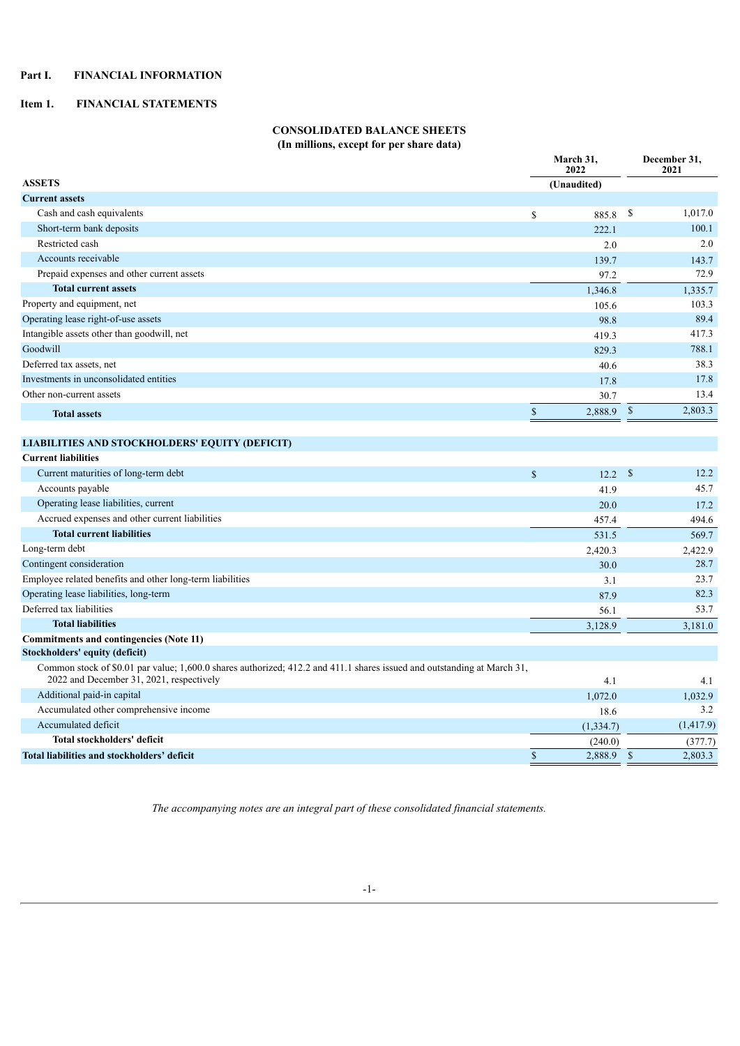# **Part I. FINANCIAL INFORMATION**

## <span id="page-3-1"></span><span id="page-3-0"></span>**Item 1. FINANCIAL STATEMENTS**

#### **CONSOLIDATED BALANCE SHEETS (In millions, except for per share data)**

| (In millions, except for per share data)                                                                                                                            |              |                   |               |                      |
|---------------------------------------------------------------------------------------------------------------------------------------------------------------------|--------------|-------------------|---------------|----------------------|
|                                                                                                                                                                     |              | March 31,<br>2022 |               | December 31,<br>2021 |
| <b>ASSETS</b>                                                                                                                                                       |              | (Unaudited)       |               |                      |
| <b>Current assets</b>                                                                                                                                               |              |                   |               |                      |
| Cash and cash equivalents                                                                                                                                           | $\mathbb{S}$ | 885.8             | <sup>\$</sup> | 1,017.0              |
| Short-term bank deposits                                                                                                                                            |              | 222.1             |               | 100.1                |
| Restricted cash                                                                                                                                                     |              | 2.0               |               | 2.0                  |
| Accounts receivable                                                                                                                                                 |              | 139.7             |               | 143.7                |
| Prepaid expenses and other current assets                                                                                                                           |              | 97.2              |               | 72.9                 |
| <b>Total current assets</b>                                                                                                                                         |              | 1,346.8           |               | 1,335.7              |
| Property and equipment, net                                                                                                                                         |              | 105.6             |               | 103.3                |
| Operating lease right-of-use assets                                                                                                                                 |              | 98.8              |               | 89.4                 |
| Intangible assets other than goodwill, net                                                                                                                          |              | 419.3             |               | 417.3                |
| Goodwill                                                                                                                                                            |              | 829.3             |               | 788.1                |
| Deferred tax assets, net                                                                                                                                            |              | 40.6              |               | 38.3                 |
| Investments in unconsolidated entities                                                                                                                              |              | 17.8              |               | 17.8                 |
| Other non-current assets                                                                                                                                            |              | 30.7              |               | 13.4                 |
| <b>Total assets</b>                                                                                                                                                 | $\mathbb S$  | 2,888.9           | $\mathbb{S}$  | 2,803.3              |
|                                                                                                                                                                     |              |                   |               |                      |
| <b>LIABILITIES AND STOCKHOLDERS' EQUITY (DEFICIT)</b>                                                                                                               |              |                   |               |                      |
| <b>Current liabilities</b>                                                                                                                                          |              |                   |               |                      |
| Current maturities of long-term debt                                                                                                                                | $\mathbf S$  | 12.2              | $\mathbb{S}$  | 12.2                 |
| Accounts payable                                                                                                                                                    |              | 41.9              |               | 45.7                 |
| Operating lease liabilities, current                                                                                                                                |              | 20.0              |               | 17.2                 |
| Accrued expenses and other current liabilities                                                                                                                      |              | 457.4             |               | 494.6                |
| <b>Total current liabilities</b>                                                                                                                                    |              | 531.5             |               | 569.7                |
| Long-term debt                                                                                                                                                      |              | 2,420.3           |               | 2,422.9              |
| Contingent consideration                                                                                                                                            |              | 30.0              |               | 28.7                 |
| Employee related benefits and other long-term liabilities                                                                                                           |              | 3.1               |               | 23.7                 |
| Operating lease liabilities, long-term                                                                                                                              |              | 87.9              |               | 82.3                 |
| Deferred tax liabilities                                                                                                                                            |              | 56.1              |               | 53.7                 |
| <b>Total liabilities</b>                                                                                                                                            |              | 3,128.9           |               | 3,181.0              |
| <b>Commitments and contingencies (Note 11)</b>                                                                                                                      |              |                   |               |                      |
| Stockholders' equity (deficit)                                                                                                                                      |              |                   |               |                      |
| Common stock of \$0.01 par value; 1,600.0 shares authorized; 412.2 and 411.1 shares issued and outstanding at March 31,<br>2022 and December 31, 2021, respectively |              | 4.1               |               | 4.1                  |
| Additional paid-in capital                                                                                                                                          |              | 1.072.0           |               | 1,032.9              |
| Accumulated other comprehensive income                                                                                                                              |              | 18.6              |               | 3.2                  |
| Accumulated deficit                                                                                                                                                 |              | (1, 334.7)        |               | (1,417.9)            |
| Total stockholders' deficit                                                                                                                                         |              | (240.0)           |               | (377.7)              |
| Total liabilities and stockholders' deficit                                                                                                                         | $\mathbb{S}$ | 2,888.9 \$        |               | 2,803.3              |
|                                                                                                                                                                     |              |                   |               |                      |

<span id="page-3-2"></span>*The accompanying notes are an integral part of these consolidated financial statements.*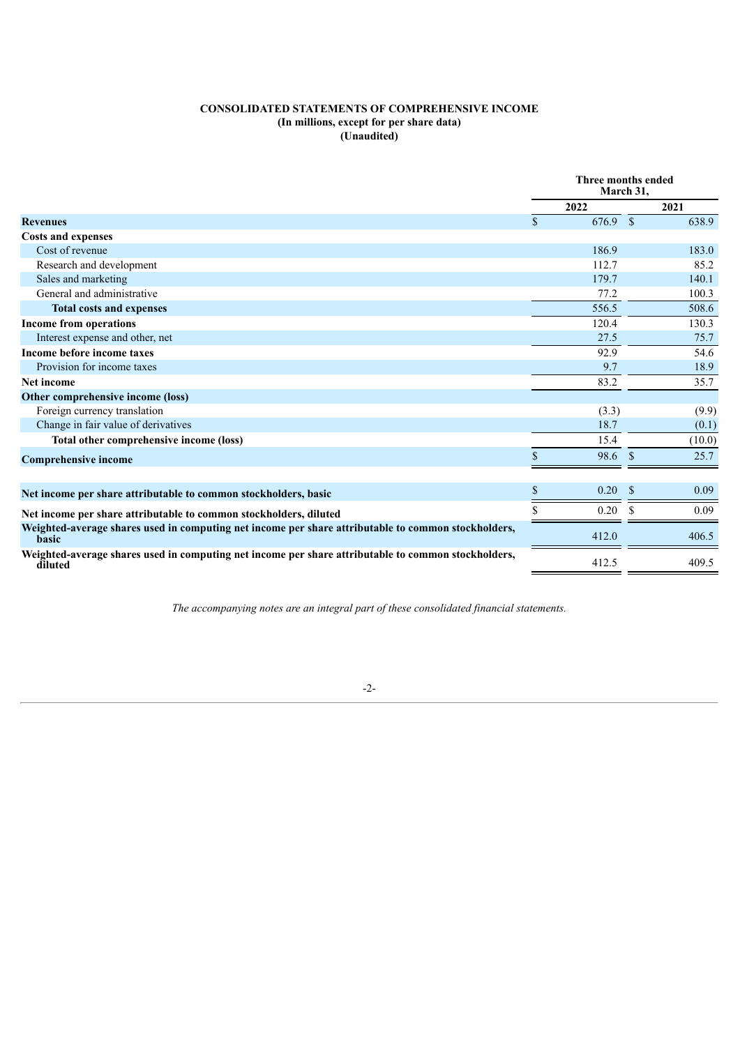## **CONSOLIDATED STATEMENTS OF COMPREHENSIVE INCOME (In millions, except for per share data) (Unaudited)**

|                                                                                                                | <b>Three months ended</b><br>March 31, |       |               |        |
|----------------------------------------------------------------------------------------------------------------|----------------------------------------|-------|---------------|--------|
|                                                                                                                |                                        | 2022  |               | 2021   |
| <b>Revenues</b>                                                                                                | \$                                     | 676.9 | $\mathcal{S}$ | 638.9  |
| <b>Costs and expenses</b>                                                                                      |                                        |       |               |        |
| Cost of revenue                                                                                                |                                        | 186.9 |               | 183.0  |
| Research and development                                                                                       |                                        | 112.7 |               | 85.2   |
| Sales and marketing                                                                                            |                                        | 179.7 |               | 140.1  |
| General and administrative                                                                                     |                                        | 77.2  |               | 100.3  |
| <b>Total costs and expenses</b>                                                                                |                                        | 556.5 |               | 508.6  |
| <b>Income from operations</b>                                                                                  |                                        | 120.4 |               | 130.3  |
| Interest expense and other, net                                                                                |                                        | 27.5  |               | 75.7   |
| Income before income taxes                                                                                     |                                        | 92.9  |               | 54.6   |
| Provision for income taxes                                                                                     |                                        | 9.7   |               | 18.9   |
| <b>Net income</b>                                                                                              |                                        | 83.2  |               | 35.7   |
| Other comprehensive income (loss)                                                                              |                                        |       |               |        |
| Foreign currency translation                                                                                   |                                        | (3.3) |               | (9.9)  |
| Change in fair value of derivatives                                                                            |                                        | 18.7  |               | (0.1)  |
| Total other comprehensive income (loss)                                                                        |                                        | 15.4  |               | (10.0) |
| <b>Comprehensive income</b>                                                                                    | \$                                     | 98.6  | $\mathcal{S}$ | 25.7   |
| Net income per share attributable to common stockholders, basic                                                | \$                                     | 0.20  | <sup>\$</sup> | 0.09   |
|                                                                                                                |                                        |       |               |        |
| Net income per share attributable to common stockholders, diluted                                              | \$                                     | 0.20  |               | 0.09   |
| Weighted-average shares used in computing net income per share attributable to common stockholders,<br>hasic   |                                        | 412.0 |               | 406.5  |
| Weighted-average shares used in computing net income per share attributable to common stockholders,<br>diluted |                                        | 412.5 |               | 409.5  |

<span id="page-4-0"></span>*The accompanying notes are an integral part of these consolidated financial statements.*

# -2-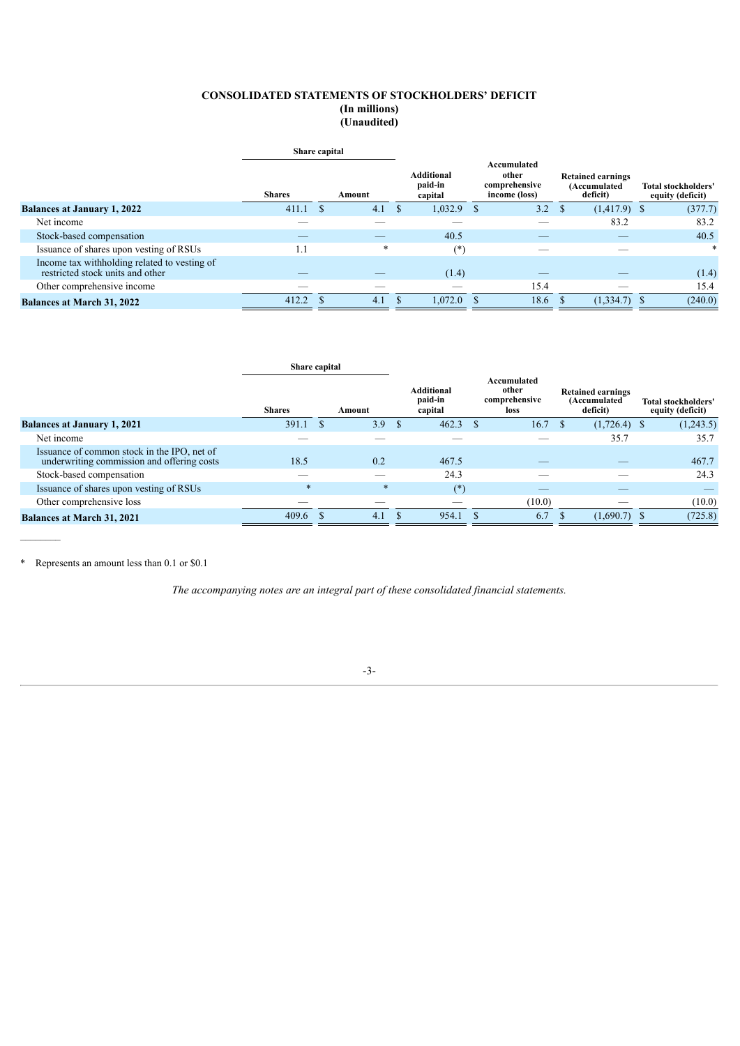## **CONSOLIDATED STATEMENTS OF STOCKHOLDERS' DEFICIT (In millions) (Unaudited)**

|                                                                                  | Share capital |        |    |                                         |                                                        |                                                      |                                                |
|----------------------------------------------------------------------------------|---------------|--------|----|-----------------------------------------|--------------------------------------------------------|------------------------------------------------------|------------------------------------------------|
|                                                                                  | <b>Shares</b> | Amount |    | <b>Additional</b><br>paid-in<br>capital | Accumulated<br>other<br>comprehensive<br>income (loss) | <b>Retained earnings</b><br>(Accumulated<br>deficit) | <b>Total stockholders'</b><br>equity (deficit) |
| <b>Balances at January 1, 2022</b>                                               | 411.1         | 4.1    | -S | 1,032.9                                 | 3.2                                                    | $(1,417.9)$ \$                                       | (377.7)                                        |
| Net income                                                                       |               |        |    |                                         |                                                        | 83.2                                                 | 83.2                                           |
| Stock-based compensation                                                         |               |        |    | 40.5                                    |                                                        |                                                      | 40.5                                           |
| Issuance of shares upon vesting of RSUs                                          | 1.1           | *      |    | $^{(*)}$                                |                                                        |                                                      | $\ast$                                         |
| Income tax withholding related to vesting of<br>restricted stock units and other |               |        |    | (1.4)                                   |                                                        |                                                      | (1.4)                                          |
| Other comprehensive income                                                       |               |        |    |                                         | 15.4                                                   |                                                      | 15.4                                           |
| <b>Balances at March 31, 2022</b>                                                | 412.2         | 4.1    |    | 1.072.0                                 | 18.6                                                   | (1, 334.7)                                           | (240.0)                                        |

| <b>Retained earnings</b><br>(Accumulated)<br><b>Total stockholders'</b><br>deficit)<br>equity (deficit) |         |
|---------------------------------------------------------------------------------------------------------|---------|
| $(1,726.4)$ \$<br>(1,243.5)                                                                             |         |
| 35.7                                                                                                    | 35.7    |
|                                                                                                         | 467.7   |
|                                                                                                         | 24.3    |
|                                                                                                         |         |
|                                                                                                         | (10.0)  |
| $(1,690.7)$ \$                                                                                          | (725.8) |
|                                                                                                         |         |

<span id="page-5-0"></span>\* Represents an amount less than 0.1 or \$0.1

 $\mathcal{L}=\mathcal{L}$ 

*The accompanying notes are an integral part of these consolidated financial statements.*

## -3-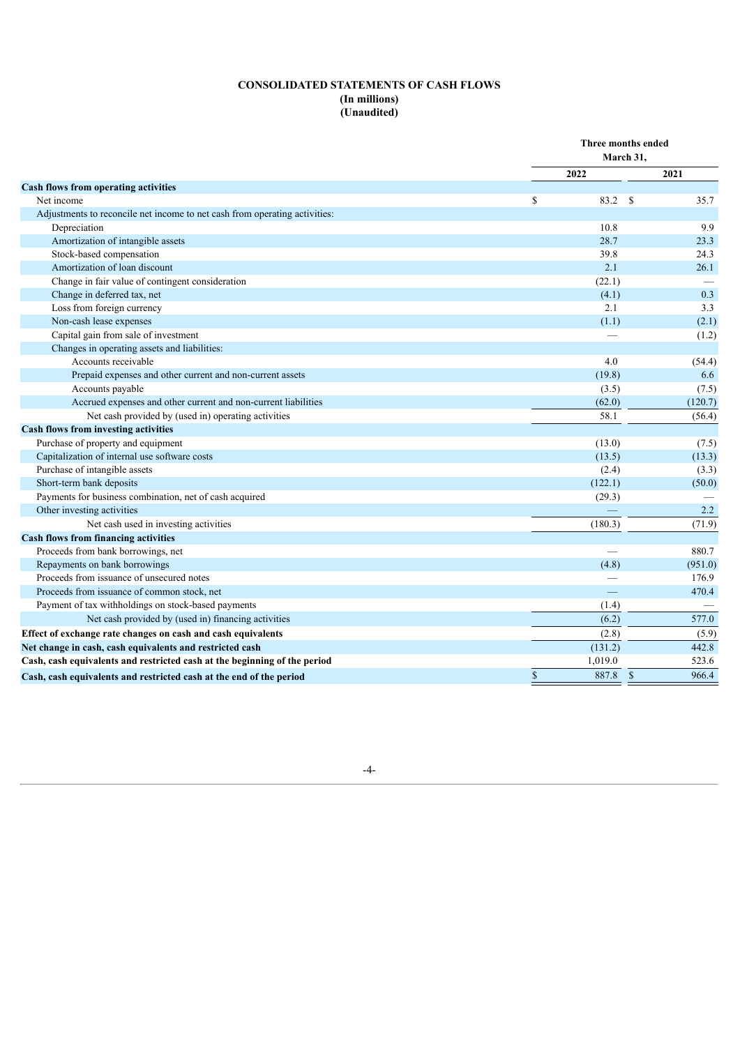## **CONSOLIDATED STATEMENTS OF CASH FLOWS (In millions) (Unaudited)**

| 2022<br>2021<br><b>Cash flows from operating activities</b><br>\$<br>83.2<br>Net income<br><sup>\$</sup><br>35.7<br>Adjustments to reconcile net income to net cash from operating activities:<br>10.8<br>9.9<br>Depreciation<br>Amortization of intangible assets<br>28.7<br>23.3<br>Stock-based compensation<br>39.8<br>24.3<br>2.1<br>Amortization of loan discount<br>26.1<br>Change in fair value of contingent consideration<br>(22.1)<br>Change in deferred tax, net<br>(4.1)<br>0.3<br>Loss from foreign currency<br>3.3<br>2.1<br>Non-cash lease expenses<br>(2.1)<br>(1.1)<br>Capital gain from sale of investment<br>(1.2)<br>Changes in operating assets and liabilities:<br>Accounts receivable<br>4.0<br>(54.4)<br>(19.8)<br>6.6<br>Prepaid expenses and other current and non-current assets<br>Accounts payable<br>(3.5)<br>(7.5)<br>Accrued expenses and other current and non-current liabilities<br>(62.0)<br>(120.7)<br>58.1<br>Net cash provided by (used in) operating activities<br>(56.4)<br><b>Cash flows from investing activities</b><br>Purchase of property and equipment<br>(13.0)<br>(7.5)<br>Capitalization of internal use software costs<br>(13.5)<br>(13.3)<br>Purchase of intangible assets<br>(2.4)<br>(3.3)<br>Short-term bank deposits<br>(122.1)<br>(50.0)<br>Payments for business combination, net of cash acquired<br>(29.3)<br>Other investing activities<br>2.2<br>Net cash used in investing activities<br>(180.3)<br>(71.9)<br><b>Cash flows from financing activities</b><br>Proceeds from bank borrowings, net<br>880.7<br>Repayments on bank borrowings<br>(951.0)<br>(4.8)<br>Proceeds from issuance of unsecured notes<br>176.9<br>Proceeds from issuance of common stock, net<br>470.4<br>Payment of tax withholdings on stock-based payments<br>(1.4)<br>(6.2)<br>577.0<br>Net cash provided by (used in) financing activities<br>(2.8)<br>Effect of exchange rate changes on cash and cash equivalents<br>(5.9)<br>Net change in cash, cash equivalents and restricted cash<br>(131.2)<br>442.8<br>Cash, cash equivalents and restricted cash at the beginning of the period<br>1.019.0<br>523.6<br>$\sqrt{\ }$<br>$887.8$ \$<br>966.4<br>Cash, cash equivalents and restricted cash at the end of the period |  | Three months ended<br>March 31, |  |  |
|----------------------------------------------------------------------------------------------------------------------------------------------------------------------------------------------------------------------------------------------------------------------------------------------------------------------------------------------------------------------------------------------------------------------------------------------------------------------------------------------------------------------------------------------------------------------------------------------------------------------------------------------------------------------------------------------------------------------------------------------------------------------------------------------------------------------------------------------------------------------------------------------------------------------------------------------------------------------------------------------------------------------------------------------------------------------------------------------------------------------------------------------------------------------------------------------------------------------------------------------------------------------------------------------------------------------------------------------------------------------------------------------------------------------------------------------------------------------------------------------------------------------------------------------------------------------------------------------------------------------------------------------------------------------------------------------------------------------------------------------------------------------------------------------------------------------------------------------------------------------------------------------------------------------------------------------------------------------------------------------------------------------------------------------------------------------------------------------------------------------------------------------------------------------------------------------------------------------------------------------------------------------|--|---------------------------------|--|--|
|                                                                                                                                                                                                                                                                                                                                                                                                                                                                                                                                                                                                                                                                                                                                                                                                                                                                                                                                                                                                                                                                                                                                                                                                                                                                                                                                                                                                                                                                                                                                                                                                                                                                                                                                                                                                                                                                                                                                                                                                                                                                                                                                                                                                                                                                      |  |                                 |  |  |
|                                                                                                                                                                                                                                                                                                                                                                                                                                                                                                                                                                                                                                                                                                                                                                                                                                                                                                                                                                                                                                                                                                                                                                                                                                                                                                                                                                                                                                                                                                                                                                                                                                                                                                                                                                                                                                                                                                                                                                                                                                                                                                                                                                                                                                                                      |  |                                 |  |  |
|                                                                                                                                                                                                                                                                                                                                                                                                                                                                                                                                                                                                                                                                                                                                                                                                                                                                                                                                                                                                                                                                                                                                                                                                                                                                                                                                                                                                                                                                                                                                                                                                                                                                                                                                                                                                                                                                                                                                                                                                                                                                                                                                                                                                                                                                      |  |                                 |  |  |
|                                                                                                                                                                                                                                                                                                                                                                                                                                                                                                                                                                                                                                                                                                                                                                                                                                                                                                                                                                                                                                                                                                                                                                                                                                                                                                                                                                                                                                                                                                                                                                                                                                                                                                                                                                                                                                                                                                                                                                                                                                                                                                                                                                                                                                                                      |  |                                 |  |  |
|                                                                                                                                                                                                                                                                                                                                                                                                                                                                                                                                                                                                                                                                                                                                                                                                                                                                                                                                                                                                                                                                                                                                                                                                                                                                                                                                                                                                                                                                                                                                                                                                                                                                                                                                                                                                                                                                                                                                                                                                                                                                                                                                                                                                                                                                      |  |                                 |  |  |
|                                                                                                                                                                                                                                                                                                                                                                                                                                                                                                                                                                                                                                                                                                                                                                                                                                                                                                                                                                                                                                                                                                                                                                                                                                                                                                                                                                                                                                                                                                                                                                                                                                                                                                                                                                                                                                                                                                                                                                                                                                                                                                                                                                                                                                                                      |  |                                 |  |  |
|                                                                                                                                                                                                                                                                                                                                                                                                                                                                                                                                                                                                                                                                                                                                                                                                                                                                                                                                                                                                                                                                                                                                                                                                                                                                                                                                                                                                                                                                                                                                                                                                                                                                                                                                                                                                                                                                                                                                                                                                                                                                                                                                                                                                                                                                      |  |                                 |  |  |
|                                                                                                                                                                                                                                                                                                                                                                                                                                                                                                                                                                                                                                                                                                                                                                                                                                                                                                                                                                                                                                                                                                                                                                                                                                                                                                                                                                                                                                                                                                                                                                                                                                                                                                                                                                                                                                                                                                                                                                                                                                                                                                                                                                                                                                                                      |  |                                 |  |  |
|                                                                                                                                                                                                                                                                                                                                                                                                                                                                                                                                                                                                                                                                                                                                                                                                                                                                                                                                                                                                                                                                                                                                                                                                                                                                                                                                                                                                                                                                                                                                                                                                                                                                                                                                                                                                                                                                                                                                                                                                                                                                                                                                                                                                                                                                      |  |                                 |  |  |
|                                                                                                                                                                                                                                                                                                                                                                                                                                                                                                                                                                                                                                                                                                                                                                                                                                                                                                                                                                                                                                                                                                                                                                                                                                                                                                                                                                                                                                                                                                                                                                                                                                                                                                                                                                                                                                                                                                                                                                                                                                                                                                                                                                                                                                                                      |  |                                 |  |  |
|                                                                                                                                                                                                                                                                                                                                                                                                                                                                                                                                                                                                                                                                                                                                                                                                                                                                                                                                                                                                                                                                                                                                                                                                                                                                                                                                                                                                                                                                                                                                                                                                                                                                                                                                                                                                                                                                                                                                                                                                                                                                                                                                                                                                                                                                      |  |                                 |  |  |
|                                                                                                                                                                                                                                                                                                                                                                                                                                                                                                                                                                                                                                                                                                                                                                                                                                                                                                                                                                                                                                                                                                                                                                                                                                                                                                                                                                                                                                                                                                                                                                                                                                                                                                                                                                                                                                                                                                                                                                                                                                                                                                                                                                                                                                                                      |  |                                 |  |  |
|                                                                                                                                                                                                                                                                                                                                                                                                                                                                                                                                                                                                                                                                                                                                                                                                                                                                                                                                                                                                                                                                                                                                                                                                                                                                                                                                                                                                                                                                                                                                                                                                                                                                                                                                                                                                                                                                                                                                                                                                                                                                                                                                                                                                                                                                      |  |                                 |  |  |
|                                                                                                                                                                                                                                                                                                                                                                                                                                                                                                                                                                                                                                                                                                                                                                                                                                                                                                                                                                                                                                                                                                                                                                                                                                                                                                                                                                                                                                                                                                                                                                                                                                                                                                                                                                                                                                                                                                                                                                                                                                                                                                                                                                                                                                                                      |  |                                 |  |  |
|                                                                                                                                                                                                                                                                                                                                                                                                                                                                                                                                                                                                                                                                                                                                                                                                                                                                                                                                                                                                                                                                                                                                                                                                                                                                                                                                                                                                                                                                                                                                                                                                                                                                                                                                                                                                                                                                                                                                                                                                                                                                                                                                                                                                                                                                      |  |                                 |  |  |
|                                                                                                                                                                                                                                                                                                                                                                                                                                                                                                                                                                                                                                                                                                                                                                                                                                                                                                                                                                                                                                                                                                                                                                                                                                                                                                                                                                                                                                                                                                                                                                                                                                                                                                                                                                                                                                                                                                                                                                                                                                                                                                                                                                                                                                                                      |  |                                 |  |  |
|                                                                                                                                                                                                                                                                                                                                                                                                                                                                                                                                                                                                                                                                                                                                                                                                                                                                                                                                                                                                                                                                                                                                                                                                                                                                                                                                                                                                                                                                                                                                                                                                                                                                                                                                                                                                                                                                                                                                                                                                                                                                                                                                                                                                                                                                      |  |                                 |  |  |
|                                                                                                                                                                                                                                                                                                                                                                                                                                                                                                                                                                                                                                                                                                                                                                                                                                                                                                                                                                                                                                                                                                                                                                                                                                                                                                                                                                                                                                                                                                                                                                                                                                                                                                                                                                                                                                                                                                                                                                                                                                                                                                                                                                                                                                                                      |  |                                 |  |  |
|                                                                                                                                                                                                                                                                                                                                                                                                                                                                                                                                                                                                                                                                                                                                                                                                                                                                                                                                                                                                                                                                                                                                                                                                                                                                                                                                                                                                                                                                                                                                                                                                                                                                                                                                                                                                                                                                                                                                                                                                                                                                                                                                                                                                                                                                      |  |                                 |  |  |
|                                                                                                                                                                                                                                                                                                                                                                                                                                                                                                                                                                                                                                                                                                                                                                                                                                                                                                                                                                                                                                                                                                                                                                                                                                                                                                                                                                                                                                                                                                                                                                                                                                                                                                                                                                                                                                                                                                                                                                                                                                                                                                                                                                                                                                                                      |  |                                 |  |  |
|                                                                                                                                                                                                                                                                                                                                                                                                                                                                                                                                                                                                                                                                                                                                                                                                                                                                                                                                                                                                                                                                                                                                                                                                                                                                                                                                                                                                                                                                                                                                                                                                                                                                                                                                                                                                                                                                                                                                                                                                                                                                                                                                                                                                                                                                      |  |                                 |  |  |
|                                                                                                                                                                                                                                                                                                                                                                                                                                                                                                                                                                                                                                                                                                                                                                                                                                                                                                                                                                                                                                                                                                                                                                                                                                                                                                                                                                                                                                                                                                                                                                                                                                                                                                                                                                                                                                                                                                                                                                                                                                                                                                                                                                                                                                                                      |  |                                 |  |  |
|                                                                                                                                                                                                                                                                                                                                                                                                                                                                                                                                                                                                                                                                                                                                                                                                                                                                                                                                                                                                                                                                                                                                                                                                                                                                                                                                                                                                                                                                                                                                                                                                                                                                                                                                                                                                                                                                                                                                                                                                                                                                                                                                                                                                                                                                      |  |                                 |  |  |
|                                                                                                                                                                                                                                                                                                                                                                                                                                                                                                                                                                                                                                                                                                                                                                                                                                                                                                                                                                                                                                                                                                                                                                                                                                                                                                                                                                                                                                                                                                                                                                                                                                                                                                                                                                                                                                                                                                                                                                                                                                                                                                                                                                                                                                                                      |  |                                 |  |  |
|                                                                                                                                                                                                                                                                                                                                                                                                                                                                                                                                                                                                                                                                                                                                                                                                                                                                                                                                                                                                                                                                                                                                                                                                                                                                                                                                                                                                                                                                                                                                                                                                                                                                                                                                                                                                                                                                                                                                                                                                                                                                                                                                                                                                                                                                      |  |                                 |  |  |
|                                                                                                                                                                                                                                                                                                                                                                                                                                                                                                                                                                                                                                                                                                                                                                                                                                                                                                                                                                                                                                                                                                                                                                                                                                                                                                                                                                                                                                                                                                                                                                                                                                                                                                                                                                                                                                                                                                                                                                                                                                                                                                                                                                                                                                                                      |  |                                 |  |  |
|                                                                                                                                                                                                                                                                                                                                                                                                                                                                                                                                                                                                                                                                                                                                                                                                                                                                                                                                                                                                                                                                                                                                                                                                                                                                                                                                                                                                                                                                                                                                                                                                                                                                                                                                                                                                                                                                                                                                                                                                                                                                                                                                                                                                                                                                      |  |                                 |  |  |
|                                                                                                                                                                                                                                                                                                                                                                                                                                                                                                                                                                                                                                                                                                                                                                                                                                                                                                                                                                                                                                                                                                                                                                                                                                                                                                                                                                                                                                                                                                                                                                                                                                                                                                                                                                                                                                                                                                                                                                                                                                                                                                                                                                                                                                                                      |  |                                 |  |  |
|                                                                                                                                                                                                                                                                                                                                                                                                                                                                                                                                                                                                                                                                                                                                                                                                                                                                                                                                                                                                                                                                                                                                                                                                                                                                                                                                                                                                                                                                                                                                                                                                                                                                                                                                                                                                                                                                                                                                                                                                                                                                                                                                                                                                                                                                      |  |                                 |  |  |
|                                                                                                                                                                                                                                                                                                                                                                                                                                                                                                                                                                                                                                                                                                                                                                                                                                                                                                                                                                                                                                                                                                                                                                                                                                                                                                                                                                                                                                                                                                                                                                                                                                                                                                                                                                                                                                                                                                                                                                                                                                                                                                                                                                                                                                                                      |  |                                 |  |  |
|                                                                                                                                                                                                                                                                                                                                                                                                                                                                                                                                                                                                                                                                                                                                                                                                                                                                                                                                                                                                                                                                                                                                                                                                                                                                                                                                                                                                                                                                                                                                                                                                                                                                                                                                                                                                                                                                                                                                                                                                                                                                                                                                                                                                                                                                      |  |                                 |  |  |
|                                                                                                                                                                                                                                                                                                                                                                                                                                                                                                                                                                                                                                                                                                                                                                                                                                                                                                                                                                                                                                                                                                                                                                                                                                                                                                                                                                                                                                                                                                                                                                                                                                                                                                                                                                                                                                                                                                                                                                                                                                                                                                                                                                                                                                                                      |  |                                 |  |  |
|                                                                                                                                                                                                                                                                                                                                                                                                                                                                                                                                                                                                                                                                                                                                                                                                                                                                                                                                                                                                                                                                                                                                                                                                                                                                                                                                                                                                                                                                                                                                                                                                                                                                                                                                                                                                                                                                                                                                                                                                                                                                                                                                                                                                                                                                      |  |                                 |  |  |
|                                                                                                                                                                                                                                                                                                                                                                                                                                                                                                                                                                                                                                                                                                                                                                                                                                                                                                                                                                                                                                                                                                                                                                                                                                                                                                                                                                                                                                                                                                                                                                                                                                                                                                                                                                                                                                                                                                                                                                                                                                                                                                                                                                                                                                                                      |  |                                 |  |  |
|                                                                                                                                                                                                                                                                                                                                                                                                                                                                                                                                                                                                                                                                                                                                                                                                                                                                                                                                                                                                                                                                                                                                                                                                                                                                                                                                                                                                                                                                                                                                                                                                                                                                                                                                                                                                                                                                                                                                                                                                                                                                                                                                                                                                                                                                      |  |                                 |  |  |
|                                                                                                                                                                                                                                                                                                                                                                                                                                                                                                                                                                                                                                                                                                                                                                                                                                                                                                                                                                                                                                                                                                                                                                                                                                                                                                                                                                                                                                                                                                                                                                                                                                                                                                                                                                                                                                                                                                                                                                                                                                                                                                                                                                                                                                                                      |  |                                 |  |  |
|                                                                                                                                                                                                                                                                                                                                                                                                                                                                                                                                                                                                                                                                                                                                                                                                                                                                                                                                                                                                                                                                                                                                                                                                                                                                                                                                                                                                                                                                                                                                                                                                                                                                                                                                                                                                                                                                                                                                                                                                                                                                                                                                                                                                                                                                      |  |                                 |  |  |
|                                                                                                                                                                                                                                                                                                                                                                                                                                                                                                                                                                                                                                                                                                                                                                                                                                                                                                                                                                                                                                                                                                                                                                                                                                                                                                                                                                                                                                                                                                                                                                                                                                                                                                                                                                                                                                                                                                                                                                                                                                                                                                                                                                                                                                                                      |  |                                 |  |  |

-4-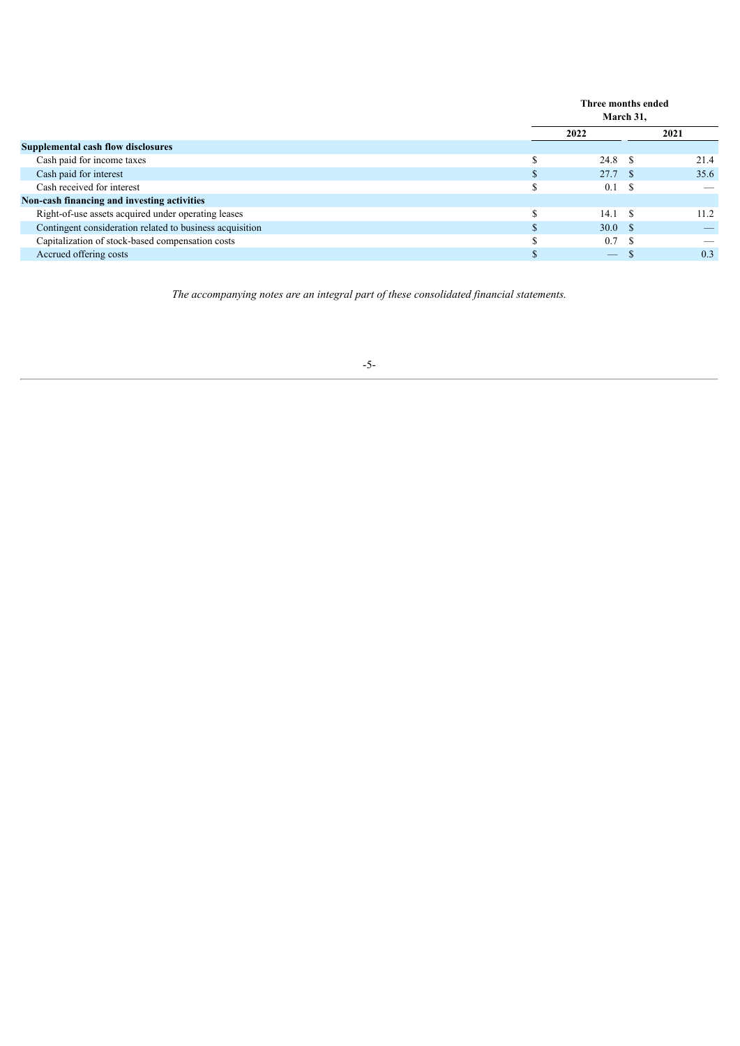|                                                          |             | Three months ended<br>March 31, |              |      |
|----------------------------------------------------------|-------------|---------------------------------|--------------|------|
|                                                          |             | 2022                            |              | 2021 |
| Supplemental cash flow disclosures                       |             |                                 |              |      |
| Cash paid for income taxes                               | ሖ           | 24.8                            | -S           | 21.4 |
| Cash paid for interest                                   |             | 27.7                            |              | 35.6 |
| Cash received for interest                               |             | 0.1                             | S            |      |
| Non-cash financing and investing activities              |             |                                 |              |      |
| Right-of-use assets acquired under operating leases      | $\triangle$ | 14.1                            | -8           | 11.2 |
| Contingent consideration related to business acquisition |             | 30.0                            | $\mathbf{s}$ |      |
| Capitalization of stock-based compensation costs         |             | 0.7                             | -S           |      |
| Accrued offering costs                                   |             |                                 |              | 0.3  |
|                                                          |             |                                 |              |      |

<span id="page-7-0"></span>*The accompanying notes are an integral part of these consolidated financial statements.*

-5-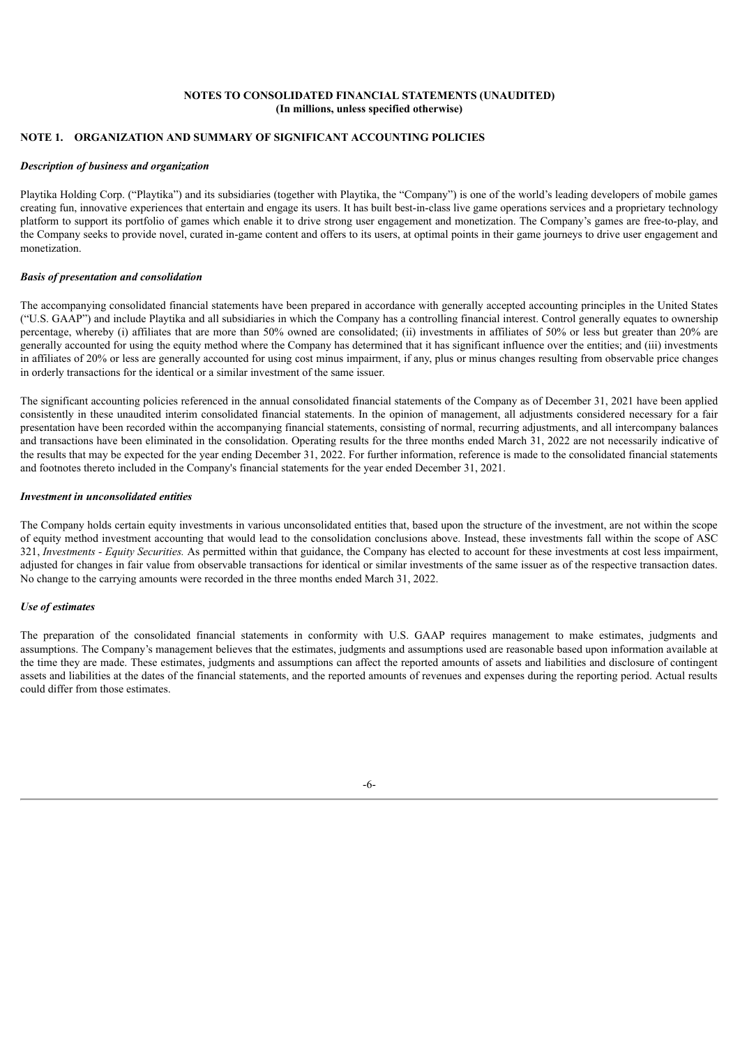## **NOTES TO CONSOLIDATED FINANCIAL STATEMENTS (UNAUDITED) (In millions, unless specified otherwise)**

## **NOTE 1. ORGANIZATION AND SUMMARY OF SIGNIFICANT ACCOUNTING POLICIES**

#### *Description of business and organization*

Playtika Holding Corp. ("Playtika") and its subsidiaries (together with Playtika, the "Company") is one of the world's leading developers of mobile games creating fun, innovative experiences that entertain and engage its users. It has built best-in-class live game operations services and a proprietary technology platform to support its portfolio of games which enable it to drive strong user engagement and monetization. The Company's games are free-to-play, and the Company seeks to provide novel, curated in-game content and offers to its users, at optimal points in their game journeys to drive user engagement and monetization.

#### *Basis of presentation and consolidation*

The accompanying consolidated financial statements have been prepared in accordance with generally accepted accounting principles in the United States ("U.S. GAAP") and include Playtika and all subsidiaries in which the Company has a controlling financial interest. Control generally equates to ownership percentage, whereby (i) affiliates that are more than 50% owned are consolidated; (ii) investments in affiliates of 50% or less but greater than 20% are generally accounted for using the equity method where the Company has determined that it has significant influence over the entities; and (iii) investments in affiliates of 20% or less are generally accounted for using cost minus impairment, if any, plus or minus changes resulting from observable price changes in orderly transactions for the identical or a similar investment of the same issuer.

The significant accounting policies referenced in the annual consolidated financial statements of the Company as of December 31, 2021 have been applied consistently in these unaudited interim consolidated financial statements. In the opinion of management, all adjustments considered necessary for a fair presentation have been recorded within the accompanying financial statements, consisting of normal, recurring adjustments, and all intercompany balances and transactions have been eliminated in the consolidation. Operating results for the three months ended March 31, 2022 are not necessarily indicative of the results that may be expected for the year ending December 31, 2022. For further information, reference is made to the consolidated financial statements and footnotes thereto included in the Company's financial statements for the year ended December 31, 2021.

## *Investment in unconsolidated entities*

The Company holds certain equity investments in various unconsolidated entities that, based upon the structure of the investment, are not within the scope of equity method investment accounting that would lead to the consolidation conclusions above. Instead, these investments fall within the scope of ASC 321, *Investments - Equity Securities.* As permitted within that guidance, the Company has elected to account for these investments at cost less impairment, adjusted for changes in fair value from observable transactions for identical or similar investments of the same issuer as of the respective transaction dates. No change to the carrying amounts were recorded in the three months ended March 31, 2022.

## *Use of estimates*

The preparation of the consolidated financial statements in conformity with U.S. GAAP requires management to make estimates, judgments and assumptions. The Company's management believes that the estimates, judgments and assumptions used are reasonable based upon information available at the time they are made. These estimates, judgments and assumptions can affect the reported amounts of assets and liabilities and disclosure of contingent assets and liabilities at the dates of the financial statements, and the reported amounts of revenues and expenses during the reporting period. Actual results could differ from those estimates.

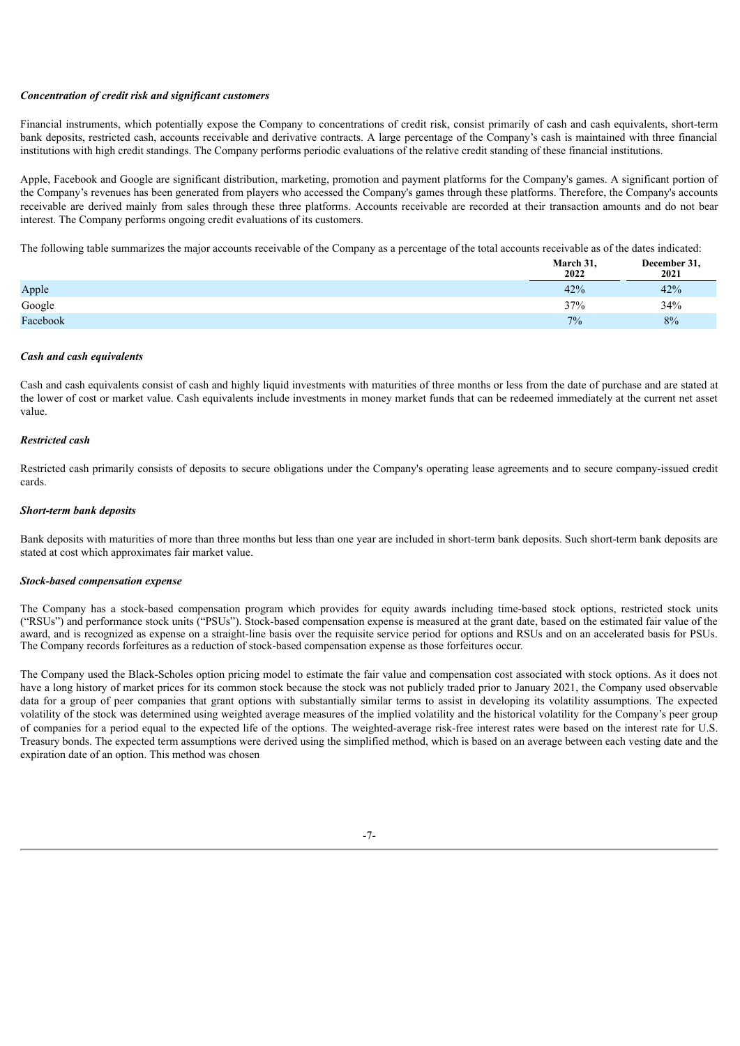#### *Concentration of credit risk and significant customers*

Financial instruments, which potentially expose the Company to concentrations of credit risk, consist primarily of cash and cash equivalents, short-term bank deposits, restricted cash, accounts receivable and derivative contracts. A large percentage of the Company's cash is maintained with three financial institutions with high credit standings. The Company performs periodic evaluations of the relative credit standing of these financial institutions.

Apple, Facebook and Google are significant distribution, marketing, promotion and payment platforms for the Company's games. A significant portion of the Company's revenues has been generated from players who accessed the Company's games through these platforms. Therefore, the Company's accounts receivable are derived mainly from sales through these three platforms. Accounts receivable are recorded at their transaction amounts and do not bear interest. The Company performs ongoing credit evaluations of its customers.

The following table summarizes the major accounts receivable of the Company as a percentage of the total accounts receivable as of the dates indicated:

|          | March 31,<br>2022 | December 31,<br>2021 |
|----------|-------------------|----------------------|
| Apple    | 42%               | 42%                  |
| Google   | 37%               | 34%                  |
| Facebook | 7%                | 8%                   |

#### *Cash and cash equivalents*

Cash and cash equivalents consist of cash and highly liquid investments with maturities of three months or less from the date of purchase and are stated at the lower of cost or market value. Cash equivalents include investments in money market funds that can be redeemed immediately at the current net asset value.

## *Restricted cash*

Restricted cash primarily consists of deposits to secure obligations under the Company's operating lease agreements and to secure company-issued credit cards.

#### *Short-term bank deposits*

Bank deposits with maturities of more than three months but less than one year are included in short-term bank deposits. Such short-term bank deposits are stated at cost which approximates fair market value.

#### *Stock-based compensation expense*

The Company has a stock-based compensation program which provides for equity awards including time-based stock options, restricted stock units ("RSUs") and performance stock units ("PSUs"). Stock-based compensation expense is measured at the grant date, based on the estimated fair value of the award, and is recognized as expense on a straight-line basis over the requisite service period for options and RSUs and on an accelerated basis for PSUs. The Company records forfeitures as a reduction of stock-based compensation expense as those forfeitures occur.

The Company used the Black-Scholes option pricing model to estimate the fair value and compensation cost associated with stock options. As it does not have a long history of market prices for its common stock because the stock was not publicly traded prior to January 2021, the Company used observable data for a group of peer companies that grant options with substantially similar terms to assist in developing its volatility assumptions. The expected volatility of the stock was determined using weighted average measures of the implied volatility and the historical volatility for the Company's peer group of companies for a period equal to the expected life of the options. The weighted-average risk-free interest rates were based on the interest rate for U.S. Treasury bonds. The expected term assumptions were derived using the simplified method, which is based on an average between each vesting date and the expiration date of an option. This method was chosen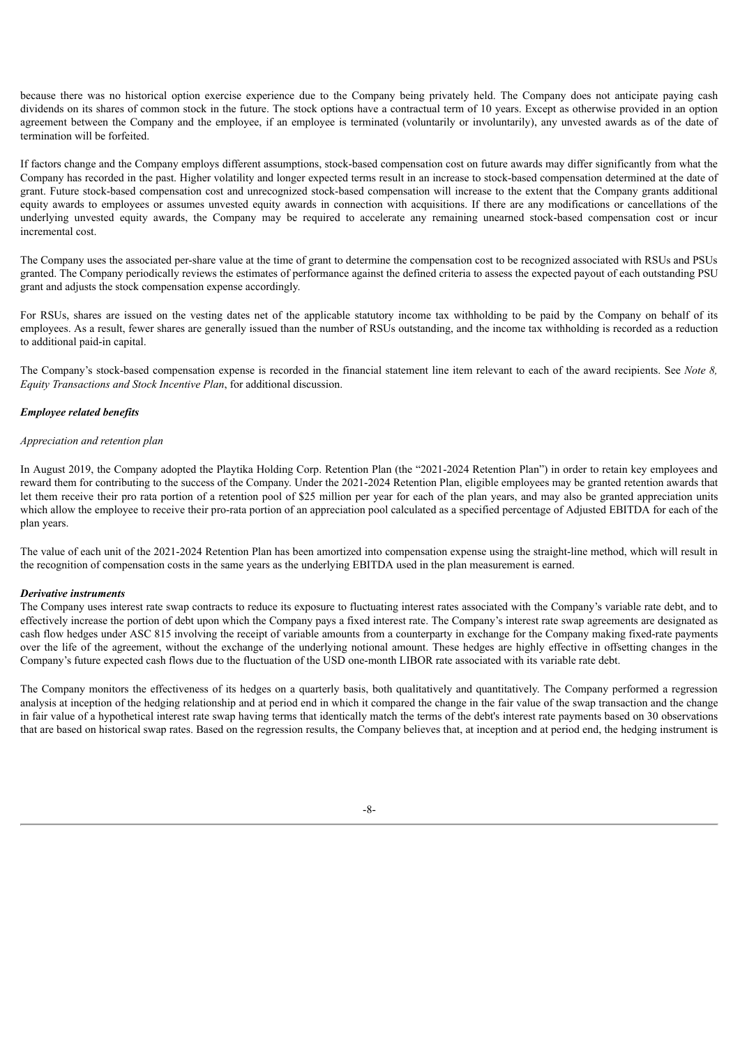because there was no historical option exercise experience due to the Company being privately held. The Company does not anticipate paying cash dividends on its shares of common stock in the future. The stock options have a contractual term of 10 years. Except as otherwise provided in an option agreement between the Company and the employee, if an employee is terminated (voluntarily or involuntarily), any unvested awards as of the date of termination will be forfeited.

If factors change and the Company employs different assumptions, stock-based compensation cost on future awards may differ significantly from what the Company has recorded in the past. Higher volatility and longer expected terms result in an increase to stock-based compensation determined at the date of grant. Future stock-based compensation cost and unrecognized stock-based compensation will increase to the extent that the Company grants additional equity awards to employees or assumes unvested equity awards in connection with acquisitions. If there are any modifications or cancellations of the underlying unvested equity awards, the Company may be required to accelerate any remaining unearned stock-based compensation cost or incur incremental cost.

The Company uses the associated per-share value at the time of grant to determine the compensation cost to be recognized associated with RSUs and PSUs granted. The Company periodically reviews the estimates of performance against the defined criteria to assess the expected payout of each outstanding PSU grant and adjusts the stock compensation expense accordingly.

For RSUs, shares are issued on the vesting dates net of the applicable statutory income tax withholding to be paid by the Company on behalf of its employees. As a result, fewer shares are generally issued than the number of RSUs outstanding, and the income tax withholding is recorded as a reduction to additional paid-in capital.

The Company's stock-based compensation expense is recorded in the financial statement line item relevant to each of the award recipients. See *Note 8, Equity Transactions and Stock Incentive Plan*, for additional discussion.

## *Employee related benefits*

#### *Appreciation and retention plan*

In August 2019, the Company adopted the Playtika Holding Corp. Retention Plan (the "2021-2024 Retention Plan") in order to retain key employees and reward them for contributing to the success of the Company. Under the 2021-2024 Retention Plan, eligible employees may be granted retention awards that let them receive their pro rata portion of a retention pool of \$25 million per year for each of the plan years, and may also be granted appreciation units which allow the employee to receive their pro-rata portion of an appreciation pool calculated as a specified percentage of Adjusted EBITDA for each of the plan years.

The value of each unit of the 2021-2024 Retention Plan has been amortized into compensation expense using the straight-line method, which will result in the recognition of compensation costs in the same years as the underlying EBITDA used in the plan measurement is earned.

#### *Derivative instruments*

The Company uses interest rate swap contracts to reduce its exposure to fluctuating interest rates associated with the Company's variable rate debt, and to effectively increase the portion of debt upon which the Company pays a fixed interest rate. The Company's interest rate swap agreements are designated as cash flow hedges under ASC 815 involving the receipt of variable amounts from a counterparty in exchange for the Company making fixed-rate payments over the life of the agreement, without the exchange of the underlying notional amount. These hedges are highly effective in offsetting changes in the Company's future expected cash flows due to the fluctuation of the USD one-month LIBOR rate associated with its variable rate debt.

The Company monitors the effectiveness of its hedges on a quarterly basis, both qualitatively and quantitatively. The Company performed a regression analysis at inception of the hedging relationship and at period end in which it compared the change in the fair value of the swap transaction and the change in fair value of a hypothetical interest rate swap having terms that identically match the terms of the debt's interest rate payments based on 30 observations that are based on historical swap rates. Based on the regression results, the Company believes that, at inception and at period end, the hedging instrument is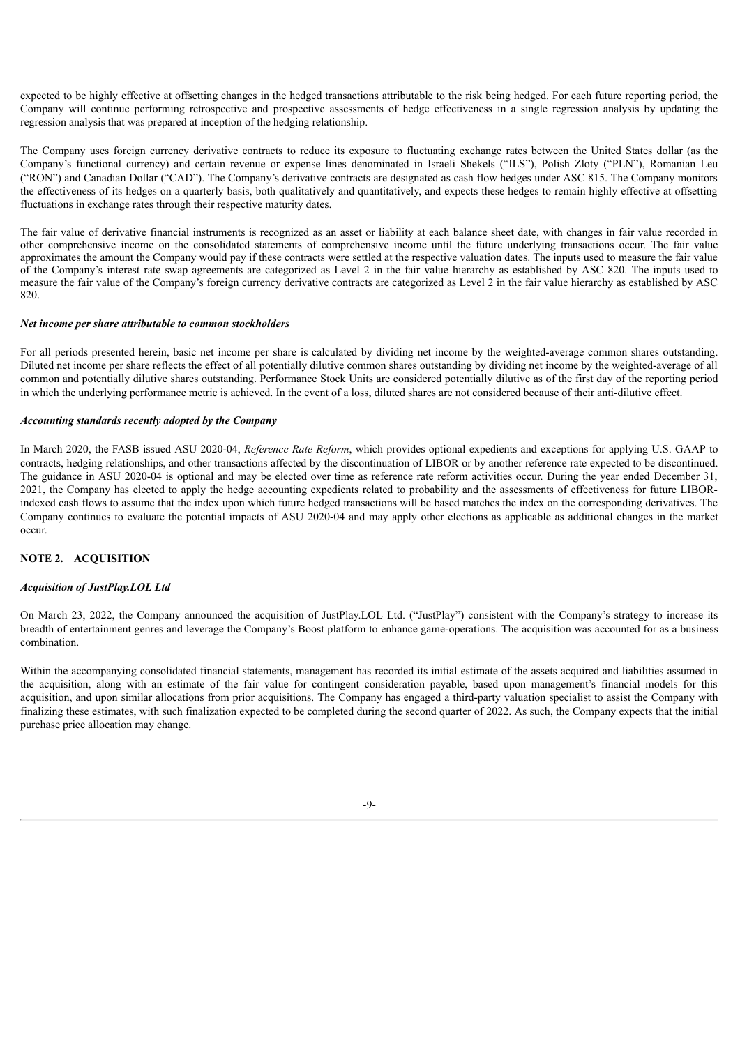expected to be highly effective at offsetting changes in the hedged transactions attributable to the risk being hedged. For each future reporting period, the Company will continue performing retrospective and prospective assessments of hedge effectiveness in a single regression analysis by updating the regression analysis that was prepared at inception of the hedging relationship.

The Company uses foreign currency derivative contracts to reduce its exposure to fluctuating exchange rates between the United States dollar (as the Company's functional currency) and certain revenue or expense lines denominated in Israeli Shekels ("ILS"), Polish Zloty ("PLN"), Romanian Leu ("RON") and Canadian Dollar ("CAD"). The Company's derivative contracts are designated as cash flow hedges under ASC 815. The Company monitors the effectiveness of its hedges on a quarterly basis, both qualitatively and quantitatively, and expects these hedges to remain highly effective at offsetting fluctuations in exchange rates through their respective maturity dates.

The fair value of derivative financial instruments is recognized as an asset or liability at each balance sheet date, with changes in fair value recorded in other comprehensive income on the consolidated statements of comprehensive income until the future underlying transactions occur. The fair value approximates the amount the Company would pay if these contracts were settled at the respective valuation dates. The inputs used to measure the fair value of the Company's interest rate swap agreements are categorized as Level 2 in the fair value hierarchy as established by ASC 820. The inputs used to measure the fair value of the Company's foreign currency derivative contracts are categorized as Level 2 in the fair value hierarchy as established by ASC 820.

#### *Net income per share attributable to common stockholders*

For all periods presented herein, basic net income per share is calculated by dividing net income by the weighted-average common shares outstanding. Diluted net income per share reflects the effect of all potentially dilutive common shares outstanding by dividing net income by the weighted-average of all common and potentially dilutive shares outstanding. Performance Stock Units are considered potentially dilutive as of the first day of the reporting period in which the underlying performance metric is achieved. In the event of a loss, diluted shares are not considered because of their anti-dilutive effect.

#### *Accounting standards recently adopted by the Company*

In March 2020, the FASB issued ASU 2020-04, *Reference Rate Reform*, which provides optional expedients and exceptions for applying U.S. GAAP to contracts, hedging relationships, and other transactions affected by the discontinuation of LIBOR or by another reference rate expected to be discontinued. The guidance in ASU 2020-04 is optional and may be elected over time as reference rate reform activities occur. During the year ended December 31, 2021, the Company has elected to apply the hedge accounting expedients related to probability and the assessments of effectiveness for future LIBORindexed cash flows to assume that the index upon which future hedged transactions will be based matches the index on the corresponding derivatives. The Company continues to evaluate the potential impacts of ASU 2020-04 and may apply other elections as applicable as additional changes in the market occur.

## **NOTE 2. ACQUISITION**

#### *Acquisition of JustPlay.LOL Ltd*

On March 23, 2022, the Company announced the acquisition of JustPlay.LOL Ltd. ("JustPlay") consistent with the Company's strategy to increase its breadth of entertainment genres and leverage the Company's Boost platform to enhance game-operations. The acquisition was accounted for as a business combination.

Within the accompanying consolidated financial statements, management has recorded its initial estimate of the assets acquired and liabilities assumed in the acquisition, along with an estimate of the fair value for contingent consideration payable, based upon management's financial models for this acquisition, and upon similar allocations from prior acquisitions. The Company has engaged a third-party valuation specialist to assist the Company with finalizing these estimates, with such finalization expected to be completed during the second quarter of 2022. As such, the Company expects that the initial purchase price allocation may change.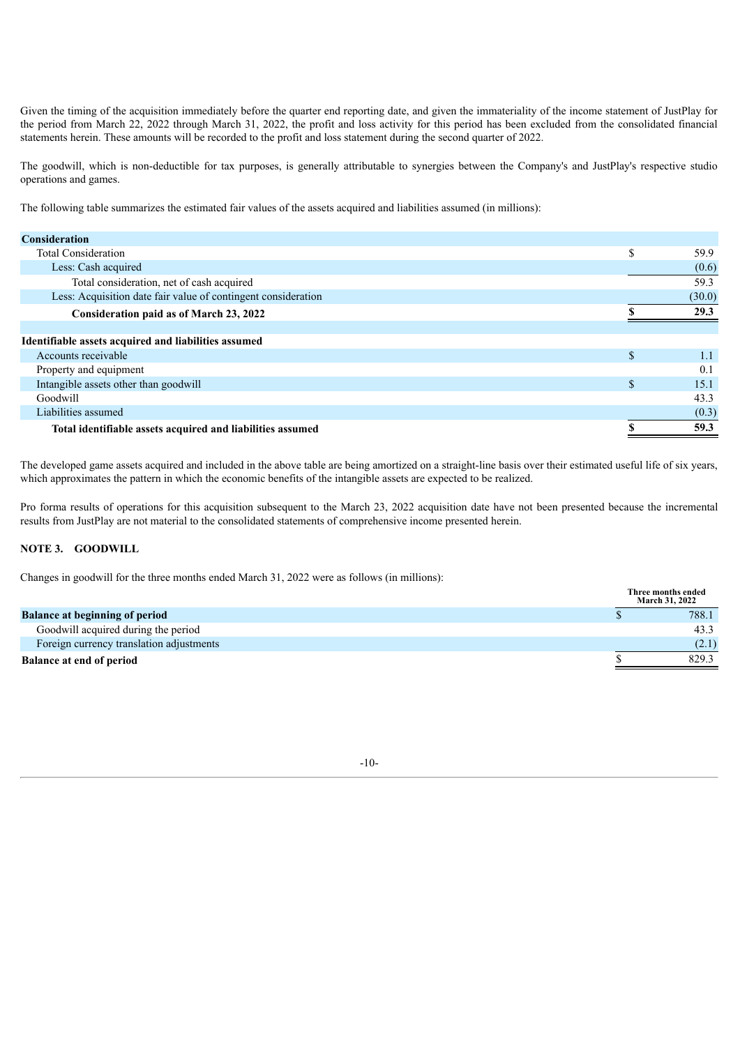Given the timing of the acquisition immediately before the quarter end reporting date, and given the immateriality of the income statement of JustPlay for the period from March 22, 2022 through March 31, 2022, the profit and loss activity for this period has been excluded from the consolidated financial statements herein. These amounts will be recorded to the profit and loss statement during the second quarter of 2022.

The goodwill, which is non-deductible for tax purposes, is generally attributable to synergies between the Company's and JustPlay's respective studio operations and games.

The following table summarizes the estimated fair values of the assets acquired and liabilities assumed (in millions):

| <b>Consideration</b>                                          |                    |        |
|---------------------------------------------------------------|--------------------|--------|
| <b>Total Consideration</b>                                    | \$                 | 59.9   |
| Less: Cash acquired                                           |                    | (0.6)  |
| Total consideration, net of cash acquired                     |                    | 59.3   |
| Less: Acquisition date fair value of contingent consideration |                    | (30.0) |
| Consideration paid as of March 23, 2022                       |                    | 29.3   |
|                                                               |                    |        |
| Identifiable assets acquired and liabilities assumed          |                    |        |
| Accounts receivable                                           | $\mathbf{\hat{S}}$ | 1.1    |
| Property and equipment                                        |                    | 0.1    |
| Intangible assets other than goodwill                         | $\mathcal{S}$      | 15.1   |
| Goodwill                                                      |                    | 43.3   |
| Liabilities assumed                                           |                    | (0.3)  |
| Total identifiable assets acquired and liabilities assumed    |                    | 59.3   |
|                                                               |                    |        |

The developed game assets acquired and included in the above table are being amortized on a straight-line basis over their estimated useful life of six years, which approximates the pattern in which the economic benefits of the intangible assets are expected to be realized.

Pro forma results of operations for this acquisition subsequent to the March 23, 2022 acquisition date have not been presented because the incremental results from JustPlay are not material to the consolidated statements of comprehensive income presented herein.

# **NOTE 3. GOODWILL**

Changes in goodwill for the three months ended March 31, 2022 were as follows (in millions):

|                                          | Three months ended<br><b>March 31, 2022</b> |
|------------------------------------------|---------------------------------------------|
| <b>Balance at beginning of period</b>    | 788.1                                       |
| Goodwill acquired during the period      | 43.3                                        |
| Foreign currency translation adjustments | (2.1)                                       |
| Balance at end of period                 | 829.3                                       |

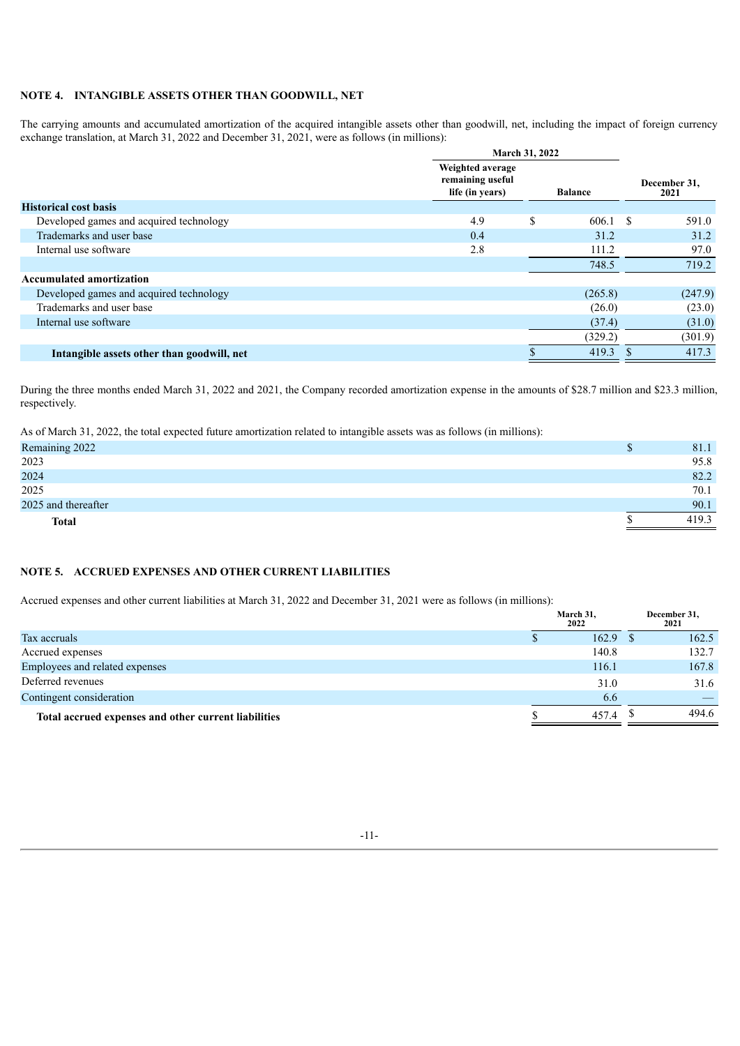## **NOTE 4. INTANGIBLE ASSETS OTHER THAN GOODWILL, NET**

The carrying amounts and accumulated amortization of the acquired intangible assets other than goodwill, net, including the impact of foreign currency exchange translation, at March 31, 2022 and December 31, 2021, were as follows (in millions):

|                                            | <b>March 31, 2022</b>                                   |    |                |      |                      |
|--------------------------------------------|---------------------------------------------------------|----|----------------|------|----------------------|
|                                            | Weighted average<br>remaining useful<br>life (in years) |    | <b>Balance</b> |      | December 31.<br>2021 |
| <b>Historical cost basis</b>               |                                                         |    |                |      |                      |
| Developed games and acquired technology    | 4.9                                                     | \$ | 606.1          | - \$ | 591.0                |
| Trademarks and user base                   | 0.4                                                     |    | 31.2           |      | 31.2                 |
| Internal use software                      | 2.8                                                     |    | 111.2          |      | 97.0                 |
|                                            |                                                         |    | 748.5          |      | 719.2                |
| <b>Accumulated amortization</b>            |                                                         |    |                |      |                      |
| Developed games and acquired technology    |                                                         |    | (265.8)        |      | (247.9)              |
| Trademarks and user base                   |                                                         |    | (26.0)         |      | (23.0)               |
| Internal use software                      |                                                         |    | (37.4)         |      | (31.0)               |
|                                            |                                                         |    | (329.2)        |      | (301.9)              |
| Intangible assets other than goodwill, net |                                                         |    | 419.3          |      | 417.3                |

During the three months ended March 31, 2022 and 2021, the Company recorded amortization expense in the amounts of \$28.7 million and \$23.3 million, respectively.

As of March 31, 2022, the total expected future amortization related to intangible assets was as follows (in millions):

| Remaining 2022      | 81.1  |
|---------------------|-------|
| 2023                | 95.8  |
| 2024                | 82.2  |
| 2025                | 70.1  |
| 2025 and thereafter | 90.1  |
| <b>Total</b>        | 419.3 |

## **NOTE 5. ACCRUED EXPENSES AND OTHER CURRENT LIABILITIES**

Accrued expenses and other current liabilities at March 31, 2022 and December 31, 2021 were as follows (in millions):

|                                                      | March 31,<br>2022 | December 31,<br>2021 |  |  |
|------------------------------------------------------|-------------------|----------------------|--|--|
| Tax accruals                                         | 162.9             | 162.5                |  |  |
| Accrued expenses                                     | 140.8             | 132.7                |  |  |
| Employees and related expenses                       | 116.1             | 167.8                |  |  |
| Deferred revenues                                    | 31.0              | 31.6                 |  |  |
| Contingent consideration                             | 6.6               |                      |  |  |
| Total accrued expenses and other current liabilities | 457.4             | 494.6                |  |  |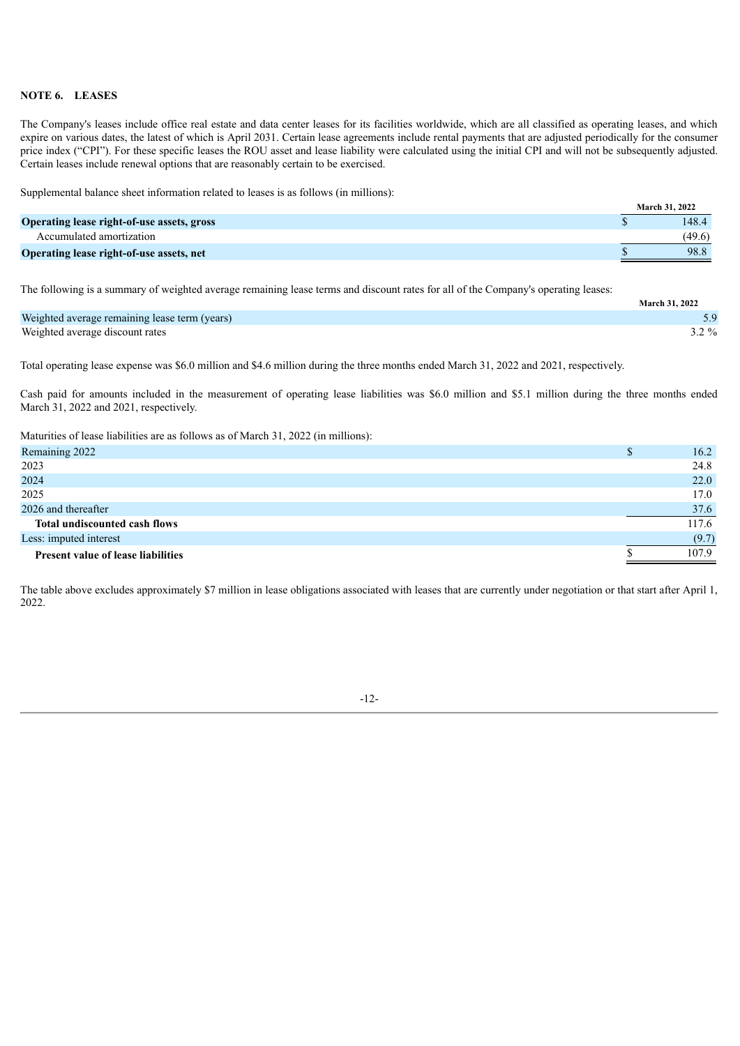# **NOTE 6. LEASES**

The Company's leases include office real estate and data center leases for its facilities worldwide, which are all classified as operating leases, and which expire on various dates, the latest of which is April 2031. Certain lease agreements include rental payments that are adjusted periodically for the consumer price index ("CPI"). For these specific leases the ROU asset and lease liability were calculated using the initial CPI and will not be subsequently adjusted. Certain leases include renewal options that are reasonably certain to be exercised.

Supplemental balance sheet information related to leases is as follows (in millions):

|                                            | <b>March 31, 2022</b> |
|--------------------------------------------|-----------------------|
| Operating lease right-of-use assets, gross | 148.4                 |
| Accumulated amortization                   | (49.6)                |
| Operating lease right-of-use assets, net   | 98.8                  |

The following is a summary of weighted average remaining lease terms and discount rates for all of the Company's operating leases:

|                                               | <b>March 31, 2022</b> |
|-----------------------------------------------|-----------------------|
| Weighted average remaining lease term (years) |                       |
| Weighted average discount rates               | $3.2\%$               |

Total operating lease expense was \$6.0 million and \$4.6 million during the three months ended March 31, 2022 and 2021, respectively.

Cash paid for amounts included in the measurement of operating lease liabilities was \$6.0 million and \$5.1 million during the three months ended March 31, 2022 and 2021, respectively.

Maturities of lease liabilities are as follows as of March 31, 2022 (in millions):

| Remaining 2022                            | 16.2  |
|-------------------------------------------|-------|
| 2023                                      | 24.8  |
| 2024                                      | 22.0  |
| 2025                                      | 17.0  |
| 2026 and thereafter                       | 37.6  |
| <b>Total undiscounted cash flows</b>      | 117.6 |
| Less: imputed interest                    | (9.7) |
| <b>Present value of lease liabilities</b> | 107.9 |

The table above excludes approximately \$7 million in lease obligations associated with leases that are currently under negotiation or that start after April 1, 2022.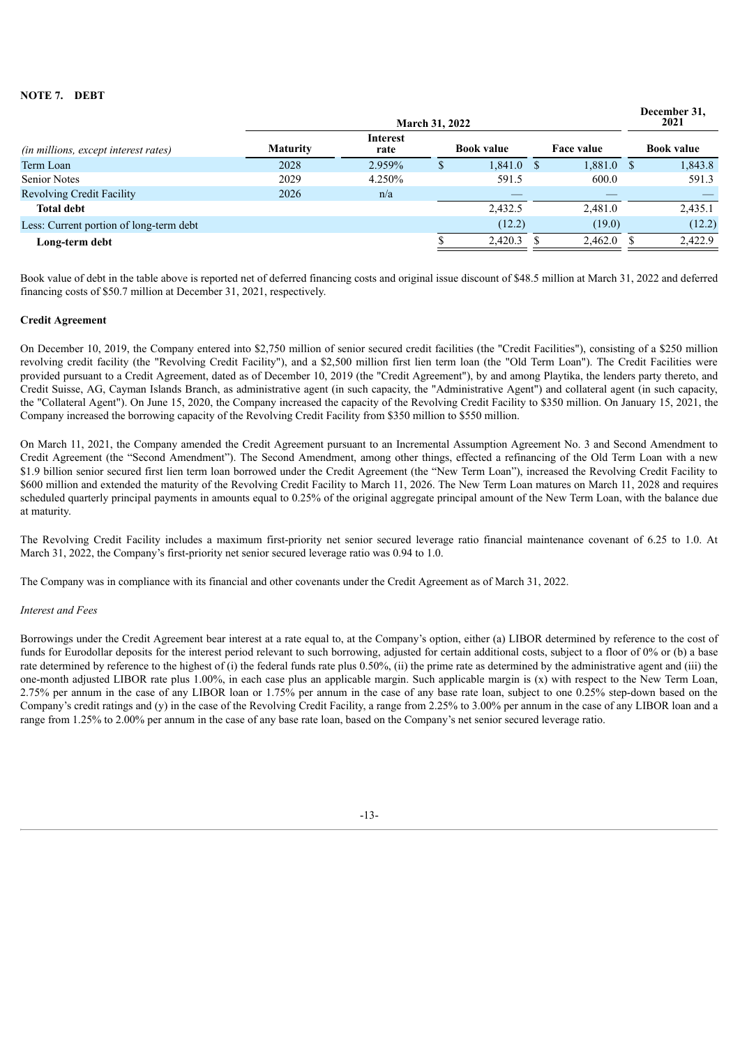#### **NOTE 7. DEBT**

| <b>March 31, 2022</b>                       |                 |                  |  |                   |                   | Detember 21,<br>2021 |                   |
|---------------------------------------------|-----------------|------------------|--|-------------------|-------------------|----------------------|-------------------|
| <i>(in millions, except interest rates)</i> | <b>Maturity</b> | Interest<br>rate |  | <b>Book value</b> | <b>Face value</b> |                      | <b>Book value</b> |
| Term Loan                                   | 2028            | 2.959%           |  | 1,841.0           | 1,881.0           | - S                  | 1,843.8           |
| <b>Senior Notes</b>                         | 2029            | 4.250%           |  | 591.5             | 600.0             |                      | 591.3             |
| <b>Revolving Credit Facility</b>            | 2026            | n/a              |  |                   |                   |                      |                   |
| <b>Total debt</b>                           |                 |                  |  | 2,432.5           | 2,481.0           |                      | 2,435.1           |
| Less: Current portion of long-term debt     |                 |                  |  | (12.2)            | (19.0)            |                      | (12.2)            |
| Long-term debt                              |                 |                  |  | 2,420.3           | 2.462.0           |                      | 2.422.9           |
|                                             |                 |                  |  |                   |                   |                      |                   |

**December 31,**

Book value of debt in the table above is reported net of deferred financing costs and original issue discount of \$48.5 million at March 31, 2022 and deferred financing costs of \$50.7 million at December 31, 2021, respectively.

#### **Credit Agreement**

On December 10, 2019, the Company entered into \$2,750 million of senior secured credit facilities (the "Credit Facilities"), consisting of a \$250 million revolving credit facility (the "Revolving Credit Facility"), and a \$2,500 million first lien term loan (the "Old Term Loan"). The Credit Facilities were provided pursuant to a Credit Agreement, dated as of December 10, 2019 (the "Credit Agreement"), by and among Playtika, the lenders party thereto, and Credit Suisse, AG, Cayman Islands Branch, as administrative agent (in such capacity, the "Administrative Agent") and collateral agent (in such capacity, the "Collateral Agent"). On June 15, 2020, the Company increased the capacity of the Revolving Credit Facility to \$350 million. On January 15, 2021, the Company increased the borrowing capacity of the Revolving Credit Facility from \$350 million to \$550 million.

On March 11, 2021, the Company amended the Credit Agreement pursuant to an Incremental Assumption Agreement No. 3 and Second Amendment to Credit Agreement (the "Second Amendment"). The Second Amendment, among other things, effected a refinancing of the Old Term Loan with a new \$1.9 billion senior secured first lien term loan borrowed under the Credit Agreement (the "New Term Loan"), increased the Revolving Credit Facility to \$600 million and extended the maturity of the Revolving Credit Facility to March 11, 2026. The New Term Loan matures on March 11, 2028 and requires scheduled quarterly principal payments in amounts equal to 0.25% of the original aggregate principal amount of the New Term Loan, with the balance due at maturity.

The Revolving Credit Facility includes a maximum first-priority net senior secured leverage ratio financial maintenance covenant of 6.25 to 1.0. At March 31, 2022, the Company's first-priority net senior secured leverage ratio was 0.94 to 1.0.

The Company was in compliance with its financial and other covenants under the Credit Agreement as of March 31, 2022.

## *Interest and Fees*

Borrowings under the Credit Agreement bear interest at a rate equal to, at the Company's option, either (a) LIBOR determined by reference to the cost of funds for Eurodollar deposits for the interest period relevant to such borrowing, adjusted for certain additional costs, subject to a floor of 0% or (b) a base rate determined by reference to the highest of (i) the federal funds rate plus 0.50%, (ii) the prime rate as determined by the administrative agent and (iii) the one-month adjusted LIBOR rate plus 1.00%, in each case plus an applicable margin. Such applicable margin is (x) with respect to the New Term Loan, 2.75% per annum in the case of any LIBOR loan or 1.75% per annum in the case of any base rate loan, subject to one 0.25% step-down based on the Company's credit ratings and (y) in the case of the Revolving Credit Facility, a range from 2.25% to 3.00% per annum in the case of any LIBOR loan and a range from 1.25% to 2.00% per annum in the case of any base rate loan, based on the Company's net senior secured leverage ratio.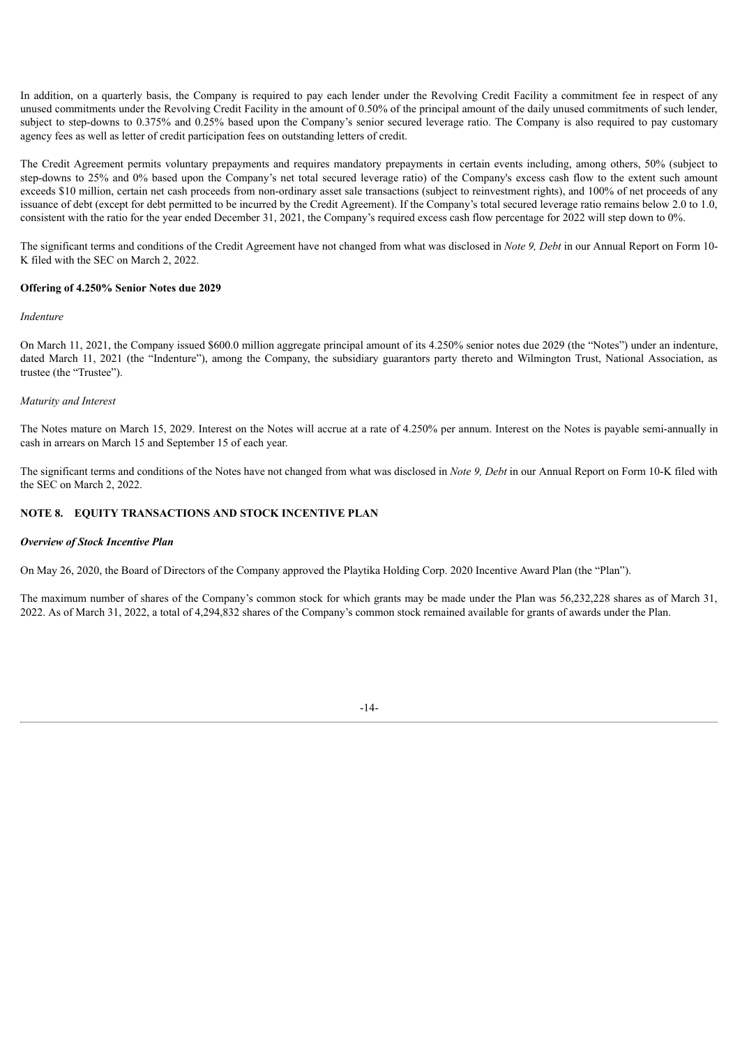In addition, on a quarterly basis, the Company is required to pay each lender under the Revolving Credit Facility a commitment fee in respect of any unused commitments under the Revolving Credit Facility in the amount of 0.50% of the principal amount of the daily unused commitments of such lender, subject to step-downs to 0.375% and 0.25% based upon the Company's senior secured leverage ratio. The Company is also required to pay customary agency fees as well as letter of credit participation fees on outstanding letters of credit.

The Credit Agreement permits voluntary prepayments and requires mandatory prepayments in certain events including, among others, 50% (subject to step-downs to 25% and 0% based upon the Company's net total secured leverage ratio) of the Company's excess cash flow to the extent such amount exceeds \$10 million, certain net cash proceeds from non-ordinary asset sale transactions (subject to reinvestment rights), and 100% of net proceeds of any issuance of debt (except for debt permitted to be incurred by the Credit Agreement). If the Company's total secured leverage ratio remains below 2.0 to 1.0, consistent with the ratio for the year ended December 31, 2021, the Company's required excess cash flow percentage for 2022 will step down to 0%.

The significant terms and conditions of the Credit Agreement have not changed from what was disclosed in *Note 9, Debt* in our Annual Report on Form 10- K filed with the SEC on March 2, 2022.

#### **Offering of 4.250% Senior Notes due 2029**

#### *Indenture*

On March 11, 2021, the Company issued \$600.0 million aggregate principal amount of its 4.250% senior notes due 2029 (the "Notes") under an indenture, dated March 11, 2021 (the "Indenture"), among the Company, the subsidiary guarantors party thereto and Wilmington Trust, National Association, as trustee (the "Trustee").

#### *Maturity and Interest*

The Notes mature on March 15, 2029. Interest on the Notes will accrue at a rate of 4.250% per annum. Interest on the Notes is payable semi-annually in cash in arrears on March 15 and September 15 of each year.

The significant terms and conditions of the Notes have not changed from what was disclosed in *Note 9, Debt* in our Annual Report on Form 10-K filed with the SEC on March 2, 2022.

## **NOTE 8. EQUITY TRANSACTIONS AND STOCK INCENTIVE PLAN**

#### *Overview of Stock Incentive Plan*

On May 26, 2020, the Board of Directors of the Company approved the Playtika Holding Corp. 2020 Incentive Award Plan (the "Plan").

The maximum number of shares of the Company's common stock for which grants may be made under the Plan was 56,232,228 shares as of March 31, 2022. As of March 31, 2022, a total of 4,294,832 shares of the Company's common stock remained available for grants of awards under the Plan.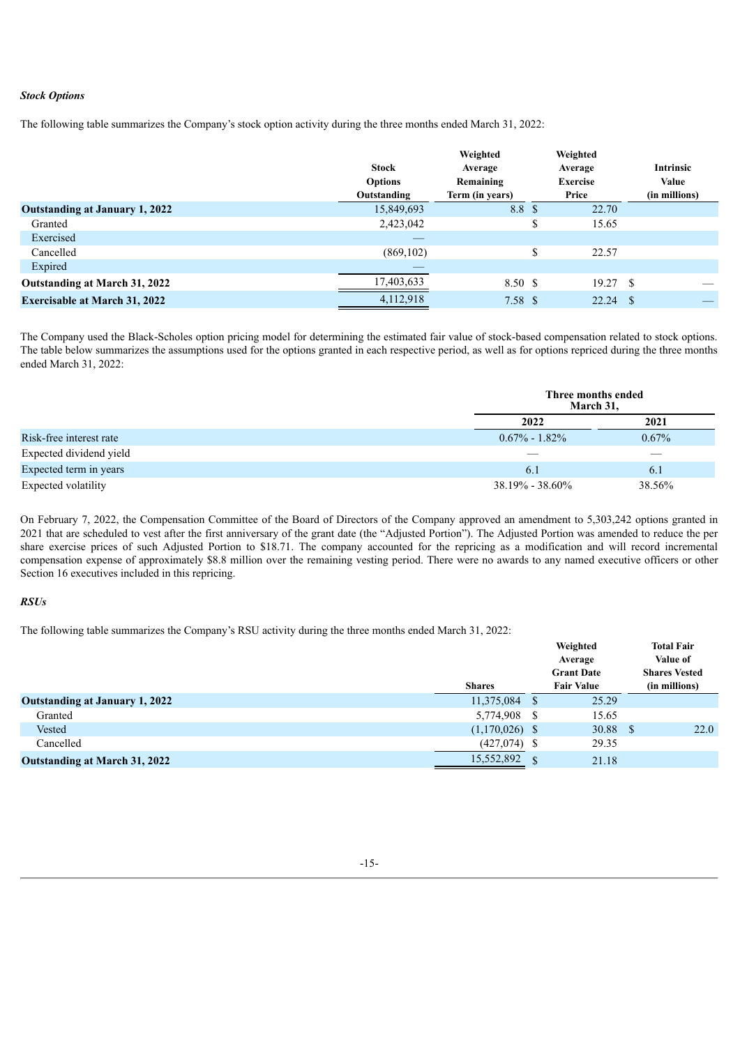## *Stock Options*

The following table summarizes the Company's stock option activity during the three months ended March 31, 2022:

|                                      | <b>Stock</b>                  | Weighted<br>Average          |              | Weighted<br>Average      | <b>Intrinsic</b>              |  |
|--------------------------------------|-------------------------------|------------------------------|--------------|--------------------------|-------------------------------|--|
|                                      | <b>Options</b><br>Outstanding | Remaining<br>Term (in years) |              | <b>Exercise</b><br>Price | <b>Value</b><br>(in millions) |  |
| Outstanding at January 1, 2022       | 15,849,693                    | 8.8                          | <sup>S</sup> | 22.70                    |                               |  |
| Granted                              | 2,423,042                     |                              |              | 15.65                    |                               |  |
| Exercised                            |                               |                              |              |                          |                               |  |
| Cancelled                            | (869, 102)                    |                              |              | 22.57                    |                               |  |
| Expired                              |                               |                              |              |                          |                               |  |
| Outstanding at March 31, 2022        | 17,403,633                    | 8.50 \$                      |              | 19.27                    | - \$                          |  |
| <b>Exercisable at March 31, 2022</b> | 4,112,918                     | 7.58 \$                      |              | 22.24                    | -S                            |  |

The Company used the Black-Scholes option pricing model for determining the estimated fair value of stock-based compensation related to stock options. The table below summarizes the assumptions used for the options granted in each respective period, as well as for options repriced during the three months ended March 31, 2022:

|                         | Three months ended<br>March 31, |          |
|-------------------------|---------------------------------|----------|
|                         | 2022                            | 2021     |
| Risk-free interest rate | $0.67\% - 1.82\%$               | $0.67\%$ |
| Expected dividend yield |                                 |          |
| Expected term in years  | 6.1                             | 6.1      |
| Expected volatility     | $38.19\% - 38.60\%$             | 38.56%   |

On February 7, 2022, the Compensation Committee of the Board of Directors of the Company approved an amendment to 5,303,242 options granted in 2021 that are scheduled to vest after the first anniversary of the grant date (the "Adjusted Portion"). The Adjusted Portion was amended to reduce the per share exercise prices of such Adjusted Portion to \$18.71. The company accounted for the repricing as a modification and will record incremental compensation expense of approximately \$8.8 million over the remaining vesting period. There were no awards to any named executive officers or other Section 16 executives included in this repricing.

## *RSUs*

The following table summarizes the Company's RSU activity during the three months ended March 31, 2022:

|                                |                  | Weighted<br>Average<br><b>Grant Date</b> |                   |      | <b>Total Fair</b><br>Value of<br><b>Shares Vested</b> |
|--------------------------------|------------------|------------------------------------------|-------------------|------|-------------------------------------------------------|
|                                | <b>Shares</b>    |                                          | <b>Fair Value</b> |      | (in millions)                                         |
| Outstanding at January 1, 2022 | 11,375,084       | S                                        | 25.29             |      |                                                       |
| Granted                        | 5,774,908        |                                          | 15.65             |      |                                                       |
| Vested                         | $(1,170,026)$ \$ |                                          | 30.88             | - \$ | 22.0                                                  |
| Cancelled                      | $(427,074)$ \$   |                                          | 29.35             |      |                                                       |
| Outstanding at March 31, 2022  | 15,552,892       |                                          | 21.18             |      |                                                       |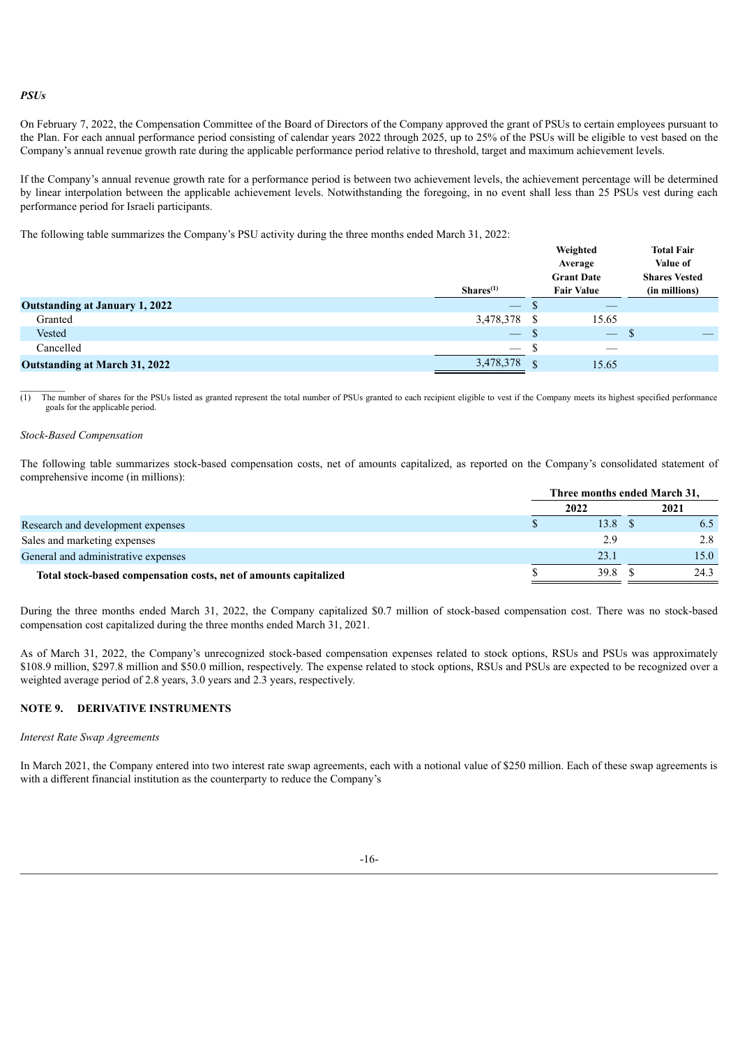## *PSUs*

On February 7, 2022, the Compensation Committee of the Board of Directors of the Company approved the grant of PSUs to certain employees pursuant to the Plan. For each annual performance period consisting of calendar years 2022 through 2025, up to 25% of the PSUs will be eligible to vest based on the Company's annual revenue growth rate during the applicable performance period relative to threshold, target and maximum achievement levels.

If the Company's annual revenue growth rate for a performance period is between two achievement levels, the achievement percentage will be determined by linear interpolation between the applicable achievement levels. Notwithstanding the foregoing, in no event shall less than 25 PSUs vest during each performance period for Israeli participants.

The following table summarizes the Company's PSU activity during the three months ended March 31, 2022:

|                                       |                               | Weighted<br>Average<br><b>Grant Date</b> |                          |    | <b>Total Fair</b><br>Value of<br><b>Shares Vested</b> |
|---------------------------------------|-------------------------------|------------------------------------------|--------------------------|----|-------------------------------------------------------|
|                                       | $Shares^{(1)}$                |                                          | <b>Fair Value</b>        |    | (in millions)                                         |
| <b>Outstanding at January 1, 2022</b> | $-$                           | ٠D                                       |                          |    |                                                       |
| Granted                               | 3,478,378                     |                                          | 15.65                    |    |                                                       |
| Vested                                | $\overline{\phantom{a}}$      | -S                                       | $\overline{\phantom{a}}$ | -8 |                                                       |
| Cancelled                             | $\overbrace{\phantom{13333}}$ |                                          | ___                      |    |                                                       |
| Outstanding at March 31, 2022         | 3,478,378                     |                                          | 15.65                    |    |                                                       |

*\_\_\_\_\_\_\_\_*  $\overline{(1)}$  The number of shares for the PSUs listed as granted represent the total number of PSUs granted to each recipient eligible to vest if the Company meets its highest specified performance goals for the applicable period.

#### *Stock-Based Compensation*

The following table summarizes stock-based compensation costs, net of amounts capitalized, as reported on the Company's consolidated statement of comprehensive income (in millions):

|                                                                  | Three months ended March 31, |  |      |  |
|------------------------------------------------------------------|------------------------------|--|------|--|
|                                                                  | 2022                         |  | 2021 |  |
| Research and development expenses                                | 13.8 <sup>8</sup>            |  | 6.5  |  |
| Sales and marketing expenses                                     | 2.9                          |  | 2.8  |  |
| General and administrative expenses                              | 23.1                         |  | 15.0 |  |
| Total stock-based compensation costs, net of amounts capitalized | 39.8                         |  |      |  |

During the three months ended March 31, 2022, the Company capitalized \$0.7 million of stock-based compensation cost. There was no stock-based compensation cost capitalized during the three months ended March 31, 2021.

As of March 31, 2022, the Company's unrecognized stock-based compensation expenses related to stock options, RSUs and PSUs was approximately \$108.9 million, \$297.8 million and \$50.0 million, respectively. The expense related to stock options, RSUs and PSUs are expected to be recognized over a weighted average period of 2.8 years, 3.0 years and 2.3 years, respectively.

## **NOTE 9. DERIVATIVE INSTRUMENTS**

#### *Interest Rate Swap Agreements*

In March 2021, the Company entered into two interest rate swap agreements, each with a notional value of \$250 million. Each of these swap agreements is with a different financial institution as the counterparty to reduce the Company's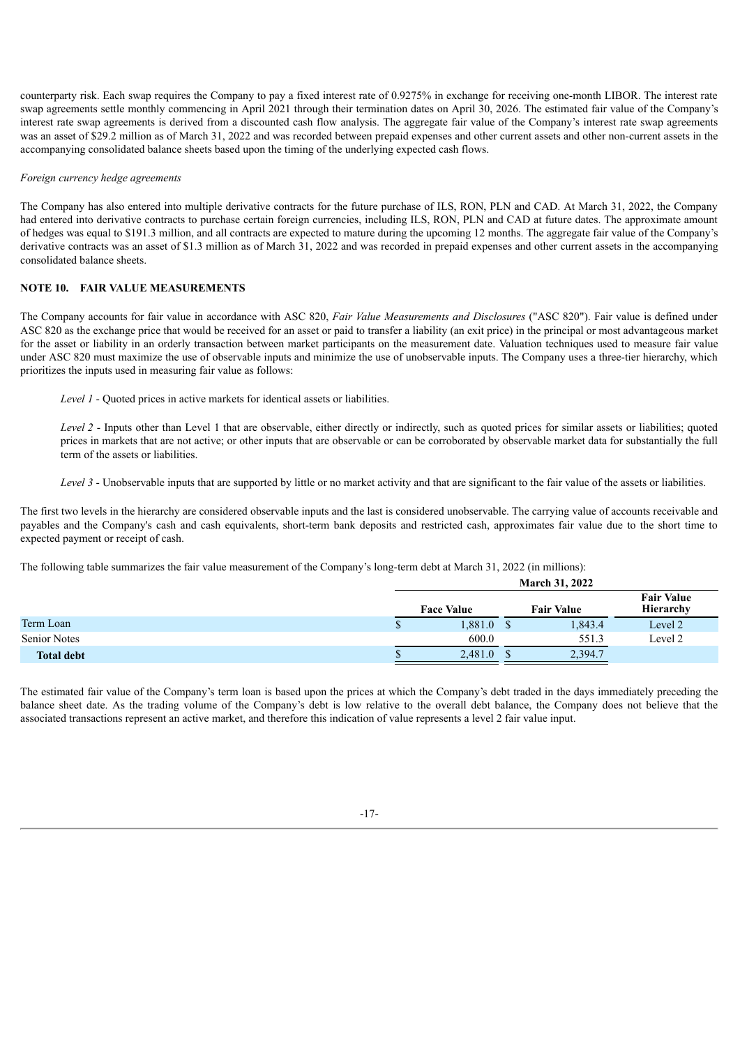counterparty risk. Each swap requires the Company to pay a fixed interest rate of 0.9275% in exchange for receiving one-month LIBOR. The interest rate swap agreements settle monthly commencing in April 2021 through their termination dates on April 30, 2026. The estimated fair value of the Company's interest rate swap agreements is derived from a discounted cash flow analysis. The aggregate fair value of the Company's interest rate swap agreements was an asset of \$29.2 million as of March 31, 2022 and was recorded between prepaid expenses and other current assets and other non-current assets in the accompanying consolidated balance sheets based upon the timing of the underlying expected cash flows.

#### *Foreign currency hedge agreements*

The Company has also entered into multiple derivative contracts for the future purchase of ILS, RON, PLN and CAD. At March 31, 2022, the Company had entered into derivative contracts to purchase certain foreign currencies, including ILS, RON, PLN and CAD at future dates. The approximate amount of hedges was equal to \$191.3 million, and all contracts are expected to mature during the upcoming 12 months. The aggregate fair value of the Company's derivative contracts was an asset of \$1.3 million as of March 31, 2022 and was recorded in prepaid expenses and other current assets in the accompanying consolidated balance sheets.

## **NOTE 10. FAIR VALUE MEASUREMENTS**

The Company accounts for fair value in accordance with ASC 820, *Fair Value Measurements and Disclosures* ("ASC 820"). Fair value is defined under ASC 820 as the exchange price that would be received for an asset or paid to transfer a liability (an exit price) in the principal or most advantageous market for the asset or liability in an orderly transaction between market participants on the measurement date. Valuation techniques used to measure fair value under ASC 820 must maximize the use of observable inputs and minimize the use of unobservable inputs. The Company uses a three-tier hierarchy, which prioritizes the inputs used in measuring fair value as follows:

*Level 1* - Quoted prices in active markets for identical assets or liabilities.

*Level* 2 - Inputs other than Level 1 that are observable, either directly or indirectly, such as quoted prices for similar assets or liabilities; quoted prices in markets that are not active; or other inputs that are observable or can be corroborated by observable market data for substantially the full term of the assets or liabilities.

*Level 3* - Unobservable inputs that are supported by little or no market activity and that are significant to the fair value of the assets or liabilities.

**March 31, 2022**

The first two levels in the hierarchy are considered observable inputs and the last is considered unobservable. The carrying value of accounts receivable and payables and the Company's cash and cash equivalents, short-term bank deposits and restricted cash, approximates fair value due to the short time to expected payment or receipt of cash.

The following table summarizes the fair value measurement of the Company's long-term debt at March 31, 2022 (in millions):

|    | <b>Fair Value</b><br><b>Face Value</b> |  |         | <b>Fair Value</b><br>Hierarchy |
|----|----------------------------------------|--|---------|--------------------------------|
| Φ  | 1,881.0                                |  | 1,843.4 | Level 2                        |
|    | 600.0                                  |  | 551.3   | Level 2                        |
| ۰D | 2,481.0                                |  | 2,394.7 |                                |
|    |                                        |  |         |                                |

The estimated fair value of the Company's term loan is based upon the prices at which the Company's debt traded in the days immediately preceding the balance sheet date. As the trading volume of the Company's debt is low relative to the overall debt balance, the Company does not believe that the associated transactions represent an active market, and therefore this indication of value represents a level 2 fair value input.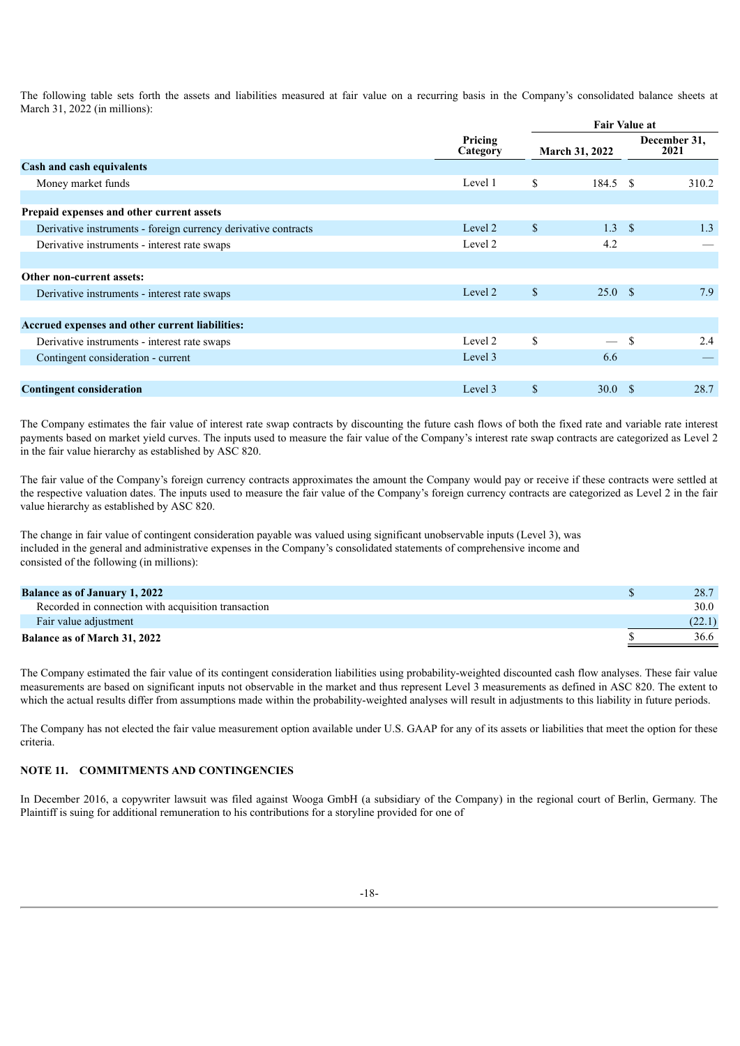The following table sets forth the assets and liabilities measured at fair value on a recurring basis in the Company's consolidated balance sheets at March 31, 2022 (in millions):

|                                                                |                     |              | <b>Fair Value at</b>  |               |                      |  |  |
|----------------------------------------------------------------|---------------------|--------------|-----------------------|---------------|----------------------|--|--|
|                                                                | Pricing<br>Category |              | <b>March 31, 2022</b> |               | December 31,<br>2021 |  |  |
| Cash and cash equivalents                                      |                     |              |                       |               |                      |  |  |
| Money market funds                                             | Level 1             | \$           | 184.5                 | <sup>\$</sup> | 310.2                |  |  |
|                                                                |                     |              |                       |               |                      |  |  |
| Prepaid expenses and other current assets                      |                     |              |                       |               |                      |  |  |
| Derivative instruments - foreign currency derivative contracts | Level 2             | \$           | 1.3                   | - \$          | 1.3                  |  |  |
| Derivative instruments - interest rate swaps                   | Level 2             |              | 4.2                   |               |                      |  |  |
|                                                                |                     |              |                       |               |                      |  |  |
| Other non-current assets:                                      |                     |              |                       |               |                      |  |  |
| Derivative instruments - interest rate swaps                   | Level 2             | $\mathbb{S}$ | 25.0 S                |               | 7.9                  |  |  |
|                                                                |                     |              |                       |               |                      |  |  |
| Accrued expenses and other current liabilities:                |                     |              |                       |               |                      |  |  |
| Derivative instruments - interest rate swaps                   | Level 2             | \$           | — \$                  |               | 2.4                  |  |  |
| Contingent consideration - current                             | Level 3             |              | 6.6                   |               |                      |  |  |
|                                                                |                     |              |                       |               |                      |  |  |
| <b>Contingent consideration</b>                                | Level 3             | \$           | 30.0                  | -\$           | 28.7                 |  |  |

The Company estimates the fair value of interest rate swap contracts by discounting the future cash flows of both the fixed rate and variable rate interest payments based on market yield curves. The inputs used to measure the fair value of the Company's interest rate swap contracts are categorized as Level 2 in the fair value hierarchy as established by ASC 820.

The fair value of the Company's foreign currency contracts approximates the amount the Company would pay or receive if these contracts were settled at the respective valuation dates. The inputs used to measure the fair value of the Company's foreign currency contracts are categorized as Level 2 in the fair value hierarchy as established by ASC 820.

The change in fair value of contingent consideration payable was valued using significant unobservable inputs (Level 3), was included in the general and administrative expenses in the Company's consolidated statements of comprehensive income and consisted of the following (in millions):

| <b>Balance as of January 1, 2022</b>                | 28.7   |
|-----------------------------------------------------|--------|
| Recorded in connection with acquisition transaction | 30.0   |
| Fair value adjustment                               | (22.1) |
| <b>Balance as of March 31, 2022</b>                 | 36.6   |

The Company estimated the fair value of its contingent consideration liabilities using probability-weighted discounted cash flow analyses. These fair value measurements are based on significant inputs not observable in the market and thus represent Level 3 measurements as defined in ASC 820. The extent to which the actual results differ from assumptions made within the probability-weighted analyses will result in adjustments to this liability in future periods.

The Company has not elected the fair value measurement option available under U.S. GAAP for any of its assets or liabilities that meet the option for these criteria.

#### **NOTE 11. COMMITMENTS AND CONTINGENCIES**

In December 2016, a copywriter lawsuit was filed against Wooga GmbH (a subsidiary of the Company) in the regional court of Berlin, Germany. The Plaintiff is suing for additional remuneration to his contributions for a storyline provided for one of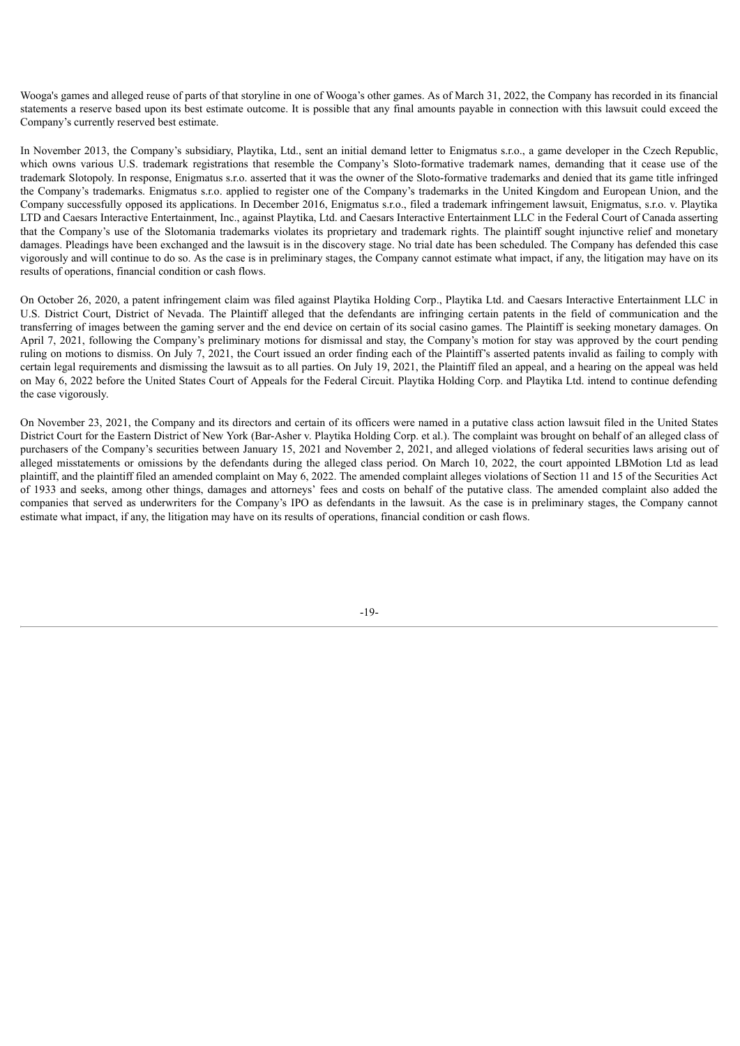Wooga's games and alleged reuse of parts of that storyline in one of Wooga's other games. As of March 31, 2022, the Company has recorded in its financial statements a reserve based upon its best estimate outcome. It is possible that any final amounts payable in connection with this lawsuit could exceed the Company's currently reserved best estimate.

In November 2013, the Company's subsidiary, Playtika, Ltd., sent an initial demand letter to Enigmatus s.r.o., a game developer in the Czech Republic, which owns various U.S. trademark registrations that resemble the Company's Sloto-formative trademark names, demanding that it cease use of the trademark Slotopoly. In response, Enigmatus s.r.o. asserted that it was the owner of the Sloto-formative trademarks and denied that its game title infringed the Company's trademarks. Enigmatus s.r.o. applied to register one of the Company's trademarks in the United Kingdom and European Union, and the Company successfully opposed its applications. In December 2016, Enigmatus s.r.o., filed a trademark infringement lawsuit, Enigmatus, s.r.o. v. Playtika LTD and Caesars Interactive Entertainment, Inc., against Playtika, Ltd. and Caesars Interactive Entertainment LLC in the Federal Court of Canada asserting that the Company's use of the Slotomania trademarks violates its proprietary and trademark rights. The plaintiff sought injunctive relief and monetary damages. Pleadings have been exchanged and the lawsuit is in the discovery stage. No trial date has been scheduled. The Company has defended this case vigorously and will continue to do so. As the case is in preliminary stages, the Company cannot estimate what impact, if any, the litigation may have on its results of operations, financial condition or cash flows.

On October 26, 2020, a patent infringement claim was filed against Playtika Holding Corp., Playtika Ltd. and Caesars Interactive Entertainment LLC in U.S. District Court, District of Nevada. The Plaintiff alleged that the defendants are infringing certain patents in the field of communication and the transferring of images between the gaming server and the end device on certain of its social casino games. The Plaintiff is seeking monetary damages. On April 7, 2021, following the Company's preliminary motions for dismissal and stay, the Company's motion for stay was approved by the court pending ruling on motions to dismiss. On July 7, 2021, the Court issued an order finding each of the Plaintiff's asserted patents invalid as failing to comply with certain legal requirements and dismissing the lawsuit as to all parties. On July 19, 2021, the Plaintiff filed an appeal, and a hearing on the appeal was held on May 6, 2022 before the United States Court of Appeals for the Federal Circuit. Playtika Holding Corp. and Playtika Ltd. intend to continue defending the case vigorously.

On November 23, 2021, the Company and its directors and certain of its officers were named in a putative class action lawsuit filed in the United States District Court for the Eastern District of New York (Bar-Asher v. Playtika Holding Corp. et al.). The complaint was brought on behalf of an alleged class of purchasers of the Company's securities between January 15, 2021 and November 2, 2021, and alleged violations of federal securities laws arising out of alleged misstatements or omissions by the defendants during the alleged class period. On March 10, 2022, the court appointed LBMotion Ltd as lead plaintiff, and the plaintiff filed an amended complaint on May 6, 2022. The amended complaint alleges violations of Section 11 and 15 of the Securities Act of 1933 and seeks, among other things, damages and attorneys' fees and costs on behalf of the putative class. The amended complaint also added the companies that served as underwriters for the Company's IPO as defendants in the lawsuit. As the case is in preliminary stages, the Company cannot estimate what impact, if any, the litigation may have on its results of operations, financial condition or cash flows.

-19-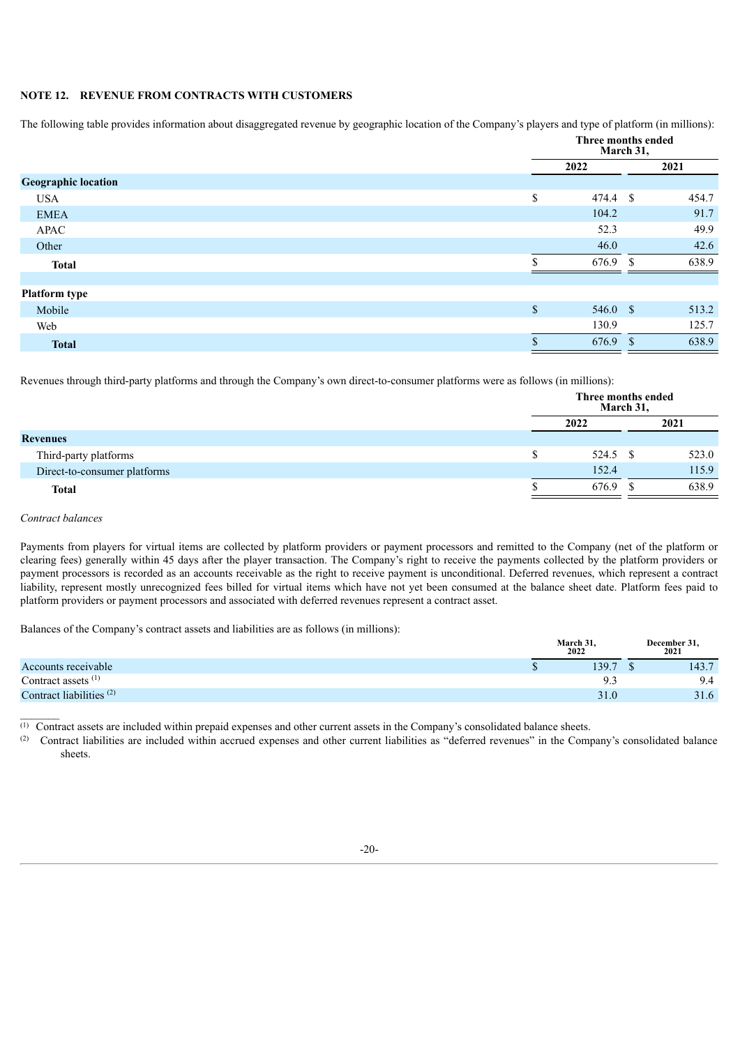## **NOTE 12. REVENUE FROM CONTRACTS WITH CUSTOMERS**

The following table provides information about disaggregated revenue by geographic location of the Company's players and type of platform (in millions):

|                            |             | Three months ended<br>March 31, |       |  |  |
|----------------------------|-------------|---------------------------------|-------|--|--|
|                            |             | 2022                            | 2021  |  |  |
| <b>Geographic location</b> |             |                                 |       |  |  |
| <b>USA</b>                 | \$          | $474.4$ \$                      | 454.7 |  |  |
| <b>EMEA</b>                |             | 104.2                           | 91.7  |  |  |
| APAC                       |             | 52.3                            | 49.9  |  |  |
| Other                      |             | 46.0                            | 42.6  |  |  |
| <b>Total</b>               |             | 676.9 \$                        | 638.9 |  |  |
|                            |             |                                 |       |  |  |
| <b>Platform type</b>       |             |                                 |       |  |  |
| Mobile                     | $\mathbf S$ | 546.0 \$                        | 513.2 |  |  |
| Web                        |             | 130.9                           | 125.7 |  |  |
| <b>Total</b>               | Φ           | 676.9<br>- \$                   | 638.9 |  |  |

Revenues through third-party platforms and through the Company's own direct-to-consumer platforms were as follows (in millions):

|                              | Three months ended | March 31, |       |  |
|------------------------------|--------------------|-----------|-------|--|
|                              | 2022               |           | 2021  |  |
| <b>Revenues</b>              |                    |           |       |  |
| Third-party platforms        | 524.5 \$           |           | 523.0 |  |
| Direct-to-consumer platforms | 152.4              |           | 115.9 |  |
| <b>Total</b>                 | 676.9              |           | 638.9 |  |
|                              |                    |           |       |  |

## *Contract balances*

 $\frac{1}{2}$ 

Payments from players for virtual items are collected by platform providers or payment processors and remitted to the Company (net of the platform or clearing fees) generally within 45 days after the player transaction. The Company's right to receive the payments collected by the platform providers or payment processors is recorded as an accounts receivable as the right to receive payment is unconditional. Deferred revenues, which represent a contract liability, represent mostly unrecognized fees billed for virtual items which have not yet been consumed at the balance sheet date. Platform fees paid to platform providers or payment processors and associated with deferred revenues represent a contract asset.

Balances of the Company's contract assets and liabilities are as follows (in millions):

|                                     | March 31,<br>2022 | December 31,<br>2021 |
|-------------------------------------|-------------------|----------------------|
| Accounts receivable                 | 139.7             | 143.7                |
| Contract assets $(1)$               |                   | 9.4                  |
| Contract liabilities <sup>(2)</sup> | 31.0              | 31.6                 |

Contract assets are included within prepaid expenses and other current assets in the Company's consolidated balance sheets. (1)

 $^{(2)}$  Contract liabilities are included within accrued expenses and other current liabilities as "deferred revenues" in the Company's consolidated balance sheets.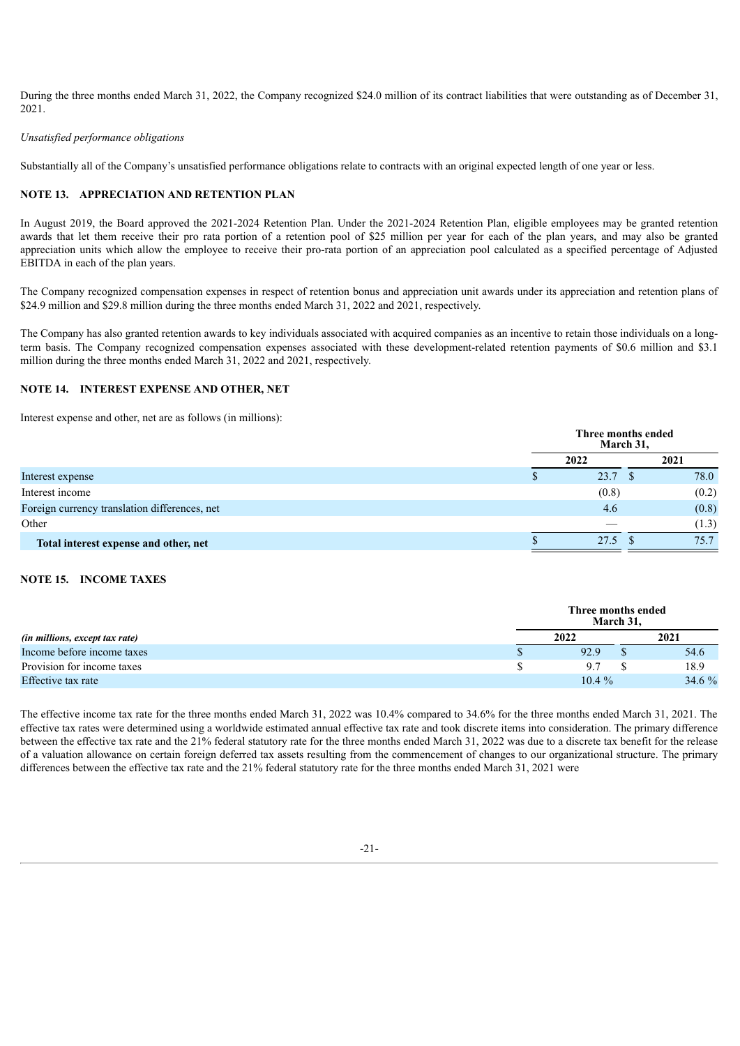During the three months ended March 31, 2022, the Company recognized \$24.0 million of its contract liabilities that were outstanding as of December 31, 2021.

## *Unsatisfied performance obligations*

Substantially all of the Company's unsatisfied performance obligations relate to contracts with an original expected length of one year or less.

## **NOTE 13. APPRECIATION AND RETENTION PLAN**

In August 2019, the Board approved the 2021-2024 Retention Plan. Under the 2021-2024 Retention Plan, eligible employees may be granted retention awards that let them receive their pro rata portion of a retention pool of \$25 million per year for each of the plan years, and may also be granted appreciation units which allow the employee to receive their pro-rata portion of an appreciation pool calculated as a specified percentage of Adjusted EBITDA in each of the plan years.

The Company recognized compensation expenses in respect of retention bonus and appreciation unit awards under its appreciation and retention plans of \$24.9 million and \$29.8 million during the three months ended March 31, 2022 and 2021, respectively.

The Company has also granted retention awards to key individuals associated with acquired companies as an incentive to retain those individuals on a longterm basis. The Company recognized compensation expenses associated with these development-related retention payments of \$0.6 million and \$3.1 million during the three months ended March 31, 2022 and 2021, respectively.

# **NOTE 14. INTEREST EXPENSE AND OTHER, NET**

Interest expense and other, net are as follows (in millions):

|                                               | Three months ended<br>March 31, |       |  |
|-----------------------------------------------|---------------------------------|-------|--|
|                                               | 2022                            | 2021  |  |
| Interest expense                              | 23.7                            | 78.0  |  |
| Interest income                               | (0.8)                           | (0.2) |  |
| Foreign currency translation differences, net | 4.6                             | (0.8) |  |
| Other                                         |                                 | (1.3) |  |
| Total interest expense and other, net         | 27.5                            | 75.7  |  |

## **NOTE 15. INCOME TAXES**

| <i>(in millions, except tax rate)</i> | Three months ended<br>March 31. |  |          |  |  |  |  |
|---------------------------------------|---------------------------------|--|----------|--|--|--|--|
|                                       | 2022                            |  | 2021     |  |  |  |  |
| Income before income taxes            | 92.9                            |  | 54.6     |  |  |  |  |
| Provision for income taxes            | 9.7                             |  | 18.9     |  |  |  |  |
| Effective tax rate                    | $10.4\%$                        |  | $34.6\%$ |  |  |  |  |

The effective income tax rate for the three months ended March 31, 2022 was 10.4% compared to 34.6% for the three months ended March 31, 2021. The effective tax rates were determined using a worldwide estimated annual effective tax rate and took discrete items into consideration. The primary difference between the effective tax rate and the 21% federal statutory rate for the three months ended March 31, 2022 was due to a discrete tax benefit for the release of a valuation allowance on certain foreign deferred tax assets resulting from the commencement of changes to our organizational structure. The primary differences between the effective tax rate and the 21% federal statutory rate for the three months ended March 31, 2021 were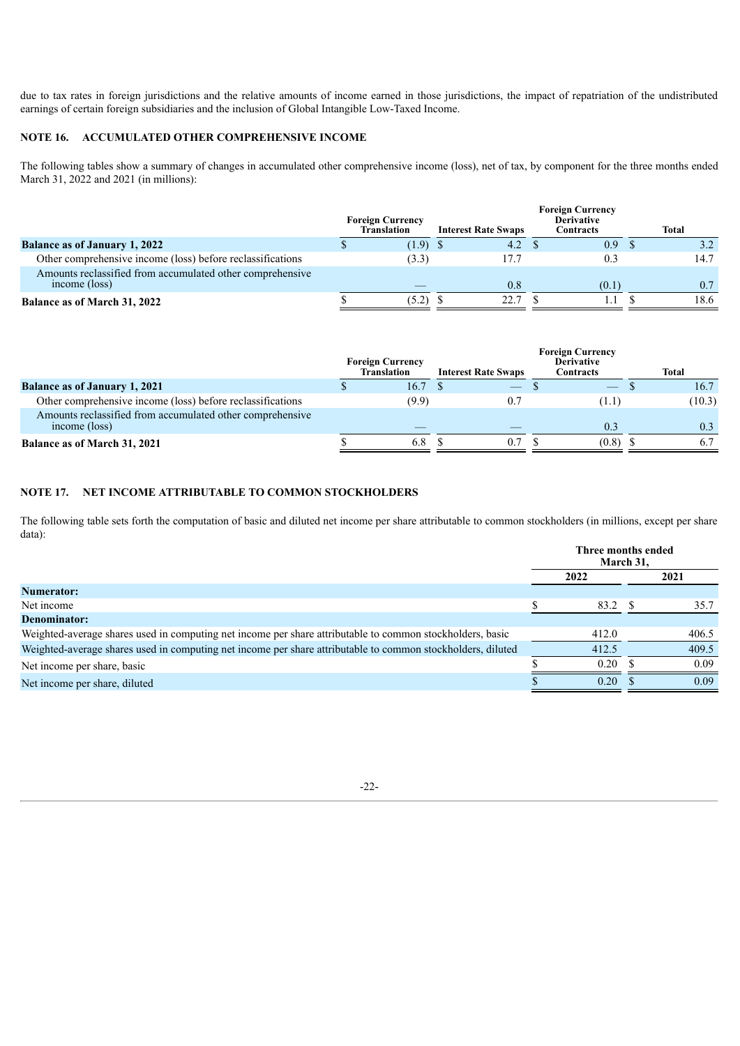due to tax rates in foreign jurisdictions and the relative amounts of income earned in those jurisdictions, the impact of repatriation of the undistributed earnings of certain foreign subsidiaries and the inclusion of Global Intangible Low-Taxed Income.

# **NOTE 16. ACCUMULATED OTHER COMPREHENSIVE INCOME**

The following tables show a summary of changes in accumulated other comprehensive income (loss), net of tax, by component for the three months ended March 31, 2022 and 2021 (in millions):

|                                                                            | <b>Foreign Currency</b><br><b>Translation</b> | <b>Interest Rate Swaps</b> | <b>Foreign Currency</b><br><b>Derivative</b><br>Contracts | <b>Total</b> |
|----------------------------------------------------------------------------|-----------------------------------------------|----------------------------|-----------------------------------------------------------|--------------|
| <b>Balance as of January 1, 2022</b>                                       | $(1.9)$ \$                                    | 4.2                        | 0.9                                                       | 3.2          |
| Other comprehensive income (loss) before reclassifications                 | (3.3)                                         | 177                        |                                                           | 14.7         |
| Amounts reclassified from accumulated other comprehensive<br>income (loss) |                                               | 0.8                        | (0.1)                                                     | 0.7          |
| <b>Balance as of March 31, 2022</b>                                        | (5.2)                                         | 22.7                       |                                                           | 18.6         |

|                                                                            | <b>Foreign Currency</b><br><b>Translation</b> | <b>Interest Rate Swaps</b> | <b>Foreign Currency</b><br><b>Derivative</b><br>Contracts | <b>Total</b> |
|----------------------------------------------------------------------------|-----------------------------------------------|----------------------------|-----------------------------------------------------------|--------------|
| <b>Balance as of January 1, 2021</b>                                       | 16.7                                          |                            | $\overline{\phantom{0}}$                                  | 16.7         |
| Other comprehensive income (loss) before reclassifications                 | (9.9)                                         | 0.7                        | (1.1)                                                     | (10.3)       |
| Amounts reclassified from accumulated other comprehensive<br>income (loss) |                                               |                            | 0.3                                                       | 0.3          |
| <b>Balance as of March 31, 2021</b>                                        | 6.8                                           |                            | (0.8)                                                     | 6.7          |

## **NOTE 17. NET INCOME ATTRIBUTABLE TO COMMON STOCKHOLDERS**

The following table sets forth the computation of basic and diluted net income per share attributable to common stockholders (in millions, except per share data):

|                                                                                                             | Three months ended<br>March 31, |       |  |       |
|-------------------------------------------------------------------------------------------------------------|---------------------------------|-------|--|-------|
|                                                                                                             |                                 | 2022  |  | 2021  |
| <b>Numerator:</b>                                                                                           |                                 |       |  |       |
| Net income                                                                                                  |                                 | 83.2  |  | 35.7  |
| <b>Denominator:</b>                                                                                         |                                 |       |  |       |
| Weighted-average shares used in computing net income per share attributable to common stockholders, basic   |                                 | 412.0 |  | 406.5 |
| Weighted-average shares used in computing net income per share attributable to common stockholders, diluted |                                 | 412.5 |  | 409.5 |
| Net income per share, basic                                                                                 |                                 | 0.20  |  | 0.09  |
| Net income per share, diluted                                                                               |                                 | 0.20  |  | 0.09  |

-22-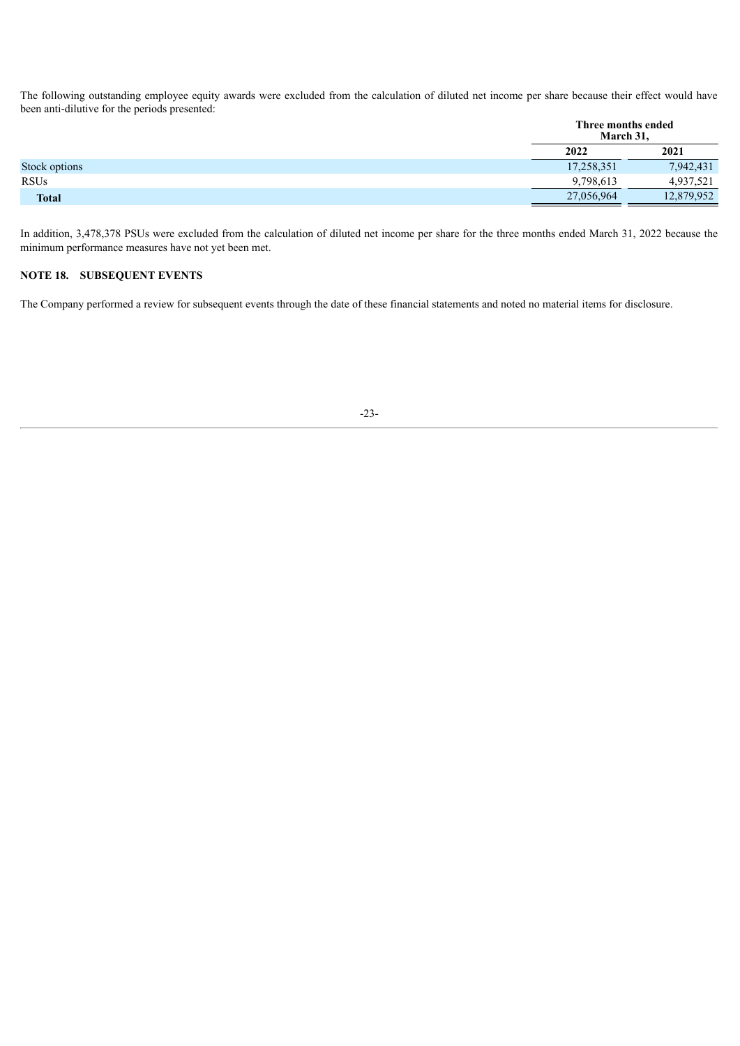The following outstanding employee equity awards were excluded from the calculation of diluted net income per share because their effect would have been anti-dilutive for the periods presented:

|               |            | Three months ended<br>March 31, |
|---------------|------------|---------------------------------|
|               | 2022       | 2021                            |
| Stock options | 17,258,351 | 7,942,431                       |
| <b>RSUs</b>   | 9,798,613  | 4,937,521                       |
| <b>Total</b>  | 27,056,964 | 12,879,952                      |

In addition, 3,478,378 PSUs were excluded from the calculation of diluted net income per share for the three months ended March 31, 2022 because the minimum performance measures have not yet been met.

## **NOTE 18. SUBSEQUENT EVENTS**

<span id="page-25-0"></span>The Company performed a review for subsequent events through the date of these financial statements and noted no material items for disclosure.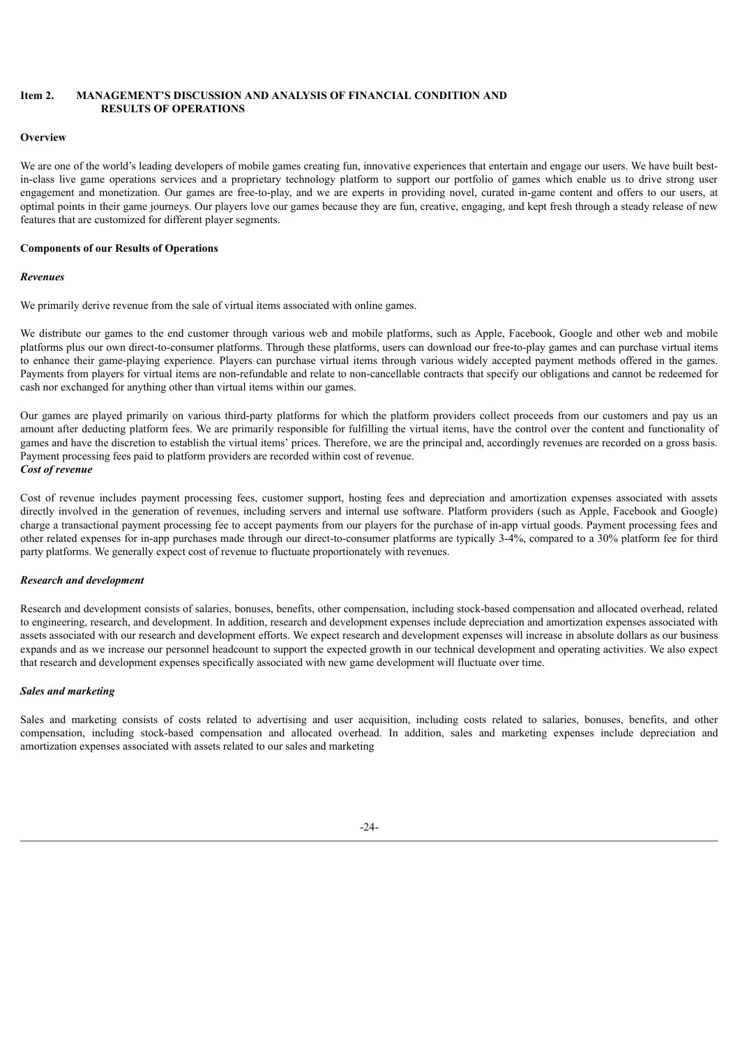## **Item 2. MANAGEMENT'S DISCUSSION AND ANALYSIS OF FINANCIAL CONDITION AND RESULTS OF OPERATIONS**

## **Overview**

We are one of the world's leading developers of mobile games creating fun, innovative experiences that entertain and engage our users. We have built bestin-class live game operations services and a proprietary technology platform to support our portfolio of games which enable us to drive strong user engagement and monetization. Our games are free-to-play, and we are experts in providing novel, curated in-game content and offers to our users, at optimal points in their game journeys. Our players love our games because they are fun, creative, engaging, and kept fresh through a steady release of new features that are customized for different player segments.

#### **Components of our Results of Operations**

#### *Revenues*

We primarily derive revenue from the sale of virtual items associated with online games.

We distribute our games to the end customer through various web and mobile platforms, such as Apple, Facebook, Google and other web and mobile platforms plus our own direct-to-consumer platforms. Through these platforms, users can download our free-to-play games and can purchase virtual items to enhance their game-playing experience. Players can purchase virtual items through various widely accepted payment methods offered in the games. Payments from players for virtual items are non-refundable and relate to non-cancellable contracts that specify our obligations and cannot be redeemed for cash nor exchanged for anything other than virtual items within our games.

Our games are played primarily on various third-party platforms for which the platform providers collect proceeds from our customers and pay us an amount after deducting platform fees. We are primarily responsible for fulfilling the virtual items, have the control over the content and functionality of games and have the discretion to establish the virtual items' prices. Therefore, we are the principal and, accordingly revenues are recorded on a gross basis. Payment processing fees paid to platform providers are recorded within cost of revenue. *Cost of revenue*

Cost of revenue includes payment processing fees, customer support, hosting fees and depreciation and amortization expenses associated with assets directly involved in the generation of revenues, including servers and internal use software. Platform providers (such as Apple, Facebook and Google) charge a transactional payment processing fee to accept payments from our players for the purchase of in-app virtual goods. Payment processing fees and other related expenses for in-app purchases made through our direct-to-consumer platforms are typically 3-4%, compared to a 30% platform fee for third party platforms. We generally expect cost of revenue to fluctuate proportionately with revenues.

#### *Research and development*

Research and development consists of salaries, bonuses, benefits, other compensation, including stock-based compensation and allocated overhead, related to engineering, research, and development. In addition, research and development expenses include depreciation and amortization expenses associated with assets associated with our research and development efforts. We expect research and development expenses will increase in absolute dollars as our business expands and as we increase our personnel headcount to support the expected growth in our technical development and operating activities. We also expect that research and development expenses specifically associated with new game development will fluctuate over time.

#### *Sales and marketing*

Sales and marketing consists of costs related to advertising and user acquisition, including costs related to salaries, bonuses, benefits, and other compensation, including stock-based compensation and allocated overhead. In addition, sales and marketing expenses include depreciation and amortization expenses associated with assets related to our sales and marketing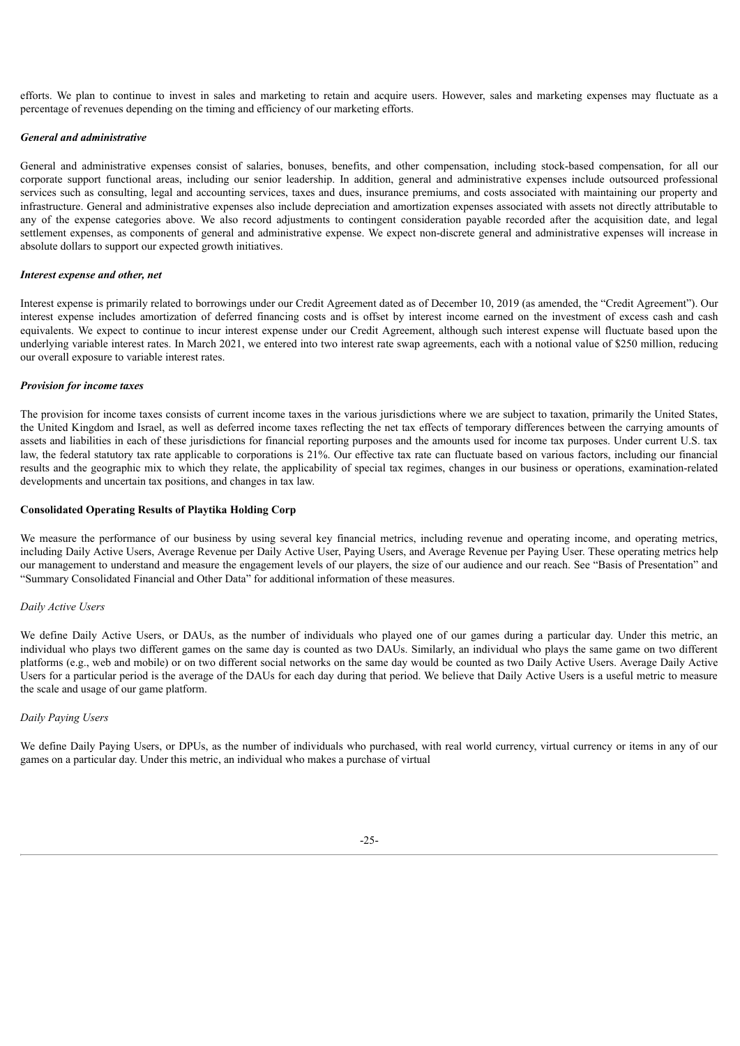efforts. We plan to continue to invest in sales and marketing to retain and acquire users. However, sales and marketing expenses may fluctuate as a percentage of revenues depending on the timing and efficiency of our marketing efforts.

#### *General and administrative*

General and administrative expenses consist of salaries, bonuses, benefits, and other compensation, including stock-based compensation, for all our corporate support functional areas, including our senior leadership. In addition, general and administrative expenses include outsourced professional services such as consulting, legal and accounting services, taxes and dues, insurance premiums, and costs associated with maintaining our property and infrastructure. General and administrative expenses also include depreciation and amortization expenses associated with assets not directly attributable to any of the expense categories above. We also record adjustments to contingent consideration payable recorded after the acquisition date, and legal settlement expenses, as components of general and administrative expense. We expect non-discrete general and administrative expenses will increase in absolute dollars to support our expected growth initiatives.

#### *Interest expense and other, net*

Interest expense is primarily related to borrowings under our Credit Agreement dated as of December 10, 2019 (as amended, the "Credit Agreement"). Our interest expense includes amortization of deferred financing costs and is offset by interest income earned on the investment of excess cash and cash equivalents. We expect to continue to incur interest expense under our Credit Agreement, although such interest expense will fluctuate based upon the underlying variable interest rates. In March 2021, we entered into two interest rate swap agreements, each with a notional value of \$250 million, reducing our overall exposure to variable interest rates.

#### *Provision for income taxes*

The provision for income taxes consists of current income taxes in the various jurisdictions where we are subject to taxation, primarily the United States, the United Kingdom and Israel, as well as deferred income taxes reflecting the net tax effects of temporary differences between the carrying amounts of assets and liabilities in each of these jurisdictions for financial reporting purposes and the amounts used for income tax purposes. Under current U.S. tax law, the federal statutory tax rate applicable to corporations is 21%. Our effective tax rate can fluctuate based on various factors, including our financial results and the geographic mix to which they relate, the applicability of special tax regimes, changes in our business or operations, examination-related developments and uncertain tax positions, and changes in tax law.

### **Consolidated Operating Results of Playtika Holding Corp**

We measure the performance of our business by using several key financial metrics, including revenue and operating income, and operating metrics, including Daily Active Users, Average Revenue per Daily Active User, Paying Users, and Average Revenue per Paying User. These operating metrics help our management to understand and measure the engagement levels of our players, the size of our audience and our reach. See "Basis of Presentation" and "Summary Consolidated Financial and Other Data" for additional information of these measures.

## *Daily Active Users*

We define Daily Active Users, or DAUs, as the number of individuals who played one of our games during a particular day. Under this metric, an individual who plays two different games on the same day is counted as two DAUs. Similarly, an individual who plays the same game on two different platforms (e.g., web and mobile) or on two different social networks on the same day would be counted as two Daily Active Users. Average Daily Active Users for a particular period is the average of the DAUs for each day during that period. We believe that Daily Active Users is a useful metric to measure the scale and usage of our game platform.

#### *Daily Paying Users*

We define Daily Paying Users, or DPUs, as the number of individuals who purchased, with real world currency, virtual currency or items in any of our games on a particular day. Under this metric, an individual who makes a purchase of virtual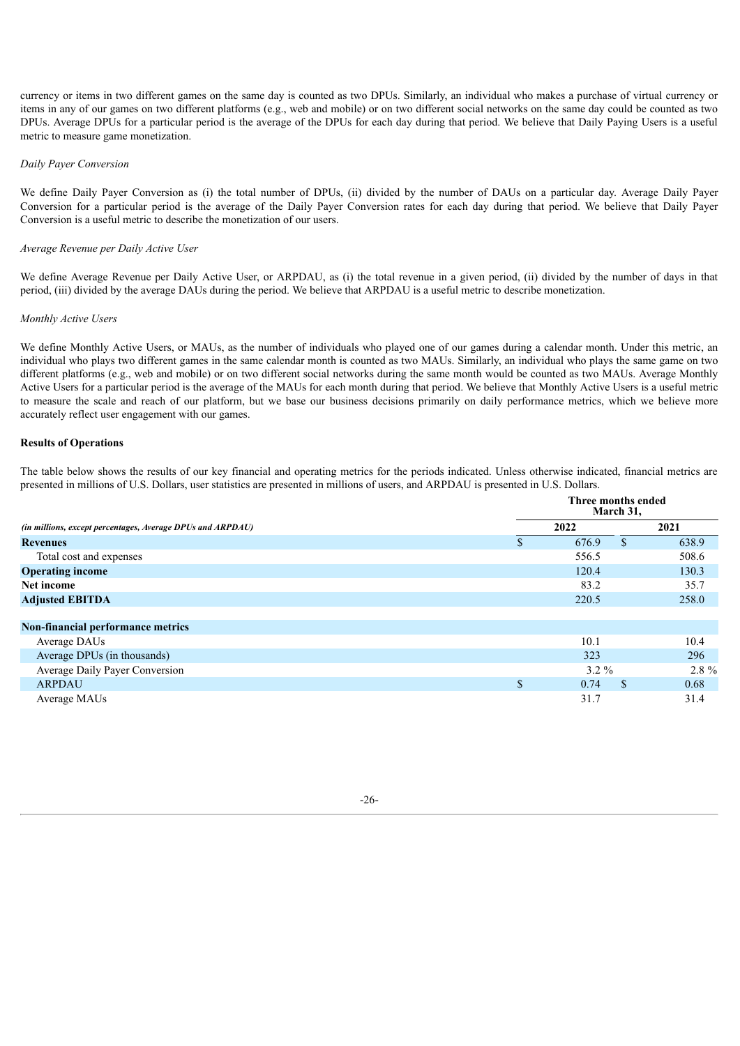currency or items in two different games on the same day is counted as two DPUs. Similarly, an individual who makes a purchase of virtual currency or items in any of our games on two different platforms (e.g., web and mobile) or on two different social networks on the same day could be counted as two DPUs. Average DPUs for a particular period is the average of the DPUs for each day during that period. We believe that Daily Paying Users is a useful metric to measure game monetization.

#### *Daily Payer Conversion*

We define Daily Payer Conversion as (i) the total number of DPUs, (ii) divided by the number of DAUs on a particular day. Average Daily Payer Conversion for a particular period is the average of the Daily Payer Conversion rates for each day during that period. We believe that Daily Payer Conversion is a useful metric to describe the monetization of our users.

#### *Average Revenue per Daily Active User*

We define Average Revenue per Daily Active User, or ARPDAU, as (i) the total revenue in a given period, (ii) divided by the number of days in that period, (iii) divided by the average DAUs during the period. We believe that ARPDAU is a useful metric to describe monetization.

#### *Monthly Active Users*

We define Monthly Active Users, or MAUs, as the number of individuals who played one of our games during a calendar month. Under this metric, an individual who plays two different games in the same calendar month is counted as two MAUs. Similarly, an individual who plays the same game on two different platforms (e.g., web and mobile) or on two different social networks during the same month would be counted as two MAUs. Average Monthly Active Users for a particular period is the average of the MAUs for each month during that period. We believe that Monthly Active Users is a useful metric to measure the scale and reach of our platform, but we base our business decisions primarily on daily performance metrics, which we believe more accurately reflect user engagement with our games.

## **Results of Operations**

The table below shows the results of our key financial and operating metrics for the periods indicated. Unless otherwise indicated, financial metrics are presented in millions of U.S. Dollars, user statistics are presented in millions of users, and ARPDAU is presented in U.S. Dollars.

|                                                            |    | Three months ended<br>March 31, |       |  |  |  |
|------------------------------------------------------------|----|---------------------------------|-------|--|--|--|
| (in millions, except percentages, Average DPUs and ARPDAU) |    | 2022<br>2021                    |       |  |  |  |
| <b>Revenues</b>                                            | S  | 676.9<br><sup>\$</sup>          | 638.9 |  |  |  |
| Total cost and expenses                                    |    | 556.5                           | 508.6 |  |  |  |
| <b>Operating income</b>                                    |    | 120.4                           | 130.3 |  |  |  |
| Net income                                                 |    | 83.2                            | 35.7  |  |  |  |
| <b>Adjusted EBITDA</b>                                     |    | 220.5                           | 258.0 |  |  |  |
|                                                            |    |                                 |       |  |  |  |
| Non-financial performance metrics                          |    |                                 |       |  |  |  |
| Average DAUs                                               |    | 10.1                            | 10.4  |  |  |  |
| Average DPUs (in thousands)                                |    | 323                             | 296   |  |  |  |
| Average Daily Payer Conversion                             |    | $3.2\%$                         | 2.8%  |  |  |  |
| <b>ARPDAU</b>                                              | \$ | <sup>\$</sup><br>0.74           | 0.68  |  |  |  |
| Average MAUs                                               |    | 31.7                            | 31.4  |  |  |  |

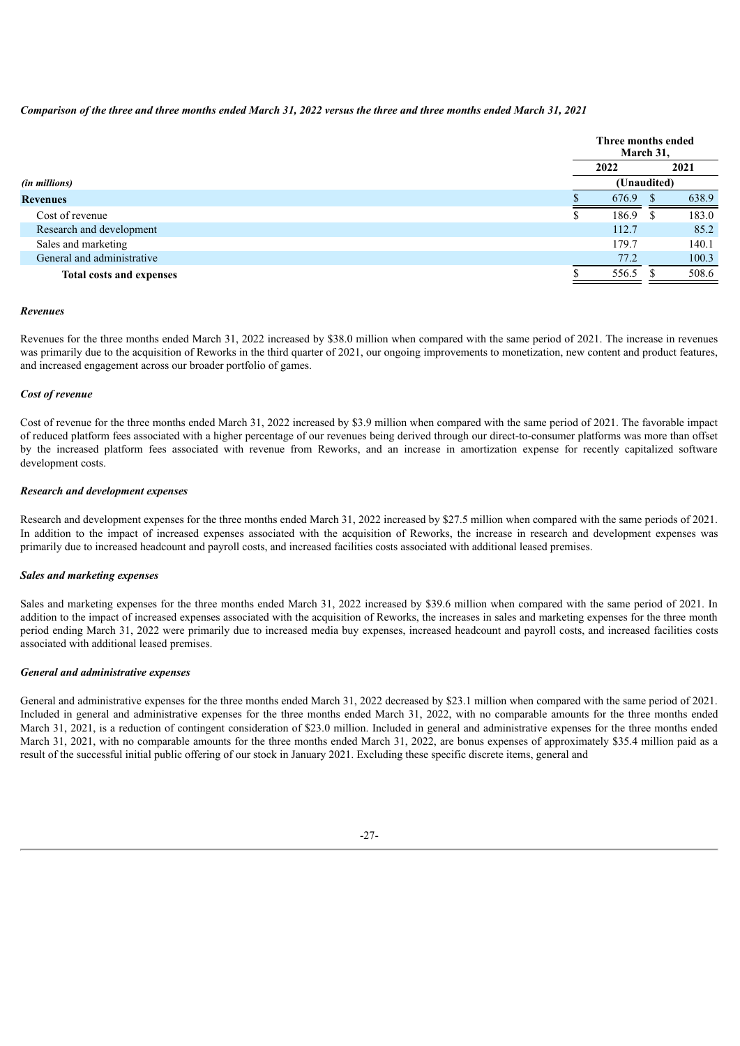## Comparison of the three and three months ended March 31, 2022 versus the three and three months ended March 31, 2021

|                                 | Three months ended<br>March 31, |       |             |       |
|---------------------------------|---------------------------------|-------|-------------|-------|
|                                 |                                 | 2022  |             | 2021  |
| (in millions)                   |                                 |       | (Unaudited) |       |
| <b>Revenues</b>                 |                                 | 676.9 |             | 638.9 |
| Cost of revenue                 |                                 | 186.9 | -S          | 183.0 |
| Research and development        |                                 | 112.7 |             | 85.2  |
| Sales and marketing             |                                 | 179.7 |             | 140.1 |
| General and administrative      |                                 | 77.2  |             | 100.3 |
| <b>Total costs and expenses</b> |                                 | 556.5 |             | 508.6 |

#### *Revenues*

Revenues for the three months ended March 31, 2022 increased by \$38.0 million when compared with the same period of 2021. The increase in revenues was primarily due to the acquisition of Reworks in the third quarter of 2021, our ongoing improvements to monetization, new content and product features, and increased engagement across our broader portfolio of games.

#### *Cost of revenue*

Cost of revenue for the three months ended March 31, 2022 increased by \$3.9 million when compared with the same period of 2021. The favorable impact of reduced platform fees associated with a higher percentage of our revenues being derived through our direct-to-consumer platforms was more than offset by the increased platform fees associated with revenue from Reworks, and an increase in amortization expense for recently capitalized software development costs.

#### *Research and development expenses*

Research and development expenses for the three months ended March 31, 2022 increased by \$27.5 million when compared with the same periods of 2021. In addition to the impact of increased expenses associated with the acquisition of Reworks, the increase in research and development expenses was primarily due to increased headcount and payroll costs, and increased facilities costs associated with additional leased premises.

## *Sales and marketing expenses*

Sales and marketing expenses for the three months ended March 31, 2022 increased by \$39.6 million when compared with the same period of 2021. In addition to the impact of increased expenses associated with the acquisition of Reworks, the increases in sales and marketing expenses for the three month period ending March 31, 2022 were primarily due to increased media buy expenses, increased headcount and payroll costs, and increased facilities costs associated with additional leased premises.

#### *General and administrative expenses*

General and administrative expenses for the three months ended March 31, 2022 decreased by \$23.1 million when compared with the same period of 2021. Included in general and administrative expenses for the three months ended March 31, 2022, with no comparable amounts for the three months ended March 31, 2021, is a reduction of contingent consideration of \$23.0 million. Included in general and administrative expenses for the three months ended March 31, 2021, with no comparable amounts for the three months ended March 31, 2022, are bonus expenses of approximately \$35.4 million paid as a result of the successful initial public offering of our stock in January 2021. Excluding these specific discrete items, general and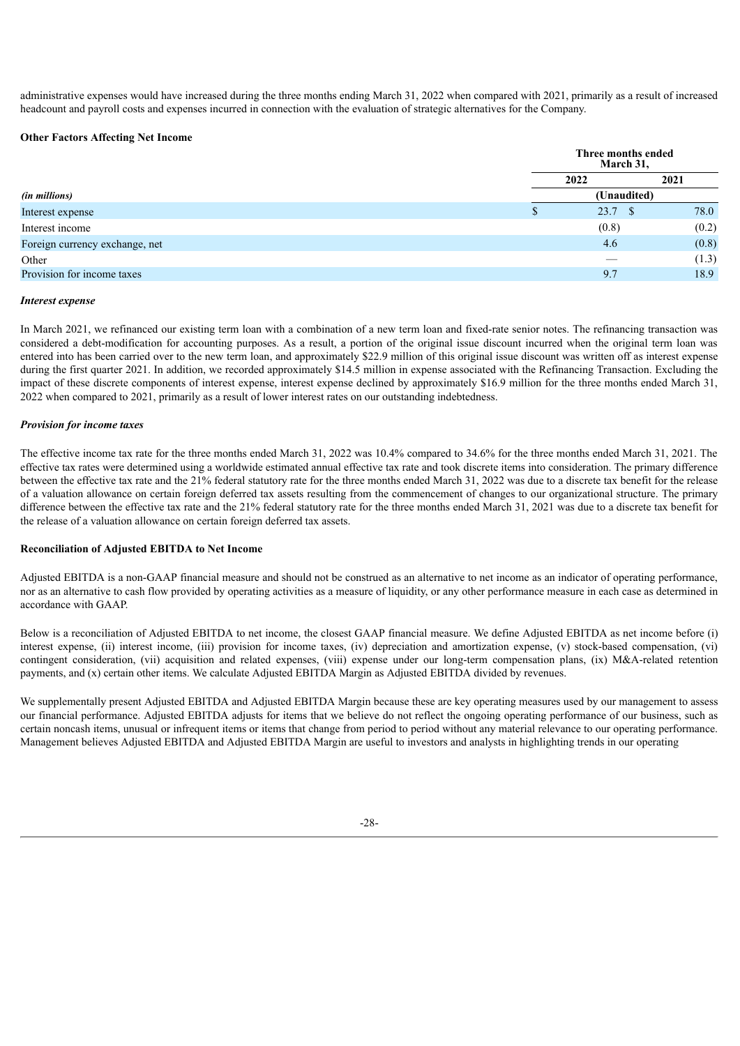administrative expenses would have increased during the three months ending March 31, 2022 when compared with 2021, primarily as a result of increased headcount and payroll costs and expenses incurred in connection with the evaluation of strategic alternatives for the Company.

#### **Other Factors Affecting Net Income**

|                                | Three months ended<br>March 31, |       |  |
|--------------------------------|---------------------------------|-------|--|
|                                | 2022                            | 2021  |  |
| (in millions)                  | (Unaudited)                     |       |  |
| Interest expense               | 23.7 S                          | 78.0  |  |
| Interest income                | (0.8)                           | (0.2) |  |
| Foreign currency exchange, net | 4.6                             | (0.8) |  |
| Other                          |                                 | (1.3) |  |
| Provision for income taxes     | 9.7                             | 18.9  |  |

#### *Interest expense*

In March 2021, we refinanced our existing term loan with a combination of a new term loan and fixed-rate senior notes. The refinancing transaction was considered a debt-modification for accounting purposes. As a result, a portion of the original issue discount incurred when the original term loan was entered into has been carried over to the new term loan, and approximately \$22.9 million of this original issue discount was written off as interest expense during the first quarter 2021. In addition, we recorded approximately \$14.5 million in expense associated with the Refinancing Transaction. Excluding the impact of these discrete components of interest expense, interest expense declined by approximately \$16.9 million for the three months ended March 31, 2022 when compared to 2021, primarily as a result of lower interest rates on our outstanding indebtedness.

#### *Provision for income taxes*

The effective income tax rate for the three months ended March 31, 2022 was 10.4% compared to 34.6% for the three months ended March 31, 2021. The effective tax rates were determined using a worldwide estimated annual effective tax rate and took discrete items into consideration. The primary difference between the effective tax rate and the 21% federal statutory rate for the three months ended March 31, 2022 was due to a discrete tax benefit for the release of a valuation allowance on certain foreign deferred tax assets resulting from the commencement of changes to our organizational structure. The primary difference between the effective tax rate and the 21% federal statutory rate for the three months ended March 31, 2021 was due to a discrete tax benefit for the release of a valuation allowance on certain foreign deferred tax assets.

#### **Reconciliation of Adjusted EBITDA to Net Income**

Adjusted EBITDA is a non-GAAP financial measure and should not be construed as an alternative to net income as an indicator of operating performance, nor as an alternative to cash flow provided by operating activities as a measure of liquidity, or any other performance measure in each case as determined in accordance with GAAP.

Below is a reconciliation of Adjusted EBITDA to net income, the closest GAAP financial measure. We define Adjusted EBITDA as net income before (i) interest expense, (ii) interest income, (iii) provision for income taxes, (iv) depreciation and amortization expense, (v) stock-based compensation, (vi) contingent consideration, (vii) acquisition and related expenses, (viii) expense under our long-term compensation plans, (ix) M&A-related retention payments, and (x) certain other items. We calculate Adjusted EBITDA Margin as Adjusted EBITDA divided by revenues.

We supplementally present Adjusted EBITDA and Adjusted EBITDA Margin because these are key operating measures used by our management to assess our financial performance. Adjusted EBITDA adjusts for items that we believe do not reflect the ongoing operating performance of our business, such as certain noncash items, unusual or infrequent items or items that change from period to period without any material relevance to our operating performance. Management believes Adjusted EBITDA and Adjusted EBITDA Margin are useful to investors and analysts in highlighting trends in our operating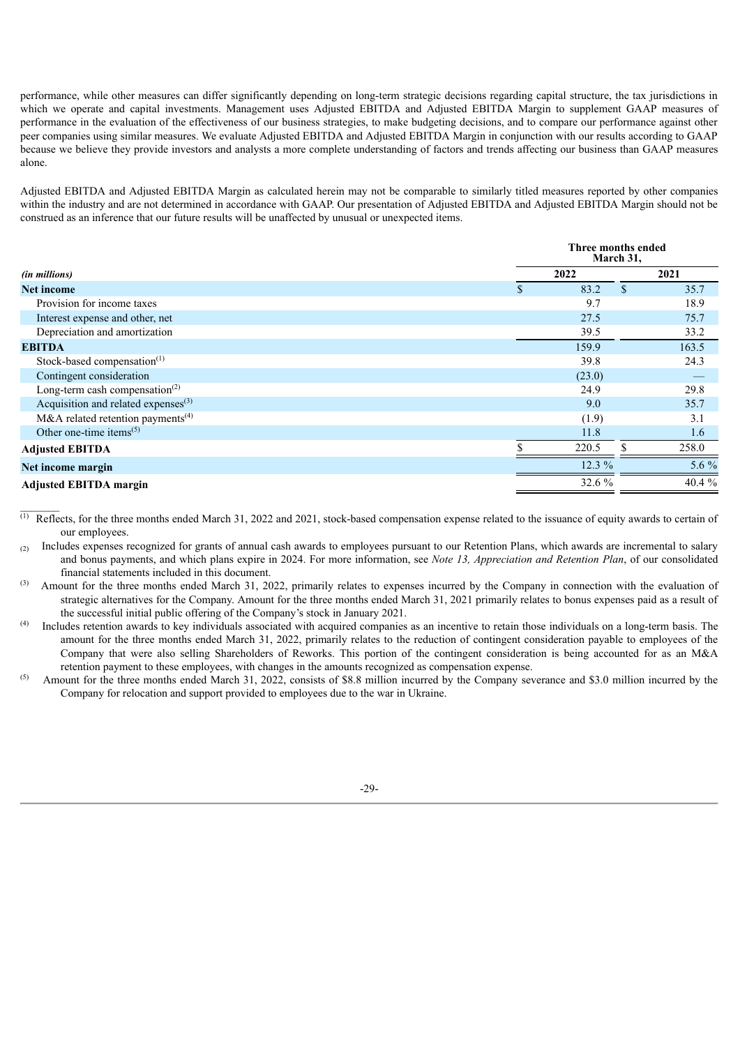performance, while other measures can differ significantly depending on long-term strategic decisions regarding capital structure, the tax jurisdictions in which we operate and capital investments. Management uses Adjusted EBITDA and Adjusted EBITDA Margin to supplement GAAP measures of performance in the evaluation of the effectiveness of our business strategies, to make budgeting decisions, and to compare our performance against other peer companies using similar measures. We evaluate Adjusted EBITDA and Adjusted EBITDA Margin in conjunction with our results according to GAAP because we believe they provide investors and analysts a more complete understanding of factors and trends affecting our business than GAAP measures alone.

Adjusted EBITDA and Adjusted EBITDA Margin as calculated herein may not be comparable to similarly titled measures reported by other companies within the industry and are not determined in accordance with GAAP. Our presentation of Adjusted EBITDA and Adjusted EBITDA Margin should not be construed as an inference that our future results will be unaffected by unusual or unexpected items.

|                                                 | Three months ended<br>March 31,<br>2022<br>2021 |        |               |        |
|-------------------------------------------------|-------------------------------------------------|--------|---------------|--------|
| <i>(in millions)</i>                            |                                                 |        |               |        |
| <b>Net income</b>                               | S                                               | 83.2   | <sup>\$</sup> | 35.7   |
| Provision for income taxes                      |                                                 | 9.7    |               | 18.9   |
| Interest expense and other, net                 |                                                 | 27.5   |               | 75.7   |
| Depreciation and amortization                   |                                                 | 39.5   |               | 33.2   |
| <b>EBITDA</b>                                   |                                                 | 159.9  |               | 163.5  |
| Stock-based compensation <sup>(1)</sup>         |                                                 | 39.8   |               | 24.3   |
| Contingent consideration                        |                                                 | (23.0) |               |        |
| Long-term cash compensation $^{(2)}$            |                                                 | 24.9   |               | 29.8   |
| Acquisition and related expenses <sup>(3)</sup> |                                                 | 9.0    |               | 35.7   |
| M&A related retention payments <sup>(4)</sup>   |                                                 | (1.9)  |               | 3.1    |
| Other one-time items <sup>(5)</sup>             |                                                 | 11.8   |               | 1.6    |
| <b>Adjusted EBITDA</b>                          |                                                 | 220.5  | \$            | 258.0  |
| Net income margin                               |                                                 | 12.3 % |               | 5.6 %  |
| <b>Adjusted EBITDA margin</b>                   |                                                 | 32.6 % |               | 40.4 % |

 $(1)$  Reflects, for the three months ended March 31, 2022 and 2021, stock-based compensation expense related to the issuance of equity awards to certain of our employees.

Includes expenses recognized for grants of annual cash awards to employees pursuant to our Retention Plans, which awards are incremental to salary and bonus payments, and which plans expire in 2024. For more information, see *Note 13, Appreciation and Retention Plan*, of our consolidated financial statements included in this document. (2)

Amount for the three months ended March 31, 2022, primarily relates to expenses incurred by the Company in connection with the evaluation of strategic alternatives for the Company. Amount for the three months ended March 31, 2021 primarily relates to bonus expenses paid as a result of the successful initial public offering of the Company's stock in January 2021. (3)

Includes retention awards to key individuals associated with acquired companies as an incentive to retain those individuals on a long-term basis. The amount for the three months ended March 31, 2022, primarily relates to the reduction of contingent consideration payable to employees of the Company that were also selling Shareholders of Reworks. This portion of the contingent consideration is being accounted for as an M&A retention payment to these employees, with changes in the amounts recognized as compensation expense. (4)

Amount for the three months ended March 31, 2022, consists of \$8.8 million incurred by the Company severance and \$3.0 million incurred by the Company for relocation and support provided to employees due to the war in Ukraine. (5)

-29-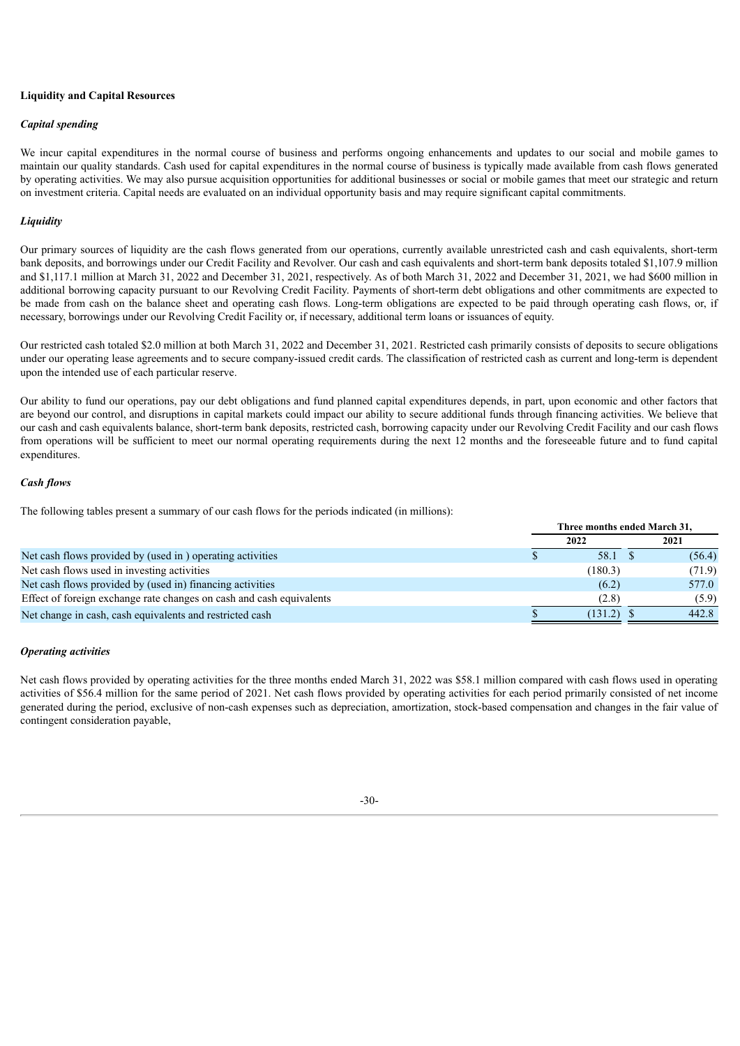## **Liquidity and Capital Resources**

#### *Capital spending*

We incur capital expenditures in the normal course of business and performs ongoing enhancements and updates to our social and mobile games to maintain our quality standards. Cash used for capital expenditures in the normal course of business is typically made available from cash flows generated by operating activities. We may also pursue acquisition opportunities for additional businesses or social or mobile games that meet our strategic and return on investment criteria. Capital needs are evaluated on an individual opportunity basis and may require significant capital commitments.

#### *Liquidity*

Our primary sources of liquidity are the cash flows generated from our operations, currently available unrestricted cash and cash equivalents, short-term bank deposits, and borrowings under our Credit Facility and Revolver. Our cash and cash equivalents and short-term bank deposits totaled \$1,107.9 million and \$1,117.1 million at March 31, 2022 and December 31, 2021, respectively. As of both March 31, 2022 and December 31, 2021, we had \$600 million in additional borrowing capacity pursuant to our Revolving Credit Facility. Payments of short-term debt obligations and other commitments are expected to be made from cash on the balance sheet and operating cash flows. Long-term obligations are expected to be paid through operating cash flows, or, if necessary, borrowings under our Revolving Credit Facility or, if necessary, additional term loans or issuances of equity.

Our restricted cash totaled \$2.0 million at both March 31, 2022 and December 31, 2021. Restricted cash primarily consists of deposits to secure obligations under our operating lease agreements and to secure company-issued credit cards. The classification of restricted cash as current and long-term is dependent upon the intended use of each particular reserve.

Our ability to fund our operations, pay our debt obligations and fund planned capital expenditures depends, in part, upon economic and other factors that are beyond our control, and disruptions in capital markets could impact our ability to secure additional funds through financing activities. We believe that our cash and cash equivalents balance, short-term bank deposits, restricted cash, borrowing capacity under our Revolving Credit Facility and our cash flows from operations will be sufficient to meet our normal operating requirements during the next 12 months and the foreseeable future and to fund capital expenditures.

## *Cash flows*

The following tables present a summary of our cash flows for the periods indicated (in millions):

|                                                                      | Three months ended March 31, |              |  |        |
|----------------------------------------------------------------------|------------------------------|--------------|--|--------|
|                                                                      |                              | 2022         |  | 2021   |
| Net cash flows provided by (used in) operating activities            |                              | 58.1         |  | (56.4) |
| Net cash flows used in investing activities                          |                              | (180.3)      |  | (71.9) |
| Net cash flows provided by (used in) financing activities            |                              | (6.2)        |  | 577.0  |
| Effect of foreign exchange rate changes on cash and cash equivalents |                              | (2.8)        |  | (5.9)  |
| Net change in cash, cash equivalents and restricted cash             |                              | $(131.2)$ \$ |  | 442.8  |

#### *Operating activities*

Net cash flows provided by operating activities for the three months ended March 31, 2022 was \$58.1 million compared with cash flows used in operating activities of \$56.4 million for the same period of 2021. Net cash flows provided by operating activities for each period primarily consisted of net income generated during the period, exclusive of non-cash expenses such as depreciation, amortization, stock-based compensation and changes in the fair value of contingent consideration payable,

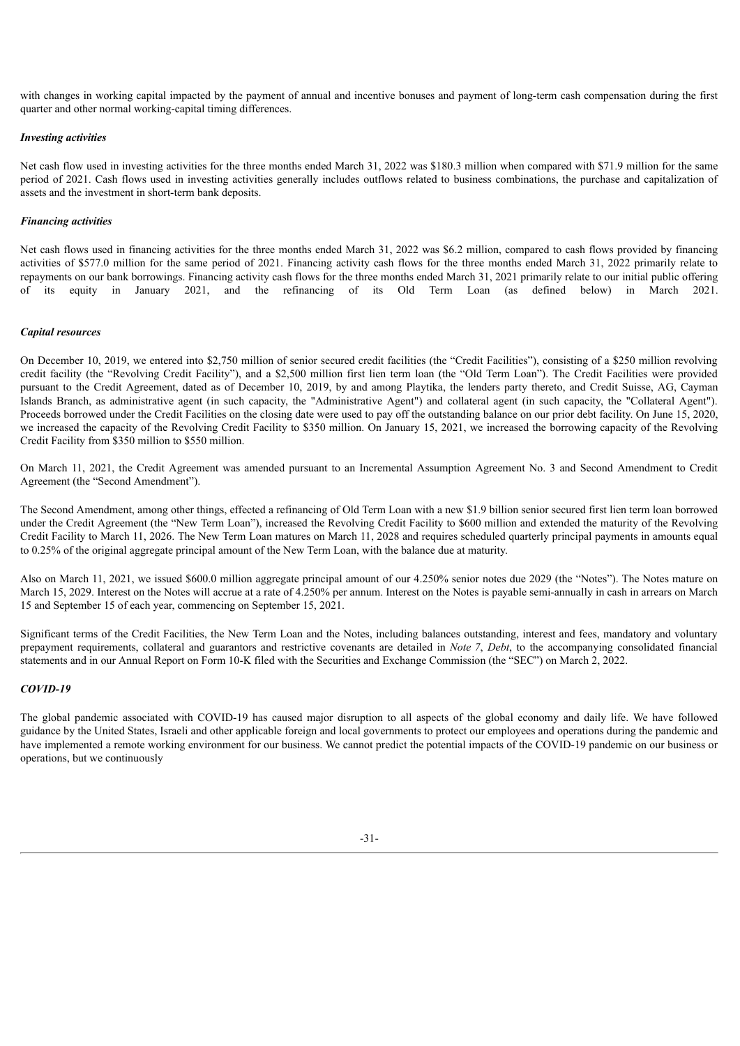with changes in working capital impacted by the payment of annual and incentive bonuses and payment of long-term cash compensation during the first quarter and other normal working-capital timing differences.

## *Investing activities*

Net cash flow used in investing activities for the three months ended March 31, 2022 was \$180.3 million when compared with \$71.9 million for the same period of 2021. Cash flows used in investing activities generally includes outflows related to business combinations, the purchase and capitalization of assets and the investment in short-term bank deposits.

## *Financing activities*

Net cash flows used in financing activities for the three months ended March 31, 2022 was \$6.2 million, compared to cash flows provided by financing activities of \$577.0 million for the same period of 2021. Financing activity cash flows for the three months ended March 31, 2022 primarily relate to repayments on our bank borrowings. Financing activity cash flows for the three months ended March 31, 2021 primarily relate to our initial public offering of its equity in January 2021, and the refinancing of its Old Term Loan (as defined below) in March 2021.

## *Capital resources*

On December 10, 2019, we entered into \$2,750 million of senior secured credit facilities (the "Credit Facilities"), consisting of a \$250 million revolving credit facility (the "Revolving Credit Facility"), and a \$2,500 million first lien term loan (the "Old Term Loan"). The Credit Facilities were provided pursuant to the Credit Agreement, dated as of December 10, 2019, by and among Playtika, the lenders party thereto, and Credit Suisse, AG, Cayman Islands Branch, as administrative agent (in such capacity, the "Administrative Agent") and collateral agent (in such capacity, the "Collateral Agent"). Proceeds borrowed under the Credit Facilities on the closing date were used to pay off the outstanding balance on our prior debt facility. On June 15, 2020, we increased the capacity of the Revolving Credit Facility to \$350 million. On January 15, 2021, we increased the borrowing capacity of the Revolving Credit Facility from \$350 million to \$550 million.

On March 11, 2021, the Credit Agreement was amended pursuant to an Incremental Assumption Agreement No. 3 and Second Amendment to Credit Agreement (the "Second Amendment").

The Second Amendment, among other things, effected a refinancing of Old Term Loan with a new \$1.9 billion senior secured first lien term loan borrowed under the Credit Agreement (the "New Term Loan"), increased the Revolving Credit Facility to \$600 million and extended the maturity of the Revolving Credit Facility to March 11, 2026. The New Term Loan matures on March 11, 2028 and requires scheduled quarterly principal payments in amounts equal to 0.25% of the original aggregate principal amount of the New Term Loan, with the balance due at maturity.

Also on March 11, 2021, we issued \$600.0 million aggregate principal amount of our 4.250% senior notes due 2029 (the "Notes"). The Notes mature on March 15, 2029. Interest on the Notes will accrue at a rate of 4.250% per annum. Interest on the Notes is payable semi-annually in cash in arrears on March 15 and September 15 of each year, commencing on September 15, 2021.

Significant terms of the Credit Facilities, the New Term Loan and the Notes, including balances outstanding, interest and fees, mandatory and voluntary prepayment requirements, collateral and guarantors and restrictive covenants are detailed in *Note 7*, *Debt*, to the accompanying consolidated financial statements and in our Annual Report on Form 10-K filed with the Securities and Exchange Commission (the "SEC") on March 2, 2022.

## *COVID-19*

The global pandemic associated with COVID-19 has caused major disruption to all aspects of the global economy and daily life. We have followed guidance by the United States, Israeli and other applicable foreign and local governments to protect our employees and operations during the pandemic and have implemented a remote working environment for our business. We cannot predict the potential impacts of the COVID-19 pandemic on our business or operations, but we continuously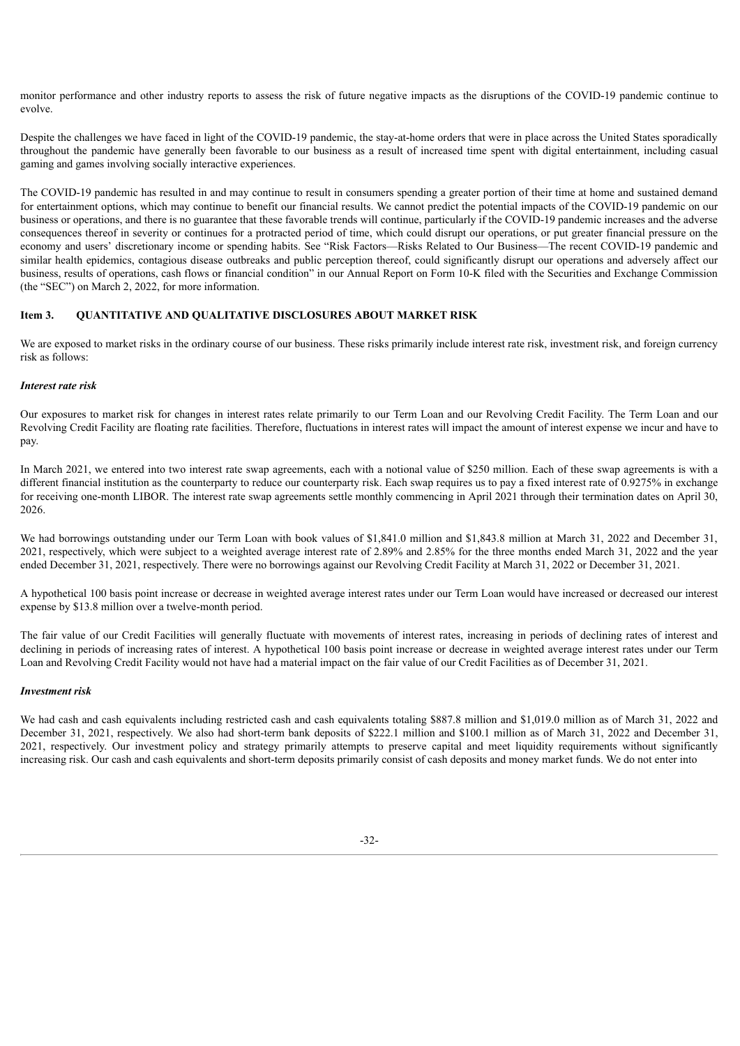monitor performance and other industry reports to assess the risk of future negative impacts as the disruptions of the COVID-19 pandemic continue to evolve.

Despite the challenges we have faced in light of the COVID-19 pandemic, the stay-at-home orders that were in place across the United States sporadically throughout the pandemic have generally been favorable to our business as a result of increased time spent with digital entertainment, including casual gaming and games involving socially interactive experiences.

The COVID-19 pandemic has resulted in and may continue to result in consumers spending a greater portion of their time at home and sustained demand for entertainment options, which may continue to benefit our financial results. We cannot predict the potential impacts of the COVID-19 pandemic on our business or operations, and there is no guarantee that these favorable trends will continue, particularly if the COVID-19 pandemic increases and the adverse consequences thereof in severity or continues for a protracted period of time, which could disrupt our operations, or put greater financial pressure on the economy and users' discretionary income or spending habits. See "Risk Factors—Risks Related to Our Business—The recent COVID-19 pandemic and similar health epidemics, contagious disease outbreaks and public perception thereof, could significantly disrupt our operations and adversely affect our business, results of operations, cash flows or financial condition" in our Annual Report on Form 10-K filed with the Securities and Exchange Commission (the "SEC") on March 2, 2022, for more information.

## <span id="page-34-0"></span>**Item 3. QUANTITATIVE AND QUALITATIVE DISCLOSURES ABOUT MARKET RISK**

We are exposed to market risks in the ordinary course of our business. These risks primarily include interest rate risk, investment risk, and foreign currency risk as follows:

## *Interest rate risk*

Our exposures to market risk for changes in interest rates relate primarily to our Term Loan and our Revolving Credit Facility. The Term Loan and our Revolving Credit Facility are floating rate facilities. Therefore, fluctuations in interest rates will impact the amount of interest expense we incur and have to pay.

In March 2021, we entered into two interest rate swap agreements, each with a notional value of \$250 million. Each of these swap agreements is with a different financial institution as the counterparty to reduce our counterparty risk. Each swap requires us to pay a fixed interest rate of 0.9275% in exchange for receiving one-month LIBOR. The interest rate swap agreements settle monthly commencing in April 2021 through their termination dates on April 30, 2026.

We had borrowings outstanding under our Term Loan with book values of \$1,841.0 million and \$1,843.8 million at March 31, 2022 and December 31, 2021, respectively, which were subject to a weighted average interest rate of 2.89% and 2.85% for the three months ended March 31, 2022 and the year ended December 31, 2021, respectively. There were no borrowings against our Revolving Credit Facility at March 31, 2022 or December 31, 2021.

A hypothetical 100 basis point increase or decrease in weighted average interest rates under our Term Loan would have increased or decreased our interest expense by \$13.8 million over a twelve-month period.

The fair value of our Credit Facilities will generally fluctuate with movements of interest rates, increasing in periods of declining rates of interest and declining in periods of increasing rates of interest. A hypothetical 100 basis point increase or decrease in weighted average interest rates under our Term Loan and Revolving Credit Facility would not have had a material impact on the fair value of our Credit Facilities as of December 31, 2021.

## *Investment risk*

We had cash and cash equivalents including restricted cash and cash equivalents totaling \$887.8 million and \$1,019.0 million as of March 31, 2022 and December 31, 2021, respectively. We also had short-term bank deposits of \$222.1 million and \$100.1 million as of March 31, 2022 and December 31, 2021, respectively. Our investment policy and strategy primarily attempts to preserve capital and meet liquidity requirements without significantly increasing risk. Our cash and cash equivalents and short-term deposits primarily consist of cash deposits and money market funds. We do not enter into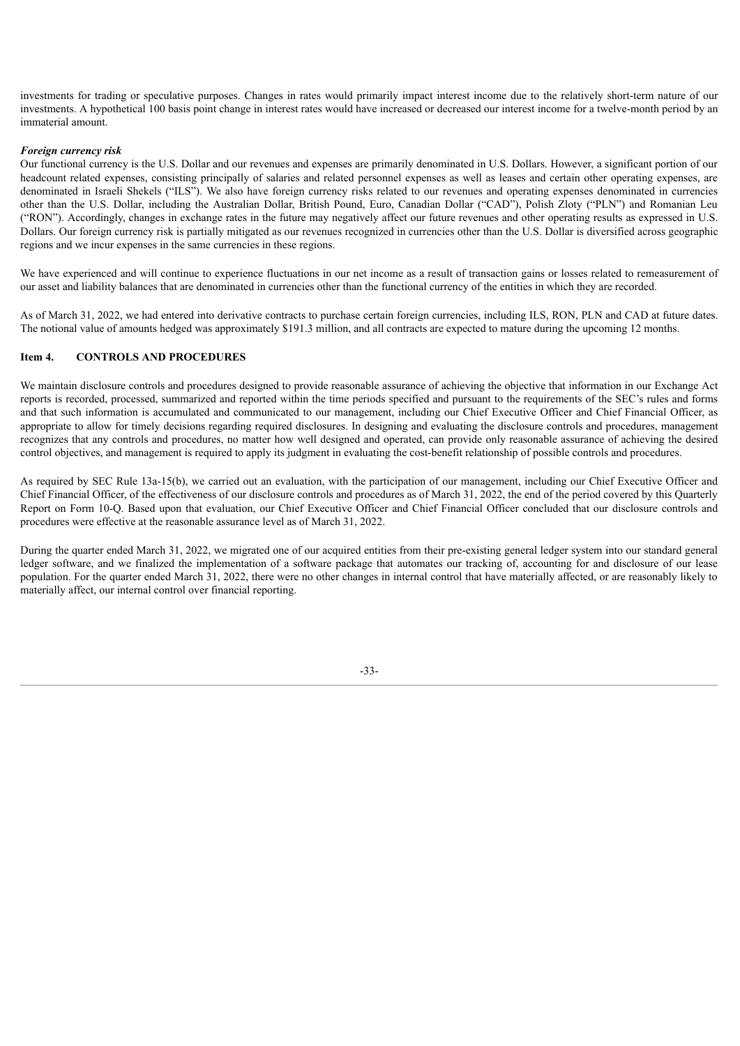investments for trading or speculative purposes. Changes in rates would primarily impact interest income due to the relatively short-term nature of our investments. A hypothetical 100 basis point change in interest rates would have increased or decreased our interest income for a twelve-month period by an immaterial amount.

## *Foreign currency risk*

Our functional currency is the U.S. Dollar and our revenues and expenses are primarily denominated in U.S. Dollars. However, a significant portion of our headcount related expenses, consisting principally of salaries and related personnel expenses as well as leases and certain other operating expenses, are denominated in Israeli Shekels ("ILS"). We also have foreign currency risks related to our revenues and operating expenses denominated in currencies other than the U.S. Dollar, including the Australian Dollar, British Pound, Euro, Canadian Dollar ("CAD"), Polish Zloty ("PLN") and Romanian Leu ("RON"). Accordingly, changes in exchange rates in the future may negatively affect our future revenues and other operating results as expressed in U.S. Dollars. Our foreign currency risk is partially mitigated as our revenues recognized in currencies other than the U.S. Dollar is diversified across geographic regions and we incur expenses in the same currencies in these regions.

We have experienced and will continue to experience fluctuations in our net income as a result of transaction gains or losses related to remeasurement of our asset and liability balances that are denominated in currencies other than the functional currency of the entities in which they are recorded.

As of March 31, 2022, we had entered into derivative contracts to purchase certain foreign currencies, including ILS, RON, PLN and CAD at future dates. The notional value of amounts hedged was approximately \$191.3 million, and all contracts are expected to mature during the upcoming 12 months.

## <span id="page-35-0"></span>**Item 4. CONTROLS AND PROCEDURES**

We maintain disclosure controls and procedures designed to provide reasonable assurance of achieving the objective that information in our Exchange Act reports is recorded, processed, summarized and reported within the time periods specified and pursuant to the requirements of the SEC's rules and forms and that such information is accumulated and communicated to our management, including our Chief Executive Officer and Chief Financial Officer, as appropriate to allow for timely decisions regarding required disclosures. In designing and evaluating the disclosure controls and procedures, management recognizes that any controls and procedures, no matter how well designed and operated, can provide only reasonable assurance of achieving the desired control objectives, and management is required to apply its judgment in evaluating the cost-benefit relationship of possible controls and procedures.

As required by SEC Rule 13a-15(b), we carried out an evaluation, with the participation of our management, including our Chief Executive Officer and Chief Financial Officer, of the effectiveness of our disclosure controls and procedures as of March 31, 2022, the end of the period covered by this Quarterly Report on Form 10-Q. Based upon that evaluation, our Chief Executive Officer and Chief Financial Officer concluded that our disclosure controls and procedures were effective at the reasonable assurance level as of March 31, 2022.

<span id="page-35-1"></span>During the quarter ended March 31, 2022, we migrated one of our acquired entities from their pre-existing general ledger system into our standard general ledger software, and we finalized the implementation of a software package that automates our tracking of, accounting for and disclosure of our lease population. For the quarter ended March 31, 2022, there were no other changes in internal control that have materially affected, or are reasonably likely to materially affect, our internal control over financial reporting.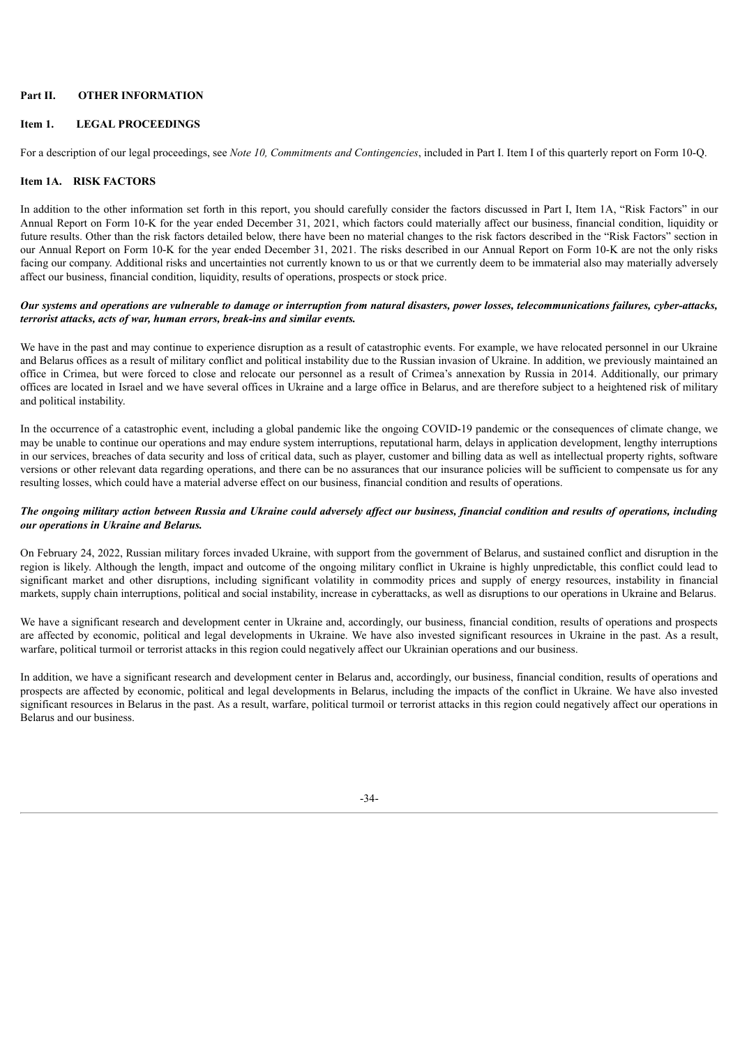# **Part II. OTHER INFORMATION**

## <span id="page-36-0"></span>**Item 1. LEGAL PROCEEDINGS**

For a description of our legal proceedings, see *Note 10, Commitments and Contingencies*, included in Part I. Item I of this quarterly report on Form 10-Q.

#### <span id="page-36-1"></span>**Item 1A. RISK FACTORS**

In addition to the other information set forth in this report, you should carefully consider the factors discussed in Part I, Item 1A, "Risk Factors" in our Annual Report on Form 10-K for the year ended December 31, 2021, which factors could materially affect our business, financial condition, liquidity or future results. Other than the risk factors detailed below, there have been no material changes to the risk factors described in the "Risk Factors" section in our Annual Report on Form 10-K for the year ended December 31, 2021. The risks described in our Annual Report on Form 10-K are not the only risks facing our company. Additional risks and uncertainties not currently known to us or that we currently deem to be immaterial also may materially adversely affect our business, financial condition, liquidity, results of operations, prospects or stock price.

## Our systems and operations are vulnerable to damage or interruption from natural disasters, power losses, telecommunications failures, cyber-attacks, *terrorist attacks, acts of war, human errors, break-ins and similar events.*

We have in the past and may continue to experience disruption as a result of catastrophic events. For example, we have relocated personnel in our Ukraine and Belarus offices as a result of military conflict and political instability due to the Russian invasion of Ukraine. In addition, we previously maintained an office in Crimea, but were forced to close and relocate our personnel as a result of Crimea's annexation by Russia in 2014. Additionally, our primary offices are located in Israel and we have several offices in Ukraine and a large office in Belarus, and are therefore subject to a heightened risk of military and political instability.

In the occurrence of a catastrophic event, including a global pandemic like the ongoing COVID-19 pandemic or the consequences of climate change, we may be unable to continue our operations and may endure system interruptions, reputational harm, delays in application development, lengthy interruptions in our services, breaches of data security and loss of critical data, such as player, customer and billing data as well as intellectual property rights, software versions or other relevant data regarding operations, and there can be no assurances that our insurance policies will be sufficient to compensate us for any resulting losses, which could have a material adverse effect on our business, financial condition and results of operations.

## The ongoing military action between Russia and Ukraine could adversely affect our business, financial condition and results of operations, including *our operations in Ukraine and Belarus.*

On February 24, 2022, Russian military forces invaded Ukraine, with support from the government of Belarus, and sustained conflict and disruption in the region is likely. Although the length, impact and outcome of the ongoing military conflict in Ukraine is highly unpredictable, this conflict could lead to significant market and other disruptions, including significant volatility in commodity prices and supply of energy resources, instability in financial markets, supply chain interruptions, political and social instability, increase in cyberattacks, as well as disruptions to our operations in Ukraine and Belarus.

We have a significant research and development center in Ukraine and, accordingly, our business, financial condition, results of operations and prospects are affected by economic, political and legal developments in Ukraine. We have also invested significant resources in Ukraine in the past. As a result, warfare, political turmoil or terrorist attacks in this region could negatively affect our Ukrainian operations and our business.

In addition, we have a significant research and development center in Belarus and, accordingly, our business, financial condition, results of operations and prospects are affected by economic, political and legal developments in Belarus, including the impacts of the conflict in Ukraine. We have also invested significant resources in Belarus in the past. As a result, warfare, political turmoil or terrorist attacks in this region could negatively affect our operations in Belarus and our business.

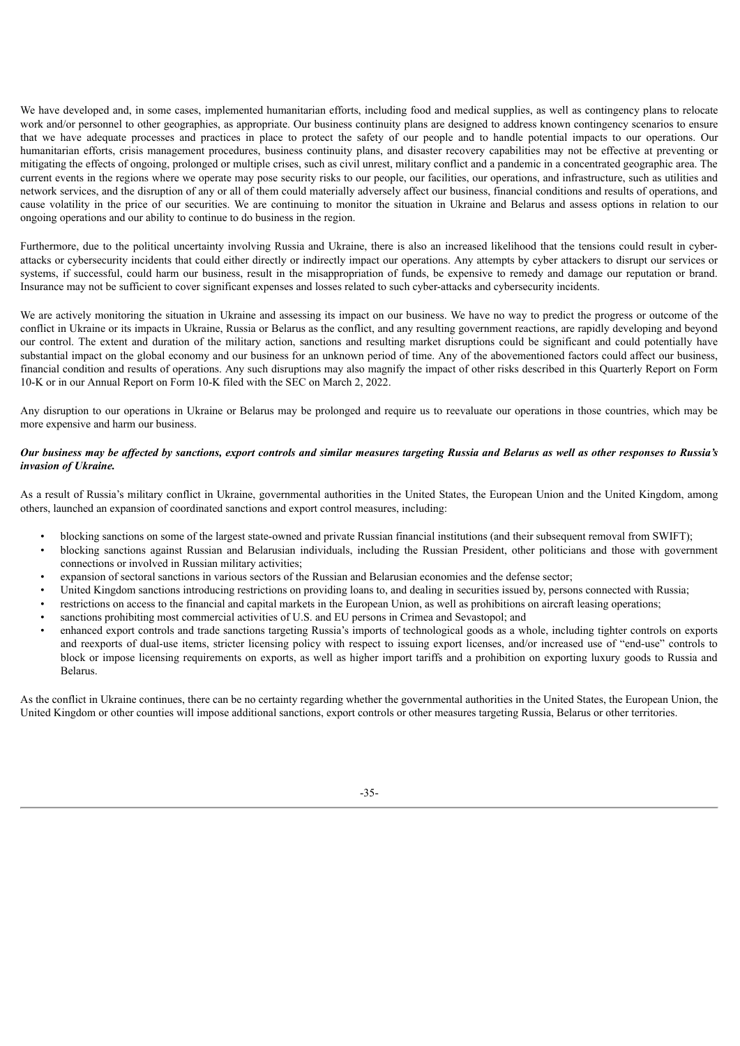We have developed and, in some cases, implemented humanitarian efforts, including food and medical supplies, as well as contingency plans to relocate work and/or personnel to other geographies, as appropriate. Our business continuity plans are designed to address known contingency scenarios to ensure that we have adequate processes and practices in place to protect the safety of our people and to handle potential impacts to our operations. Our humanitarian efforts, crisis management procedures, business continuity plans, and disaster recovery capabilities may not be effective at preventing or mitigating the effects of ongoing, prolonged or multiple crises, such as civil unrest, military conflict and a pandemic in a concentrated geographic area. The current events in the regions where we operate may pose security risks to our people, our facilities, our operations, and infrastructure, such as utilities and network services, and the disruption of any or all of them could materially adversely affect our business, financial conditions and results of operations, and cause volatility in the price of our securities. We are continuing to monitor the situation in Ukraine and Belarus and assess options in relation to our ongoing operations and our ability to continue to do business in the region.

Furthermore, due to the political uncertainty involving Russia and Ukraine, there is also an increased likelihood that the tensions could result in cyberattacks or cybersecurity incidents that could either directly or indirectly impact our operations. Any attempts by cyber attackers to disrupt our services or systems, if successful, could harm our business, result in the misappropriation of funds, be expensive to remedy and damage our reputation or brand. Insurance may not be sufficient to cover significant expenses and losses related to such cyber-attacks and cybersecurity incidents.

We are actively monitoring the situation in Ukraine and assessing its impact on our business. We have no way to predict the progress or outcome of the conflict in Ukraine or its impacts in Ukraine, Russia or Belarus as the conflict, and any resulting government reactions, are rapidly developing and beyond our control. The extent and duration of the military action, sanctions and resulting market disruptions could be significant and could potentially have substantial impact on the global economy and our business for an unknown period of time. Any of the abovementioned factors could affect our business, financial condition and results of operations. Any such disruptions may also magnify the impact of other risks described in this Quarterly Report on Form 10-K or in our Annual Report on Form 10-K filed with the SEC on March 2, 2022.

Any disruption to our operations in Ukraine or Belarus may be prolonged and require us to reevaluate our operations in those countries, which may be more expensive and harm our business.

## Our business may be affected by sanctions, export controls and similar measures targeting Russia and Belarus as well as other responses to Russia's *invasion of Ukraine.*

As a result of Russia's military conflict in Ukraine, governmental authorities in the United States, the European Union and the United Kingdom, among others, launched an expansion of coordinated sanctions and export control measures, including:

- blocking sanctions on some of the largest state-owned and private Russian financial institutions (and their subsequent removal from SWIFT);
- blocking sanctions against Russian and Belarusian individuals, including the Russian President, other politicians and those with government connections or involved in Russian military activities;
- expansion of sectoral sanctions in various sectors of the Russian and Belarusian economies and the defense sector;
- United Kingdom sanctions introducing restrictions on providing loans to, and dealing in securities issued by, persons connected with Russia;
- restrictions on access to the financial and capital markets in the European Union, as well as prohibitions on aircraft leasing operations;
- sanctions prohibiting most commercial activities of U.S. and EU persons in Crimea and Sevastopol; and
- enhanced export controls and trade sanctions targeting Russia's imports of technological goods as a whole, including tighter controls on exports and reexports of dual-use items, stricter licensing policy with respect to issuing export licenses, and/or increased use of "end-use" controls to block or impose licensing requirements on exports, as well as higher import tariffs and a prohibition on exporting luxury goods to Russia and Belarus.

As the conflict in Ukraine continues, there can be no certainty regarding whether the governmental authorities in the United States, the European Union, the United Kingdom or other counties will impose additional sanctions, export controls or other measures targeting Russia, Belarus or other territories.

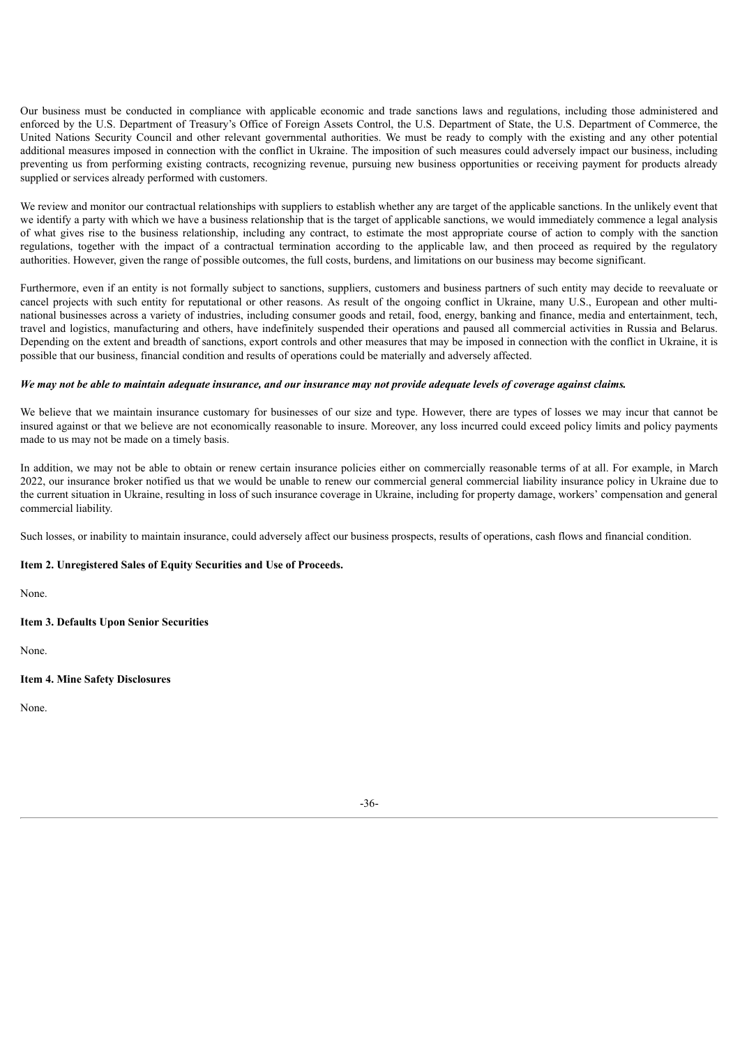Our business must be conducted in compliance with applicable economic and trade sanctions laws and regulations, including those administered and enforced by the U.S. Department of Treasury's Office of Foreign Assets Control, the U.S. Department of State, the U.S. Department of Commerce, the United Nations Security Council and other relevant governmental authorities. We must be ready to comply with the existing and any other potential additional measures imposed in connection with the conflict in Ukraine. The imposition of such measures could adversely impact our business, including preventing us from performing existing contracts, recognizing revenue, pursuing new business opportunities or receiving payment for products already supplied or services already performed with customers.

We review and monitor our contractual relationships with suppliers to establish whether any are target of the applicable sanctions. In the unlikely event that we identify a party with which we have a business relationship that is the target of applicable sanctions, we would immediately commence a legal analysis of what gives rise to the business relationship, including any contract, to estimate the most appropriate course of action to comply with the sanction regulations, together with the impact of a contractual termination according to the applicable law, and then proceed as required by the regulatory authorities. However, given the range of possible outcomes, the full costs, burdens, and limitations on our business may become significant.

Furthermore, even if an entity is not formally subject to sanctions, suppliers, customers and business partners of such entity may decide to reevaluate or cancel projects with such entity for reputational or other reasons. As result of the ongoing conflict in Ukraine, many U.S., European and other multinational businesses across a variety of industries, including consumer goods and retail, food, energy, banking and finance, media and entertainment, tech, travel and logistics, manufacturing and others, have indefinitely suspended their operations and paused all commercial activities in Russia and Belarus. Depending on the extent and breadth of sanctions, export controls and other measures that may be imposed in connection with the conflict in Ukraine, it is possible that our business, financial condition and results of operations could be materially and adversely affected.

#### We may not be able to maintain adequate insurance, and our insurance may not provide adequate levels of coverage against claims.

We believe that we maintain insurance customary for businesses of our size and type. However, there are types of losses we may incur that cannot be insured against or that we believe are not economically reasonable to insure. Moreover, any loss incurred could exceed policy limits and policy payments made to us may not be made on a timely basis.

In addition, we may not be able to obtain or renew certain insurance policies either on commercially reasonable terms of at all. For example, in March 2022, our insurance broker notified us that we would be unable to renew our commercial general commercial liability insurance policy in Ukraine due to the current situation in Ukraine, resulting in loss of such insurance coverage in Ukraine, including for property damage, workers' compensation and general commercial liability.

Such losses, or inability to maintain insurance, could adversely affect our business prospects, results of operations, cash flows and financial condition.

## <span id="page-38-0"></span>**Item 2. Unregistered Sales of Equity Securities and Use of Proceeds.**

None.

## <span id="page-38-1"></span>**Item 3. Defaults Upon Senior Securities**

None.

## <span id="page-38-2"></span>**Item 4. Mine Safety Disclosures**

<span id="page-38-3"></span>None.

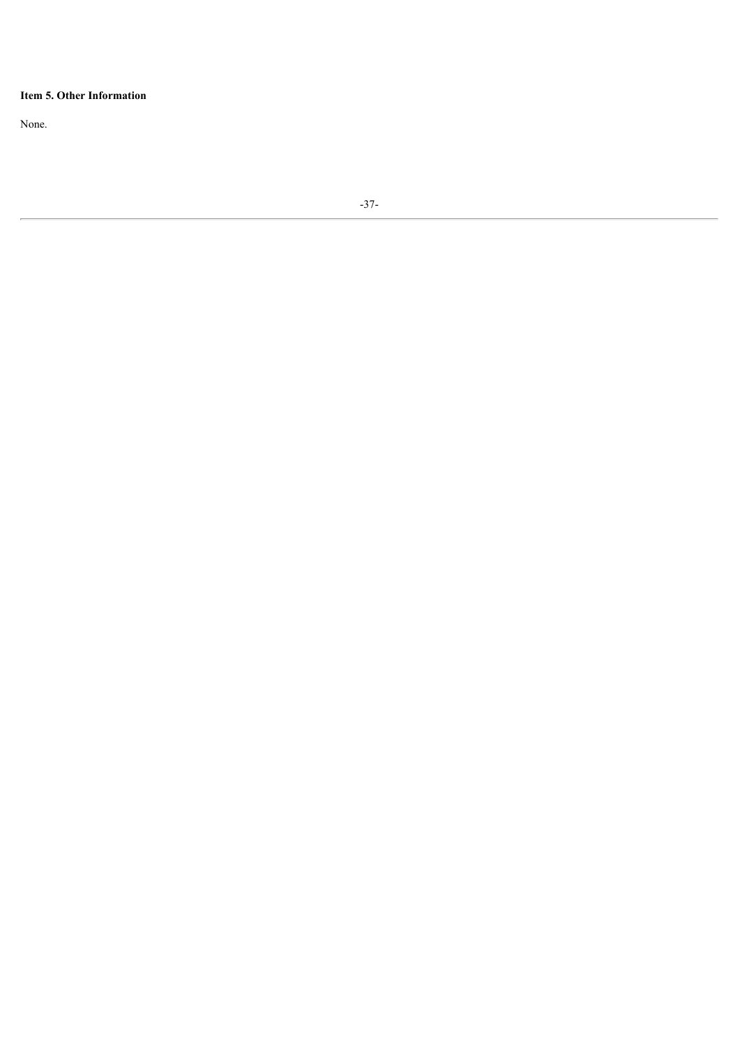# **Item 5. Other Information**

<span id="page-39-0"></span>None.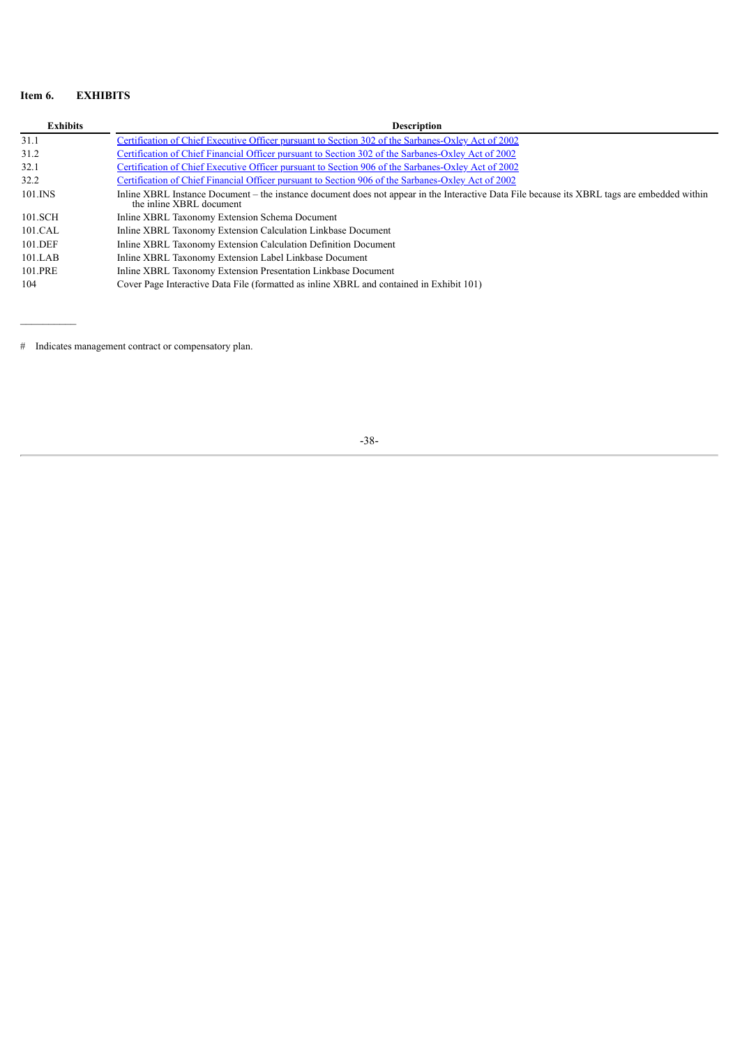# **Item 6. EXHIBITS**

| <b>Exhibits</b> | <b>Description</b>                                                                                                                                                       |
|-----------------|--------------------------------------------------------------------------------------------------------------------------------------------------------------------------|
| 31.1            | Certification of Chief Executive Officer pursuant to Section 302 of the Sarbanes-Oxley Act of 2002                                                                       |
| 31.2            | Certification of Chief Financial Officer pursuant to Section 302 of the Sarbanes-Oxley Act of 2002                                                                       |
| 32.1            | Certification of Chief Executive Officer pursuant to Section 906 of the Sarbanes-Oxley Act of 2002                                                                       |
| 32.2            | Certification of Chief Financial Officer pursuant to Section 906 of the Sarbanes-Oxley Act of 2002                                                                       |
| 101.INS         | Inline XBRL Instance Document – the instance document does not appear in the Interactive Data File because its XBRL tags are embedded within<br>the inline XBRL document |
| 101.SCH         | Inline XBRL Taxonomy Extension Schema Document                                                                                                                           |
| 101.CAL         | Inline XBRL Taxonomy Extension Calculation Linkbase Document                                                                                                             |
| 101.DEF         | Inline XBRL Taxonomy Extension Calculation Definition Document                                                                                                           |
| 101.LAB         | Inline XBRL Taxonomy Extension Label Linkbase Document                                                                                                                   |
| 101.PRE         | Inline XBRL Taxonomy Extension Presentation Linkbase Document                                                                                                            |
| 104             | Cover Page Interactive Data File (formatted as inline XBRL and contained in Exhibit 101)                                                                                 |

# Indicates management contract or compensatory plan.

-38-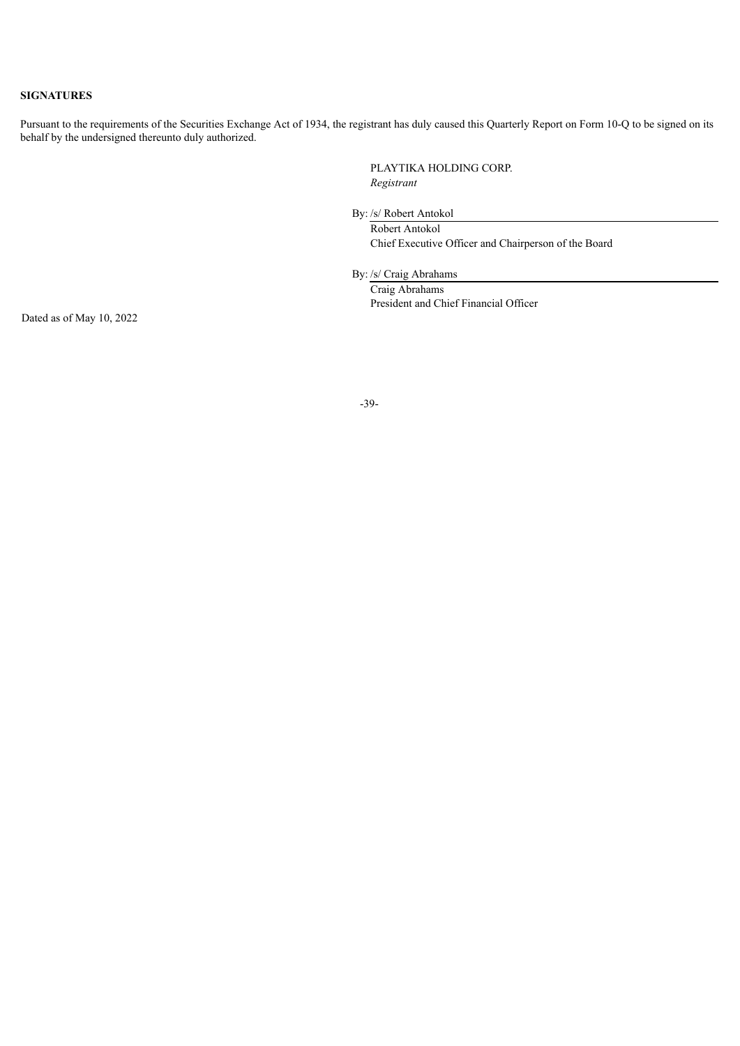# **SIGNATURES**

Pursuant to the requirements of the Securities Exchange Act of 1934, the registrant has duly caused this Quarterly Report on Form 10-Q to be signed on its behalf by the undersigned thereunto duly authorized.

> PLAYTIKA HOLDING CORP. *Registrant*

By: /s/ Robert Antokol

Robert Antokol Chief Executive Officer and Chairperson of the Board

By: /s/ Craig Abrahams

Craig Abrahams President and Chief Financial Officer

Dated as of May 10, 2022

-39-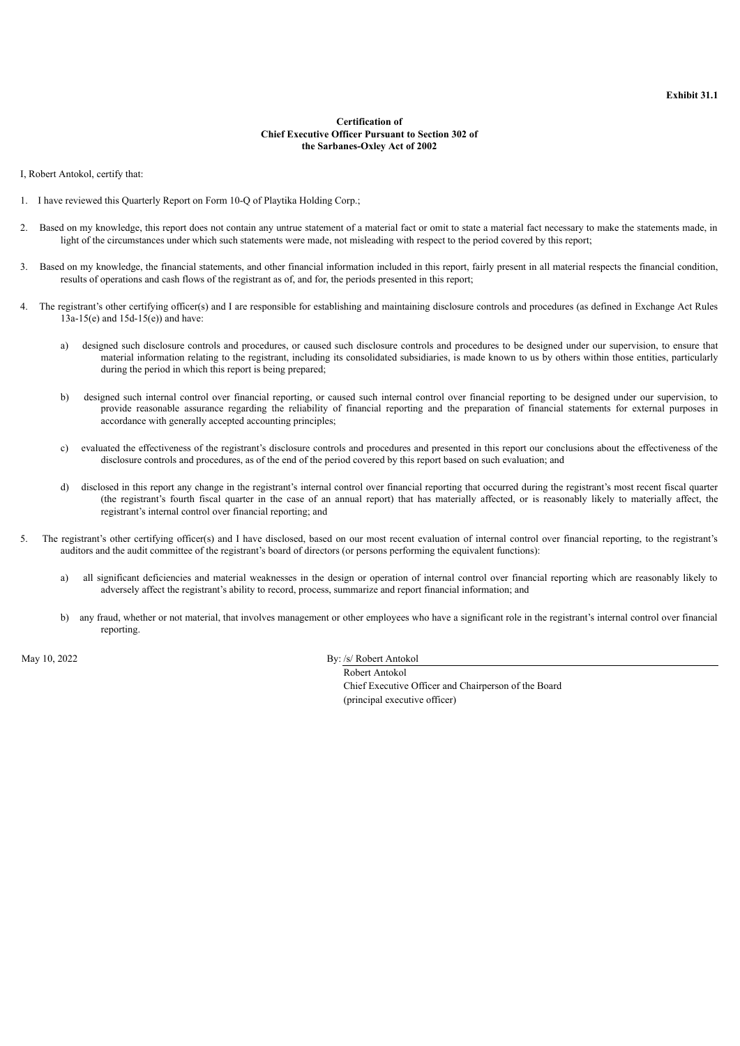#### **Certification of Chief Executive Officer Pursuant to Section 302 of the Sarbanes-Oxley Act of 2002**

<span id="page-42-0"></span>I, Robert Antokol, certify that:

- 1. I have reviewed this Quarterly Report on Form 10-Q of Playtika Holding Corp.;
- 2. Based on my knowledge, this report does not contain any untrue statement of a material fact or omit to state a material fact necessary to make the statements made, in light of the circumstances under which such statements were made, not misleading with respect to the period covered by this report;
- 3. Based on my knowledge, the financial statements, and other financial information included in this report, fairly present in all material respects the financial condition, results of operations and cash flows of the registrant as of, and for, the periods presented in this report;
- 4. The registrant's other certifying officer(s) and I are responsible for establishing and maintaining disclosure controls and procedures (as defined in Exchange Act Rules 13a-15(e) and 15d-15(e)) and have:
	- a) designed such disclosure controls and procedures, or caused such disclosure controls and procedures to be designed under our supervision, to ensure that material information relating to the registrant, including its consolidated subsidiaries, is made known to us by others within those entities, particularly during the period in which this report is being prepared;
	- b) designed such internal control over financial reporting, or caused such internal control over financial reporting to be designed under our supervision, to provide reasonable assurance regarding the reliability of financial reporting and the preparation of financial statements for external purposes in accordance with generally accepted accounting principles;
	- c) evaluated the effectiveness of the registrant's disclosure controls and procedures and presented in this report our conclusions about the effectiveness of the disclosure controls and procedures, as of the end of the period covered by this report based on such evaluation; and
	- d) disclosed in this report any change in the registrant's internal control over financial reporting that occurred during the registrant's most recent fiscal quarter (the registrant's fourth fiscal quarter in the case of an annual report) that has materially affected, or is reasonably likely to materially affect, the registrant's internal control over financial reporting; and
- 5. The registrant's other certifying officer(s) and I have disclosed, based on our most recent evaluation of internal control over financial reporting, to the registrant's auditors and the audit committee of the registrant's board of directors (or persons performing the equivalent functions):
	- a) all significant deficiencies and material weaknesses in the design or operation of internal control over financial reporting which are reasonably likely to adversely affect the registrant's ability to record, process, summarize and report financial information; and
	- b) any fraud, whether or not material, that involves management or other employees who have a significant role in the registrant's internal control over financial reporting.

May 10, 2022 By: /s/ Robert Antokol

Robert Antokol Chief Executive Officer and Chairperson of the Board (principal executive officer)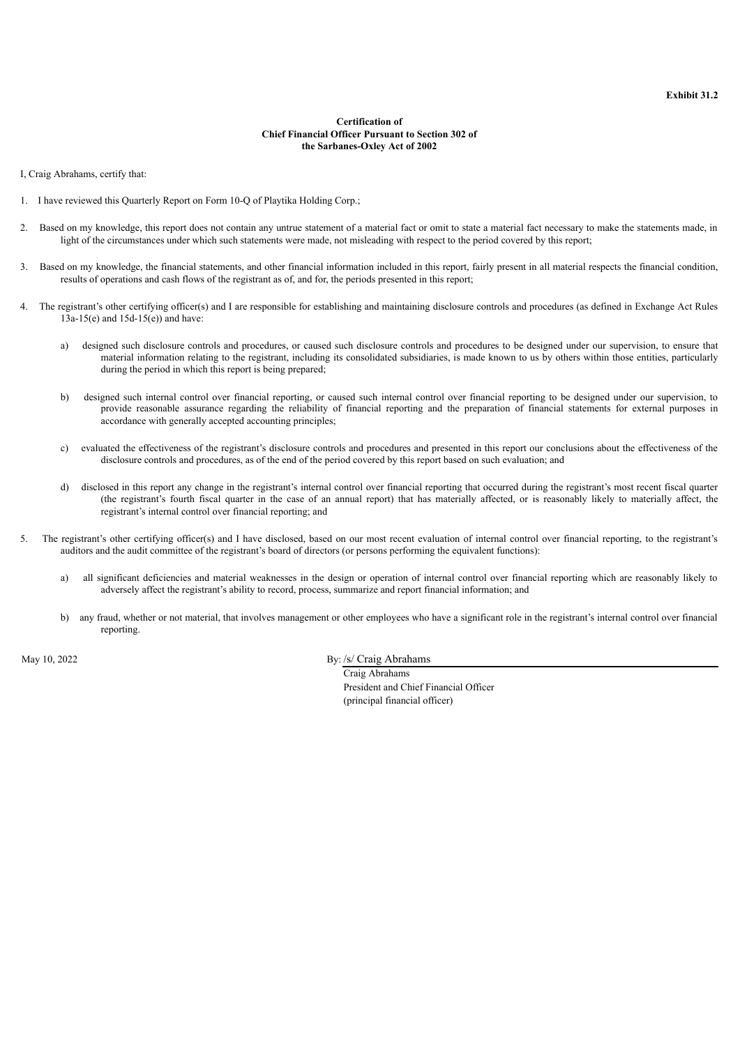#### **Certification of Chief Financial Officer Pursuant to Section 302 of the Sarbanes-Oxley Act of 2002**

<span id="page-43-0"></span>I, Craig Abrahams, certify that:

- 1. I have reviewed this Quarterly Report on Form 10-Q of Playtika Holding Corp.;
- 2. Based on my knowledge, this report does not contain any untrue statement of a material fact or omit to state a material fact necessary to make the statements made, in light of the circumstances under which such statements were made, not misleading with respect to the period covered by this report;
- 3. Based on my knowledge, the financial statements, and other financial information included in this report, fairly present in all material respects the financial condition, results of operations and cash flows of the registrant as of, and for, the periods presented in this report;
- 4. The registrant's other certifying officer(s) and I are responsible for establishing and maintaining disclosure controls and procedures (as defined in Exchange Act Rules 13a-15(e) and 15d-15(e)) and have:
	- a) designed such disclosure controls and procedures, or caused such disclosure controls and procedures to be designed under our supervision, to ensure that material information relating to the registrant, including its consolidated subsidiaries, is made known to us by others within those entities, particularly during the period in which this report is being prepared;
	- b) designed such internal control over financial reporting, or caused such internal control over financial reporting to be designed under our supervision, to provide reasonable assurance regarding the reliability of financial reporting and the preparation of financial statements for external purposes in accordance with generally accepted accounting principles;
	- c) evaluated the effectiveness of the registrant's disclosure controls and procedures and presented in this report our conclusions about the effectiveness of the disclosure controls and procedures, as of the end of the period covered by this report based on such evaluation; and
	- d) disclosed in this report any change in the registrant's internal control over financial reporting that occurred during the registrant's most recent fiscal quarter (the registrant's fourth fiscal quarter in the case of an annual report) that has materially affected, or is reasonably likely to materially affect, the registrant's internal control over financial reporting; and
- 5. The registrant's other certifying officer(s) and I have disclosed, based on our most recent evaluation of internal control over financial reporting, to the registrant's auditors and the audit committee of the registrant's board of directors (or persons performing the equivalent functions):
	- a) all significant deficiencies and material weaknesses in the design or operation of internal control over financial reporting which are reasonably likely to adversely affect the registrant's ability to record, process, summarize and report financial information; and
	- b) any fraud, whether or not material, that involves management or other employees who have a significant role in the registrant's internal control over financial reporting.

May 10, 2022 By: /s/ Craig Abrahams

Craig Abrahams President and Chief Financial Officer (principal financial officer)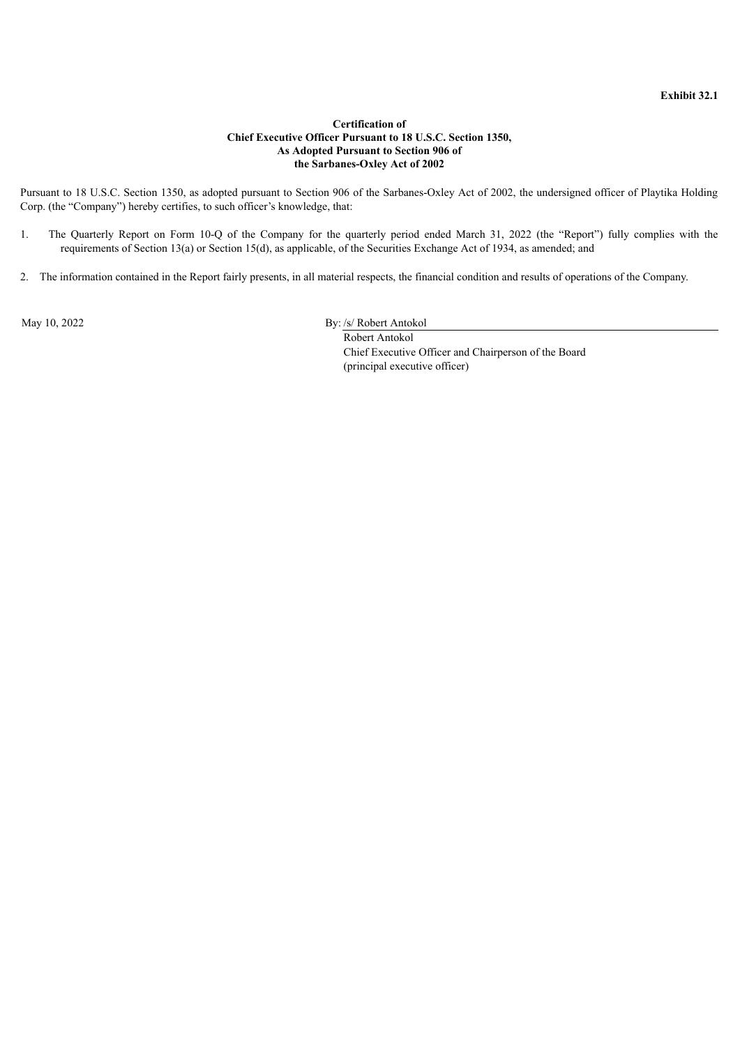## **Certification of Chief Executive Officer Pursuant to 18 U.S.C. Section 1350, As Adopted Pursuant to Section 906 of the Sarbanes-Oxley Act of 2002**

<span id="page-44-0"></span>Pursuant to 18 U.S.C. Section 1350, as adopted pursuant to Section 906 of the Sarbanes-Oxley Act of 2002, the undersigned officer of Playtika Holding Corp. (the "Company") hereby certifies, to such officer's knowledge, that:

- 1. The Quarterly Report on Form 10-Q of the Company for the quarterly period ended March 31, 2022 (the "Report") fully complies with the requirements of Section 13(a) or Section 15(d), as applicable, of the Securities Exchange Act of 1934, as amended; and
- 2. The information contained in the Report fairly presents, in all material respects, the financial condition and results of operations of the Company.

May 10, 2022 By: /s/ Robert Antokol

Robert Antokol Chief Executive Officer and Chairperson of the Board (principal executive officer)